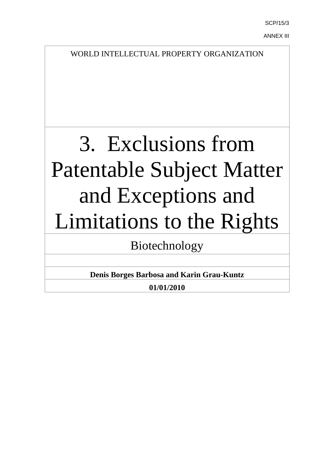SCP/15/3

ANNEX III

WORLD INTELLECTUAL PROPERTY ORGANIZATION

# 3. Exclusions from Patentable Subject Matter and Exceptions and Limitations to the Rights

Biotechnology

**Denis Borges Barbosa and Karin Grau-Kuntz**

**01/01/2010**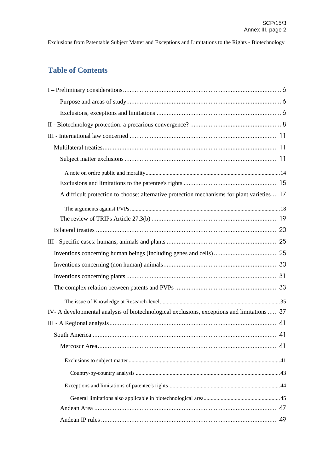## **Table of Contents**

| A difficult protection to choose: alternative protection mechanisms for plant varieties 17  |
|---------------------------------------------------------------------------------------------|
|                                                                                             |
|                                                                                             |
|                                                                                             |
|                                                                                             |
|                                                                                             |
|                                                                                             |
|                                                                                             |
|                                                                                             |
|                                                                                             |
| IV- A developmental analysis of biotechnological exclusions, exceptions and limitations  37 |
|                                                                                             |
|                                                                                             |
|                                                                                             |
|                                                                                             |
|                                                                                             |
|                                                                                             |
|                                                                                             |
|                                                                                             |
|                                                                                             |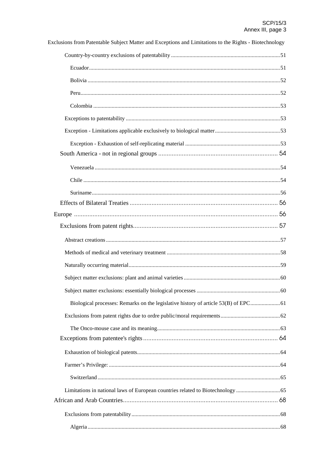| Exclusions from Patentable Subject Matter and Exceptions and Limitations to the Rights - Biotechnology |  |
|--------------------------------------------------------------------------------------------------------|--|
|                                                                                                        |  |
|                                                                                                        |  |
|                                                                                                        |  |
|                                                                                                        |  |
|                                                                                                        |  |
|                                                                                                        |  |
|                                                                                                        |  |
|                                                                                                        |  |
|                                                                                                        |  |
|                                                                                                        |  |
|                                                                                                        |  |
|                                                                                                        |  |
|                                                                                                        |  |
|                                                                                                        |  |
|                                                                                                        |  |
|                                                                                                        |  |
|                                                                                                        |  |
|                                                                                                        |  |
|                                                                                                        |  |
|                                                                                                        |  |
|                                                                                                        |  |
|                                                                                                        |  |
|                                                                                                        |  |
|                                                                                                        |  |
|                                                                                                        |  |
|                                                                                                        |  |
|                                                                                                        |  |
| Limitations in national laws of European countries related to Biotechnology                            |  |
|                                                                                                        |  |
|                                                                                                        |  |
|                                                                                                        |  |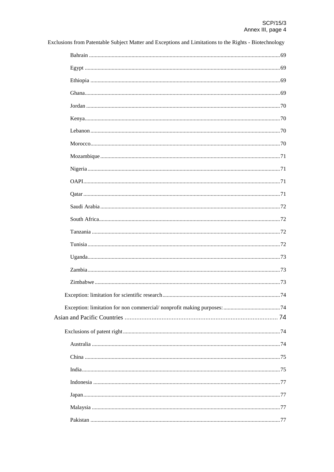| Exclusions from Patentable Subject Matter and Exceptions and Limitations to the Rights - Biotechnology |
|--------------------------------------------------------------------------------------------------------|
|                                                                                                        |
|                                                                                                        |
|                                                                                                        |
|                                                                                                        |
|                                                                                                        |
|                                                                                                        |
|                                                                                                        |
|                                                                                                        |
|                                                                                                        |
|                                                                                                        |
|                                                                                                        |
|                                                                                                        |
|                                                                                                        |
|                                                                                                        |
|                                                                                                        |
|                                                                                                        |
|                                                                                                        |
|                                                                                                        |
|                                                                                                        |
|                                                                                                        |
|                                                                                                        |
|                                                                                                        |
|                                                                                                        |
|                                                                                                        |
|                                                                                                        |
|                                                                                                        |
|                                                                                                        |
|                                                                                                        |
|                                                                                                        |
|                                                                                                        |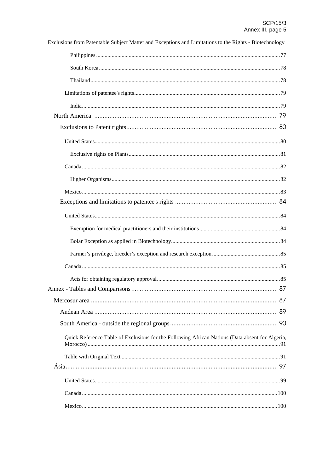| Exclusions from Patentable Subject Matter and Exceptions and Limitations to the Rights - Biotechnology |  |
|--------------------------------------------------------------------------------------------------------|--|
|                                                                                                        |  |
|                                                                                                        |  |
|                                                                                                        |  |
|                                                                                                        |  |
|                                                                                                        |  |
|                                                                                                        |  |
|                                                                                                        |  |
|                                                                                                        |  |
|                                                                                                        |  |
|                                                                                                        |  |
|                                                                                                        |  |
|                                                                                                        |  |
|                                                                                                        |  |
|                                                                                                        |  |
|                                                                                                        |  |
|                                                                                                        |  |
|                                                                                                        |  |
|                                                                                                        |  |
|                                                                                                        |  |
|                                                                                                        |  |
|                                                                                                        |  |
|                                                                                                        |  |
|                                                                                                        |  |
| Quick Reference Table of Exclusions for the Following African Nations (Data absent for Algeria,        |  |
|                                                                                                        |  |
|                                                                                                        |  |
|                                                                                                        |  |
|                                                                                                        |  |
|                                                                                                        |  |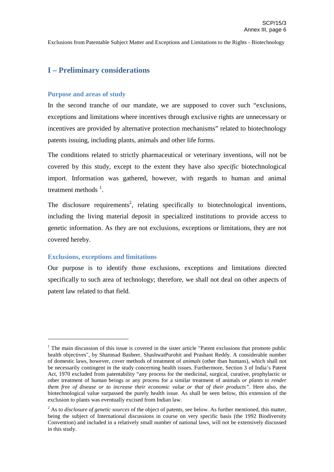## **I – Preliminary considerations**

#### **Purpose and areas of study**

In the second tranche of our mandate, we are supposed to cover such "exclusions, exceptions and limitations where incentives through exclusive rights are unnecessary or incentives are provided by alternative protection mechanisms" related to biotechnology patents issuing, including plants, animals and other life forms.

The conditions related to strictly pharmaceutical or veterinary inventions, will not be covered by this study, except to the extent they have also *specific* biotechnological import. Information was gathered, however, with regards to human and animal treatment methods  $<sup>1</sup>$ .</sup>

The disclosure requirements<sup>2</sup>, relating specifically to biotechnological inventions, including the living material deposit in specialized institutions to provide access to genetic information. As they are not exclusions, exceptions or limitations, they are not covered hereby.

#### **Exclusions, exceptions and limitations**

Our purpose is to identify those exclusions, exceptions and limitations directed specifically to such area of technology; therefore, we shall not deal on other aspects of patent law related to that field.

 $1$  The main discussion of this issue is covered in the sister article "Patent exclusions that promote public health objectives", by Shamnad Basheer, ShashwatPurohit and Prashant Reddy. A considerable number of domestic laws, however, cover methods of treatment of *animals* (other than humans), which shall not be necessarily contingent in the study concerning health issues. Furthermore, Section 3 of India's Patent Act, 1970 excluded from patentability "any process for the medicinal, surgical, curative, prophylactic or other treatment of human beings or any process for a similar treatment of animals *or plants to render them free of disease or to increase their economic value or that of their products"*. Here also, the biotechnological value surpassed the purely health issue. As shall be seen below, this extension of the exclusion to plants was eventually excised from Indian law.

<sup>2</sup> As to *disclosure of genetic sources* of the object of patents, see below. As further mentioned, this matter, being the subject of International discussions in course on very specific basis (the 1992 Biodiversity Convention) and included in a relatively small number of national laws, will not be extensively discussed in this study.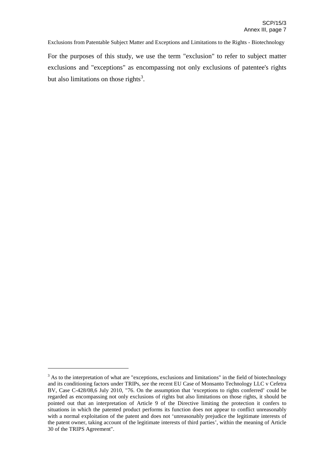For the purposes of this study, we use the term "exclusion" to refer to subject matter exclusions and "exceptions" as encompassing not only exclusions of patentee's rights but also limitations on those rights<sup>3</sup>.

<sup>&</sup>lt;sup>3</sup> As to the interpretation of what are "exceptions, exclusions and limitations" in the field of biotechnology and its conditioning factors under TRIPs, *see* the recent EU Case of Monsanto Technology LLC v Cefetra BV, Case C-428/08,6 July 2010, "76. On the assumption that 'exceptions to rights conferred' could be regarded as encompassing not only exclusions of rights but also limitations on those rights, it should be pointed out that an interpretation of Article 9 of the Directive limiting the protection it confers to situations in which the patented product performs its function does not appear to conflict unreasonably with a normal exploitation of the patent and does not 'unreasonably prejudice the legitimate interests of the patent owner, taking account of the legitimate interests of third parties', within the meaning of Article 30 of the TRIPS Agreement".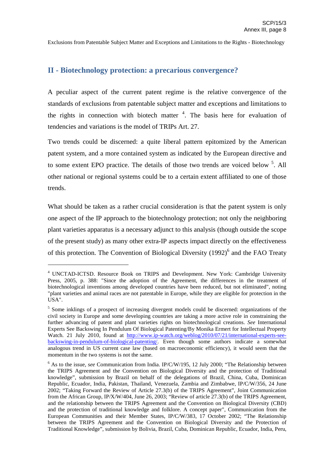## **II - Biotechnology protection: a precarious convergence?**

A peculiar aspect of the current patent regime is the relative convergence of the standards of exclusions from patentable subject matter and exceptions and limitations to the rights in connection with biotech matter  $4$ . The basis here for evaluation of tendencies and variations is the model of TRIPs Art. 27.

Two trends could be discerned: a quite liberal pattern epitomized by the American patent system, and a more contained system as indicated by the European directive and to some extent EPO practice. The details of those two trends are voiced below <sup>5</sup>. All other national or regional systems could be to a certain extent affiliated to one of those trends.

What should be taken as a rather crucial consideration is that the patent system is only one aspect of the IP approach to the biotechnology protection; not only the neighboring plant varieties apparatus is a necessary adjunct to this analysis (though outside the scope of the present study) as many other extra-IP aspects impact directly on the effectiveness of this protection. The Convention of Biological Diversity (1992)<sup>6</sup> and the FAO Treaty

<sup>4</sup> UNCTAD-ICTSD. Resource Book on TRIPS and Development. New York: Cambridge University Press, 2005, p. 388: "Since the adoption of the Agreement, the differences in the treatment of biotechnological inventions among developed countries have been reduced, but not eliminated", noting "plant varieties and animal races are not patentable in Europe, while they are eligible for protection in the USA".

<sup>&</sup>lt;sup>5</sup> Some inklings of a prospect of increasing divergent models could be discerned: organizations of the civil society in Europe and some developing countries are taking a more active role in constraining the further advancing of patent and plant varieties rights on biotechnological creations. *See* International Experts See Backswing In Pendulum Of Biological Patenting/By Monika Ermert for Intellectual Property Watch. 21 July 2010, found at http://www.ip-watch.org/weblog/2010/07/21/international-experts-seebackswing-in-pendulum-of-biological-patenting/. Even though some authors indicate a somewhat analogous trend in US current case law (based on macroeconomic efficiency), it would seem that the momentum in the two systems is not the same.

<sup>&</sup>lt;sup>6</sup> As to the issue, *see* Communication from India. IP/C/W/195, 12 July 2000; "The Relationship between the TRIPS Agreement and the Convention on Biological Diversity and the protection of Traditional knowledge", submission by Brazil on behalf of the delegations of Brazil, China, Cuba, Dominican Republic, Ecuador, India, Pakistan, Thailand, Venezuela, Zambia and Zimbabwe, IP/C/W/356, 24 June 2002; "Taking Forward the Review of Article 27.3(b) of the TRIPS Agreement", Joint Communication from the African Group, IP/X/W/404, June 26, 2003; "Review of article 27.3(b) of the TRIPS Agreement, and the relationship between the TRIPS Agreement and the Convention on Biological Diversity (CBD) and the protection of traditional knowledge and folklore. A concept paper", Communication from the European Communities and their Member States, IP/C/W/383, 17 October 2002; "The Relationship between the TRIPS Agreement and the Convention on Biological Diversity and the Protection of Traditional Knowledge", submission by Bolivia, Brazil, Cuba, Dominican Republic, Ecuador, India, Peru,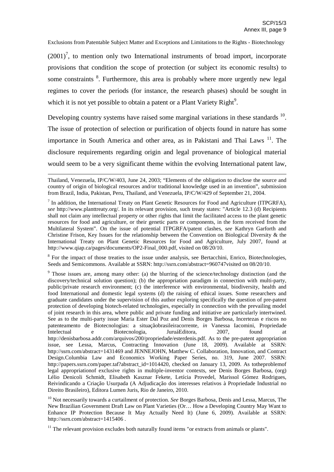$(2001)^7$ , to mention only two International instruments of broad import, incorporate provisions that condition the scope of protection (or subject its economic results) to some constraints <sup>8</sup>. Furthermore, this area is probably where more urgently new legal regimes to cover the periods (for instance, the research phases) should be sought in which it is not yet possible to obtain a patent or a Plant Variety Right<sup>9</sup>.

Developing country systems have raised some marginal variations in these standards  $10$ . The issue of protection of selection or purification of objects found in nature has some importance in South America and other area, as in Pakistani and Thai Laws<sup>11</sup>. The disclosure requirements regarding origin and legal provenance of biological material would seem to be a very significant theme within the evolving International patent law,

<sup>8</sup> For the impact of those treaties to the issue under analysis, see Bertacchini, Enrico, Biotechnologies, Seeds and Semicommons. Available at SSRN: http://ssrn.com/abstract=960747visited on 08/20/10.

<sup>9</sup> Those issues are, among many other: (a) the blurring of the science/technology distinction (and the discovery/technical solution question); (b) the appropriation paradigm in connection with multi-party, public/private research environment; (c) the interference with environmental, biodiversity, health and food International and domestic legal systems (d) the raising of ethical issues. Some researchers and graduate candidates under the supervision of this author exploring specifically the question of pre-patent protection of developing biotech-related technologies, especially in connection with the prevailing model of joint research in this area, where public and private funding and initiative are particularly intertwined. See as to the multi-party issue Maria Ester Dal Poz and Denis Borges Barbosa, Incertezas e riscos no patenteamento de Biotecnologias: a situaçãobrasileiracorrente, *in* Vanessa Iacomini, Propriedade Intelectual e Biotecnologia, JuruáEditora, 2007, found at http://denisbarbosa.addr.com/arquivos/200/propriedade/esterdenis.pdf. As to the pre-patent appropriation issue, see Lessa, Marcus, Contracting Innovation (June 18, 2009). Available at SSRN: http://ssrn.com/abstract=1431469 and JENNEJOHN, Matthew C. Collaboration, Innovation, and Contract Design.Columbia Law and Economics Working Paper Series, no. 319, June 2007. SSRN: http://papers.ssrn.com/paper.taf?abstract\_id=1014420, checked on January 13, 2009. As totheproblemof legal appropriationof exclusive rights in multiple-inventor contexts, see Denis Borges Barbosa, (org) Lélio Denicoli Schmidt, Elisabeth Kasznar Fekete, Letícia Provedel, Marissol Gómez Rodrigues, Reivindicando a Criação Usurpada (A Adjudicação dos interesses relativos à Propriedade Industrial no Direito Brasileiro), Editora Lumen Juris, Rio de Janeiro, 2010.

Thailand, Venezuela, IP/C/W/403, June 24, 2003; "Elements of the obligation to disclose the source and country of origin of biological resources and/or traditional knowledge used in an invention", submission from Brazil, India, Pakistan, Peru, Thailand, and Venezuela, IP/C/W/429 of September 21, 2004.

 $<sup>7</sup>$  In addition, the International Treaty on Plant Genetic Resources for Food and Agriculture (ITPGRFA),</sup> *see* http://www.planttreaty.org/. In its relevant provision, such treaty states: "Article 12.3 (d) Recipients shall not claim any intellectual property or other rights that limit the facilitated access to the plant genetic resources for food and agriculture, or their genetic parts or components, in the form received from the Multilateral System". On the issue of potential ITPGRFA/patent clashes, *see* Kathryn Garforth and Christine Frison, Key Issues for the relationship between the Convention on Biological Diversity & the International Treaty on Plant Genetic Resources for Food and Agriculture, July 2007, found at http://www.qiap.ca/pages/documents/OP2-Final\_000.pdf, visited on 08/20/10.

<sup>&</sup>lt;sup>10</sup> Not necessarily towards a curtailment of protection. *See* Borges Barbosa, Denis and Lessa, Marcus, The New Brazilian Government Draft Law on Plant Varieties (Or… How a Developing Country May Want to Enhance IP Protection Because It May Actually Need It) (June 6, 2009). Available at SSRN: http://ssrn.com/abstract=1415406 .

 $11$  The relevant provision excludes both naturally found items "or extracts from animals or plants".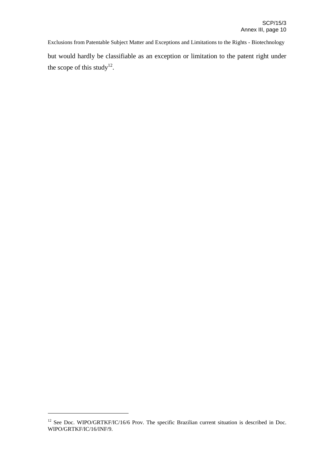Exclusions from Patentable Subject Matter and Exceptions and Limitations to the Rights - Biotechnology but would hardly be classifiable as an exception or limitation to the patent right under the scope of this study<sup>12</sup>.

<sup>&</sup>lt;sup>12</sup> See Doc. WIPO/GRTKF/IC/16/6 Prov. The specific Brazilian current situation is described in Doc. WIPO/GRTKF/IC/16/INF/9.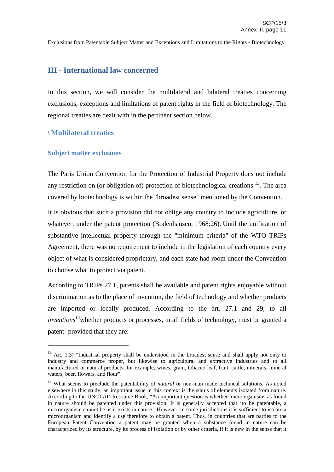## **III - International law concerned**

In this section, we will consider the multilateral and bilateral treaties concerning exclusions, exceptions and limitations of patent rights in the field of biotechnology. The regional treaties are dealt with in the pertinent section below.

## \ **Multilateral treaties**

#### **Subject matter exclusions**

The Paris Union Convention for the Protection of Industrial Property does not include any restriction on (or obligation of) protection of biotechnological creations  $^{13}$ . The area covered by biotechnology is within the "broadest sense" mentioned by the Convention.

It is obvious that such a provision did not oblige any country to include agriculture, or whatever, under the patent protection (Bodenhausen, 1968:26). Until the unification of substantive intellectual property through the "minimum criteria" of the WTO TRIPs Agreement, there was no requirement to include in the legislation of each country every object of what is considered proprietary, and each state had room under the Convention to choose what to protect via patent.

According to TRIPs 27.1, patents shall be available and patent rights enjoyable without discrimination as to the place of invention, the field of technology and whether products are imported or locally produced. According to the art. 27.1 and 29, to all *inventions* 14 whether products or processes, in all fields of technology, must be granted a patent -provided that they are:

 $13$  Art. 1.3) "Industrial property shall be understood in the broadest sense and shall apply not only to industry and commerce proper, but likewise to agricultural and extractive industries and to all manufactured or natural products, for example, wines, grain, tobacco leaf, fruit, cattle, minerals, mineral waters, beer, flowers, and flour".

<sup>&</sup>lt;sup>14</sup> What seems to preclude the patentability of *natural* or non-man made technical solutions. As noted elsewhere in this study, an important issue in this context is the status of elements isolated from nature. According to the UNCTAD Resource Book, "An important question is whether microorganisms as found in nature should be patented under this provision. It is generally accepted that 'to be patentable, a microorganism cannot be as it exists in nature'. However, in some jurisdictions it is sufficient to isolate a microorganism and identify a use therefore to obtain a patent. Thus, in countries that are parties to the European Patent Convention a patent may be granted when a substance found in nature can be characterized by its structure, by its process of isolation or by other criteria, if it is new in the sense that it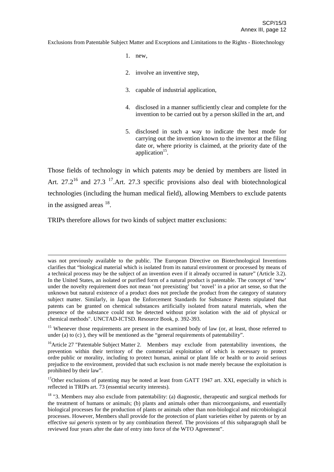- 1. new,
- 2. involve an inventive step,
- 3. capable of industrial application,
- 4. disclosed in a manner sufficiently clear and complete for the invention to be carried out by a person skilled in the art, and
- 5. disclosed in such a way to indicate the best mode for carrying out the invention known to the inventor at the filing date or, where priority is claimed, at the priority date of the application<sup>15</sup>.

Those fields of technology in which patents *may* be denied by members are listed in Art.  $27.2^{16}$  and  $27.3^{17}$ . Art. 27.3 specific provisions also deal with biotechnological technologies (including the human medical field), allowing Members to exclude patents in the assigned areas  $18$ .

TRIPs therefore allows for two kinds of subject matter exclusions:

<sup>15</sup> Whenever those requirements are present in the examined body of law (or, at least, those referred to under (a) to (c) ), they will be mentioned as the "general requirements of patentability".

<sup>17</sup>Other exclusions of patenting may be noted at least from GATT 1947 art. XXI, especially in which is reflected in TRIPs art. 73 (essential security interests).

was not previously available to the public. The European Directive on Biotechnological Inventions clarifies that "biological material which is isolated from its natural environment or processed by means of a technical process may be the subject of an invention even if it already occurred in nature" (Article 3.2). In the United States, an isolated or purified form of a natural product is patentable. The concept of 'new' under the novelty requirement does not mean 'not preexisting' but 'novel' in a prior art sense, so that the unknown but natural existence of a product does not preclude the product from the category of statutory subject matter. Similarly, in Japan the Enforcement Standards for Substance Patents stipulated that patents can be granted on chemical substances artificially isolated from natural materials, when the presence of the substance could not be detected without prior isolation with the aid of physical or chemical methods". UNCTAD-ICTSD. Resource Book, p. 392-393.

<sup>&</sup>lt;sup>16</sup> Article 27 "Patentable Subject Matter 2. Members may exclude from patentability inventions, the prevention within their territory of the commercial exploitation of which is necessary to protect ordre public or morality, including to protect human, animal or plant life or health or to avoid serious prejudice to the environment, provided that such exclusion is not made merely because the exploitation is prohibited by their law".

<sup>&</sup>lt;sup>18</sup> "3. Members may also exclude from patentability: (a) diagnostic, therapeutic and surgical methods for the treatment of humans or animals; (b) plants and animals other than microorganisms, and essentially biological processes for the production of plants or animals other than non-biological and microbiological processes. However, Members shall provide for the protection of plant varieties either by patents or by an effective *sui generis* system or by any combination thereof. The provisions of this subparagraph shall be reviewed four years after the date of entry into force of the WTO Agreement".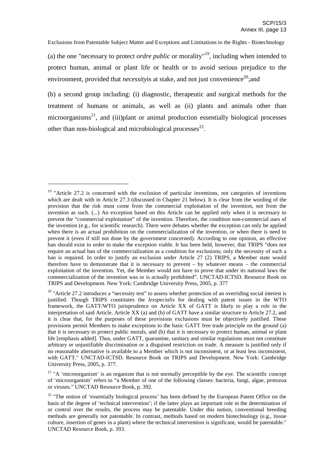(a) the one "necessary to protect *ordre public* or morality" 19 , including when intended to protect human, animal or plant life or health or to avoid serious prejudice to the environment, provided that *necessity* is at stake, and not just convenience<sup>20</sup>; and

(b) a second group including: (i) diagnostic, therapeutic and surgical methods for the treatment of humans or animals, as well as (ii) plants and animals other than microorganisms<sup>21</sup>, and (iii)plant or animal production essentially biological processes other than non-biological and microbiological processes<sup>22</sup>.

 $19$  "Article 27.2 is concerned with the exclusion of particular inventions, not categories of inventions which are dealt with in Article 27.3 (discussed in Chapter 21 below). It is clear from the wording of the provision that the risk must come from the commercial exploitation of the invention, not from the invention as such. (...) An exception based on this Article can be applied only when it is necessary to prevent the "commercial exploitation" of the invention. Therefore, the condition non-commercial uses of the invention (e.g., for scientific research). There were debates whether the exception can only be applied when there is an actual prohibition on the commercialization of the invention, or when there is need to prevent it (even if still not done by the government concerned). According to one opinion, an effective ban should exist in order to make the exception viable. It has been held, however, that TRIPS "does not require an actual ban of the commercialization as a condition for exclusions; only the necessity of such a ban is required. In order to justify an exclusion under Article 27 (2) TRIPS, a Member state would therefore have to demonstrate that it is necessary to prevent – by whatever means – the commercial exploitation of the invention. Yet, the Member would not have to prove that under its national laws the commercialization of the invention was or is actually prohibited". UNCTAD-ICTSD. Resource Book on TRIPS and Development. New York: Cambridge University Press, 2005, p. 377

<sup>&</sup>lt;sup>20</sup> "Article 27.2 introduces a "necessity test" to assess whether protection of an overriding social interest is justified. Though TRIPS constitutes the *lexspecialis* for dealing with patent issues in the WTO framework, the GATT/WTO jurisprudence on Article XX of GATT is likely to play a role in the interpretation of said Article. Article XX (a) and (b) of GATT have a similar structure to Article 27.2, and it is clear that, for the purposes of these provisions exclusions must be objectively justified. These provisions permit Members to make exceptions to the basic GATT free trade principle on the ground (a) that it is necessary to protect public morals, and (b) that it is necessary to protect human, animal or plant life [emphasis added]. Thus, under GATT, quarantine, sanitary and similar regulations must not constitute arbitrary or unjustifiable discrimination or a disguised restriction on trade. A measure is justified only if no reasonable alternative is available to a Member which is not inconsistent, or at least less inconsistent, with GATT." UNCTAD-ICTSD. Resource Book on TRIPS and Development. New York: Cambridge University Press, 2005, p. 377.

 $21$  "A 'microorganism' is an organism that is not normally perceptible by the eye. The scientific concept of 'microorganism' refers to "a Member of one of the following classes: bacteria, fungi, algae, protozoa or viruses." UNCTAD Resource Book, p. 392.

<sup>&</sup>lt;sup>22</sup> "The notion of 'essentially biological process' has been defined by the European Patent Office on the basis of the degree of 'technical intervention'; if the latter plays an important role in the determination of or control over the results, the process may be patentable. Under this notion, conventional breeding methods are generally not patentable. In contrast, methods based on modern biotechnology (e.g., tissue culture, insertion of genes in a plant) where the technical intervention is significant, would be patentable." UNCTAD Resource Book, p. 393.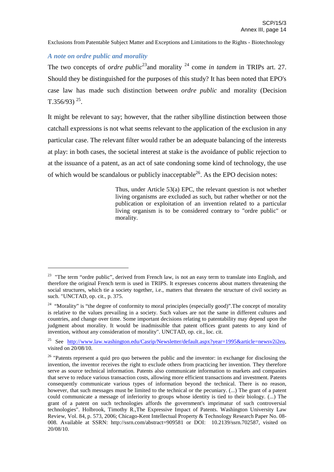## *A note on ordre public and morality*

The two concepts of *ordre public*<sup>23</sup> and morality <sup>24</sup> come *in tandem* in TRIPs art. 27. Should they be distinguished for the purposes of this study? It has been noted that EPO's case law has made such distinction between *ordre public* and morality (Decision T.356/93)<sup>25</sup>.

It might be relevant to say; however, that the rather sibylline distinction between those catchall expressions is not what seems relevant to the application of the exclusion in any particular case. The relevant filter would rather be an adequate balancing of the interests at play: in both cases, the societal interest at stake is the avoidance of public rejection to at the issuance of a patent, as an act of sate condoning some kind of technology, the use of which would be scandalous or publicly inacceptable<sup>26</sup>. As the EPO decision notes:

> Thus, under Article 53(a) EPC, the relevant question is not whether living organisms are excluded as such, but rather whether or not the publication or exploitation of an invention related to a particular living organism is to be considered contrary to "ordre public" or morality.

<sup>&</sup>lt;sup>23</sup> "The term "ordre public", derived from French law, is not an easy term to translate into English, and therefore the original French term is used in TRIPS. It expresses concerns about matters threatening the social structures, which tie a society together, i.e., matters that threaten the structure of civil society as such. "UNCTAD, op. cit., p. 375.

<sup>&</sup>lt;sup>24</sup> "Morality" is "the degree of conformity to moral principles (especially good)". The concept of morality is relative to the values prevailing in a society. Such values are not the same in different cultures and countries, and change over time. Some important decisions relating to patentability may depend upon the judgment about morality. It would be inadmissible that patent offices grant patents to any kind of invention, without any consideration of morality". UNCTAD, op. cit., loc. cit.

<sup>&</sup>lt;sup>25</sup> See http://www.law.washington.edu/Casrip/Newsletter/default.aspx?vear=1995&article=newsv2i2eu, visited on 20/08/10.

<sup>&</sup>lt;sup>26</sup> "Patents represent a quid pro quo between the public and the inventor: in exchange for disclosing the invention, the inventor receives the right to exclude others from practicing her invention. They therefore serve as source technical information. Patents also communicate information to markets and companies that serve to reduce various transaction costs, allowing more efficient transactions and investment. Patents consequently communicate various types of information beyond the technical. There is no reason, however, that such messages must be limited to the technical or the pecuniary. (...) The grant of a patent could communicate a message of inferiority to groups whose identity is tied to their biology. (...) The grant of a patent on such technologies affords the government's imprimatur of such controversial technologies". Holbrook, Timothy R.,The Expressive Impact of Patents. Washington University Law Review, Vol. 84, p. 573, 2006; Chicago-Kent Intellectual Property & Technology Research Paper No. 08- 008. Available at SSRN: http://ssrn.com/abstract=909581 or DOI: 10.2139/ssrn.702587, visited on 20/08/10.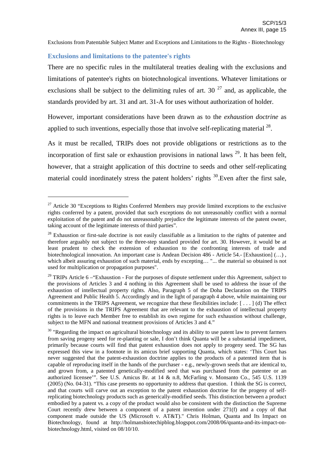#### **Exclusions and limitations to the patentee's rights**

There are no specific rules in the multilateral treaties dealing with the exclusions and limitations of patentee's rights on biotechnological inventions. Whatever limitations or exclusions shall be subject to the delimiting rules of art. 30  $^{27}$  and, as applicable, the standards provided by art. 31 and art. 31-A for uses without authorization of holder.

However, important considerations have been drawn as to the *exhaustion doctrine* as applied to such inventions, especially those that involve self-replicating material  $^{28}$ .

As it must be recalled, TRIPs does not provide obligations or restrictions as to the incorporation of first sale or exhaustion provisions in national laws<sup>29</sup>. It has been felt, however, that a straight application of this doctrine to seeds and other self-replicating material could inordinately stress the patent holders' rights  $30$ . Even after the first sale,

 $27$  Article 30 "Exceptions to Rights Conferred Members may provide limited exceptions to the exclusive rights conferred by a patent, provided that such exceptions do not unreasonably conflict with a normal exploitation of the patent and do not unreasonably prejudice the legitimate interests of the patent owner, taking account of the legitimate interests of third parties".

 $28$  Exhaustion or first-sale doctrine is not easily classifiable as a limitation to the rights of patentee and therefore arguably not subject to the three-step standard provided for art. 30. However, it would be at least prudent to check the extension of exhaustion to the confronting interests of trade and biotechnological innovation. An important case is Andean Decision 486 - Article 54.- [Exhaustion] (...), which albeit assuring exhaustion of such material, ends by excepting... "... the material so obtained is not used for multiplication or propagation purposes".

 $29$  TRIPs Article 6 – "Exhaustion - For the purposes of dispute settlement under this Agreement, subject to the provisions of Articles 3 and 4 nothing in this Agreement shall be used to address the issue of the exhaustion of intellectual property rights. Also, Paragraph 5 of the Doha Declaration on the TRIPS Agreement and Public Health 5. Accordingly and in the light of paragraph 4 above, while maintaining our commitments in the TRIPS Agreement, we recognize that these flexibilities include: [ . . . ] (d) The effect of the provisions in the TRIPS Agreement that are relevant to the exhaustion of intellectual property rights is to leave each Member free to establish its own regime for such exhaustion without challenge, subject to the MFN and national treatment provisions of Articles 3 and 4."

<sup>&</sup>lt;sup>30</sup> "Regarding the impact on agricultural biotechnology and its ability to use patent law to prevent farmers from saving progeny seed for re-planting or sale, I don't think Quanta will be a substantial impediment, primarily because courts will find that patent exhaustion does not apply to progeny seed. The SG has expressed this view in a footnote in its amicus brief supporting Quanta, which states: 'This Court has never suggested that the patent-exhaustion doctrine applies to the products of a patented item that is capable of reproducing itself in the hands of the purchaser - e.g., newly-grown seeds that are identical to, and grown from, a patented genetically-modified seed that was purchased from the patentee or an authorized licensee'". See U.S. Amicus Br. at 14 & n.8, McFarling v. Monsanto Co., 545 U.S. 1139 (2005) (No. 04-31). "This case presents no opportunity to address that question. I think the SG is correct, and that courts will carve out an exception to the patent exhaustion doctrine for the progeny of selfreplicating biotechnology products such as generically-modified seeds. This distinction between a product embodied by a patent vs. a copy of the product would also be consistent with the distinction the Supreme Court recently drew between a component of a patent invention under 271(f) and a copy of that component made outside the US (Microsoft v. AT&T)." Chris Holman, Quanta and Its Impact on Biotechnology, found at http://holmansbiotechipblog.blogspot.com/2008/06/quanta-and-its-impact-onbiotechnology.html, visited on 08/10/10.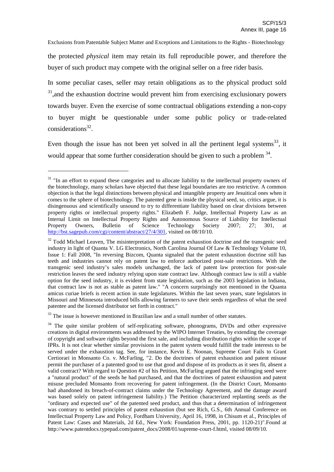the protected *physical* item may retain its full reproducible power, and therefore the buyer of such product may compete with the original seller on a free rider basis.

In some peculiar cases, seller may retain obligations as to the physical product sold  $31$ , and the exhaustion doctrine would prevent him from exercising exclusionary powers towards buyer. Even the exercise of some contractual obligations extending a non-copy to buyer might be questionable under some public policy or trade-related considerations 32 .

Even though the issue has not been yet solved in all the pertinent legal systems<sup>33</sup>, it would appear that some further consideration should be given to such a problem  $34$ .

 $33$  The issue is however mentioned in Brazilian law and a small number of other statutes.

<sup>&</sup>lt;sup>31</sup> "In an effort to expand these categories and to allocate liability to the intellectual property owners of the biotechnology, many scholars have objected that these legal boundaries are too restrictive. A common objection is that the legal distinctions between physical and intangible property are Jesuitical ones when it comes to the sphere of biotechnology. The patented gene is inside the physical seed, so, critics argue, it is disingenuous and scientifically unsound to try to differentiate liability based on clear divisions between property rights or intellectual property rights." Elizabeth F. Judge, Intellectual Property Law as an Internal Limit on Intellectual Property Rights and Autonomous Source of Liability for Intellectual Property Owners. Bulletin of Science Technology Society 2007: 27: 301, at Property Owners, Bulletin of Science Technology Society 2007; 27; 301, at http://bst.sagepub.com/cgi/content/abstract/27/4/301, visited on 08/10/10.

<sup>&</sup>lt;sup>32</sup> Todd Michael Leaven, The misinterpretation of the patent exhaustion doctrine and the transgenic seed industry in light of Quanta V. LG Electronics, North Carolina Journal Of Law & Technology Volume 10, Issue 1: Fall 2008, "In reversing Bizcom, Quanta signaled that the patent exhaustion doctrine still has teeth and industries cannot rely on patent law to enforce authorized post-sale restrictions. With the transgenic seed industry's sales models unchanged, the lack of patent law protection for post-sale restriction leaves the seed industry relying upon state contract law. Although contract law is still a viable option for the seed industry, it is evident from state legislation, such as the 2003 legislation in Indiana, that contract law is not as stable as patent law." "A concern surprisingly not mentioned in the Quanta amicus curiae briefs is recent action in state legislatures. Within the last seven years, state legislators in Missouri and Minnesota introduced bills allowing farmers to save their seeds regardless of what the seed patentee and the licensed distributor set forth in contract."

<sup>&</sup>lt;sup>34</sup> The quite similar problem of self-replicating software, phonograms, DVDs and other expressive creations in digital environments was addressed by the WIPO Internet Treaties, by extending the coverage of copyright and software rights beyond the first sale, and including distribution rights within the scope of IPRs. It is not clear whether similar provisions in the patent system would fulfill the trade interests to be served under the exhaustion tag. See, for instance, Kevin E. Noonan, Supreme Court Fails to Grant Certiorari in Monsanto Co. v. McFarling, "2. Do the doctrines of patent exhaustion and patent misuse permit the purchaser of a patented good to use that good and dispose of its products as it sees fit, absent a valid contract? With regard to Question #2 of his Petition, McFarling argued that the infringing seed were a "natural product" of the seeds he had purchased, and that the doctrines of patent exhaustion and patent misuse precluded Monsanto from recovering for patent infringement. (In the District Court, Monsanto had abandoned its breach-of-contract claims under the Technology Agreement, and the damage award was based solely on patent infringement liability.) The Petition characterized replanting seeds as the "ordinary and expected use" of the patented seed product, and thus that a determination of infringement was contrary to settled principles of patent exhaustion (but see Rich, G.S., 6th Annual Conference on Intellectual Property Law and Policy, Fordham University, April 16, 1998, in Chisum et al., Principles of Patent Law: Cases and Materials, 2d Ed., New York: Foundation Press, 2001, pp. 1120-21)".Found at http://www.patentdocs.typepad.com/patent\_docs/2008/01/supreme-court-f.html, visited 08/09/10.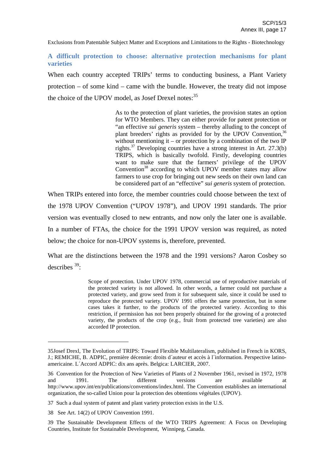**A difficult protection to choose: alternative protection mechanisms for plant varieties**

When each country accepted TRIPs' terms to conducting business, a Plant Variety protection – of some kind – came with the bundle. However, the treaty did not impose the choice of the UPOV model, as Josef Drexel notes:<sup>35</sup>

> As to the protection of plant varieties, the provision states an option for WTO Members. They can either provide for patent protection or "an effective *sui generis* system – thereby alluding to the concept of plant breeders' rights as provided for by the UPOV Convention,<sup>36</sup> without mentioning it – or protection by a combination of the two  $IP$ rights. <sup>37</sup> Developing countries have a strong interest in Art. 27.3(b) TRIPS, which is basically twofold. Firstly, developing countries want to make sure that the farmers' privilege of the UPOV Convention<sup>38</sup> according to which UPOV member states may allow farmers to use crop for bringing out new seeds on their own land can be considered part of an "effective" *sui generis* system of protection.

When TRIPs entered into force, the member countries could choose between the text of the 1978 UPOV Convention ("UPOV 1978"), and UPOV 1991 standards. The prior version was eventually closed to new entrants, and now only the later one is available. In a number of FTAs, the choice for the 1991 UPOV version was required, as noted below; the choice for non-UPOV systems is, therefore, prevented.

What are the distinctions between the 1978 and the 1991 versions? Aaron Cosbey so describes<sup>39</sup>:

> Scope of protection. Under UPOV 1978, commercial use of reproductive materials of the protected variety is not allowed. In other words, a farmer could not purchase a protected variety, and grow seed from it for subsequent sale, since it could be used to reproduce the protected variety. UPOV 1991 offers the same protection, but in some cases takes it further, to the products of the protected variety. According to this restriction, if permission has not been properly obtained for the growing of a protected variety, the products of the crop (e.g., fruit from protected tree varieties) are also accorded IP protection.

<sup>35</sup>Josef Drexl, The Evolution of TRIPS: Toward Flexible Multilateralism, published in French in KORS, J.; REMICHE, B. ADPIC, première décennie: droits d´auteur et accès à l´information. Perspective latinoamericaine. L´Accord ADPIC: dix ans après. Belgica: LARCIER, 2007.

<sup>36</sup> Convention for the Protection of New Varieties of Plants of 2 November 1961, revised in 1972, 1978 and 1991. The different versions are available at http://www.upov.int/en/publications/conventions/index.html. The Convention establishes an international organization, the so-called Union pour la protection des obtentions végétales (UPOV).

<sup>37</sup> Such a dual system of patent and plant variety protection exists in the U.S.

<sup>38</sup> See Art. 14(2) of UPOV Convention 1991.

<sup>39</sup> The Sustainable Development Effects of the WTO TRIPS Agreement: A Focus on Developing Countries, Institute for Sustainable Development, Winnipeg, Canada.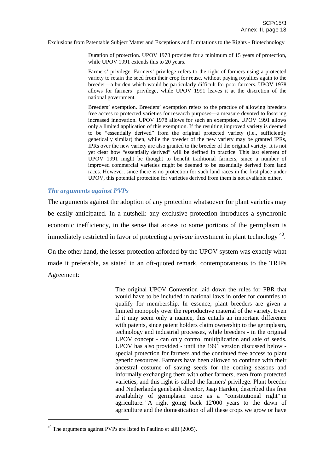Duration of protection. UPOV 1978 provides for a minimum of 15 years of protection, while UPOV 1991 extends this to 20 years.

Farmers' privilege. Farmers' privilege refers to the right of farmers using a protected variety to retain the seed from their crop for reuse, without paying royalties again to the breeder—a burden which would be particularly difficult for poor farmers. UPOV 1978 allows for farmers' privilege, while UPOV 1991 leaves it at the discretion of the national government.

Breeders' exemption. Breeders' exemption refers to the practice of allowing breeders free access to protected varieties for research purposes—a measure devoted to fostering increased innovation. UPOV 1978 allows for such an exemption. UPOV 1991 allows only a limited application of this exemption. If the resulting improved variety is deemed to be "essentially derived" from the original protected variety (i.e., sufficiently genetically similar) then, while the breeder of the new variety may be granted IPRs, IPRs over the new variety are also granted to the breeder of the original variety. It is not yet clear how "essentially derived" will be defined in practice. This last element of UPOV 1991 might be thought to benefit traditional farmers, since a number of improved commercial varieties might be deemed to be essentially derived from land races. However, since there is no protection for such land races in the first place under UPOV, this potential protection for varieties derived from them is not available either.

#### *The arguments against PVPs*

The arguments against the adoption of any protection whatsoever for plant varieties may be easily anticipated. In a nutshell: any exclusive protection introduces a synchronic economic inefficiency, in the sense that access to some portions of the germplasm is immediately restricted in favor of protecting a *private* investment in plant technology 40 .

On the other hand, the lesser protection afforded by the UPOV system was exactly what made it preferable, as stated in an oft-quoted remark, contemporaneous to the TRIPs Agreement:

> The original UPOV Convention laid down the rules for PBR that would have to be included in national laws in order for countries to qualify for membership. In essence, plant breeders are given a limited monopoly over the reproductive material of the variety. Even if it may seem only a nuance, this entails an important difference with patents, since patent holders claim ownership to the germplasm, technology and industrial processes, while breeders - in the original UPOV concept - can only control multiplication and sale of seeds. UPOV has also provided - until the 1991 version discussed below special protection for farmers and the continued free access to plant genetic resources. Farmers have been allowed to continue with their ancestral costume of saving seeds for the coming seasons and informally exchanging them with other farmers, even from protected varieties, and this right is called the farmers' privilege. Plant breeder and Netherlands genebank director, Jaap Hardon, described this free availability of germplasm once as a "constitutional right" in agriculture. "A right going back 12'000 years to the dawn of agriculture and the domestication of all these crops we grow or have

 $40$  The arguments against PVPs are listed in Paulino et allii (2005).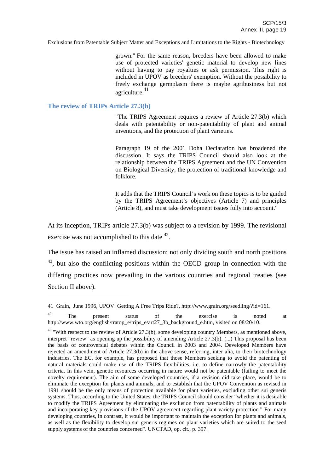grown." For the same reason, breeders have been allowed to make use of protected varieties' genetic material to develop new lines without having to pay royalties or ask permission. This right is included in UPOV as breeders' exemption. Without the possibility to freely exchange germplasm there is maybe agribusiness but not agriculture. 41

#### **The review of TRIPs Article 27.3(b)**

"The TRIPS Agreement requires a review of Article 27.3(b) which deals with patentability or non-patentability of plant and animal inventions, and the protection of plant varieties.

Paragraph 19 of the 2001 Doha Declaration has broadened the discussion. It says the TRIPS Council should also look at the relationship between the TRIPS Agreement and the UN Convention on Biological Diversity, the protection of traditional knowledge and folklore.

It adds that the TRIPS Council's work on these topics is to be guided by the TRIPS Agreement's objectives (Article 7) and principles (Article 8), and must take development issues fully into account."

At its inception, TRIPs article 27.3(b) was subject to a revision by 1999. The revisional exercise was not accomplished to this date  $42$ .

The issue has raised an inflamed discussion; not only dividing south and north positions <sup>43</sup>, but also the conflicting positions within the OECD group in connection with the differing practices now prevailing in the various countries and regional treaties (see Section II above).

<sup>41</sup> Grain, June 1996, UPOV: Getting A Free Trips Ride?, http://www.grain.org/seedling/?id=161.

 $42$  The present status of the exercise is noted at http://www.wto.org/english/tratop\_e/trips\_e/art27\_3b\_background\_e.htm, visited on 08/20/10.

 $43$  "With respect to the review of Article 27.3(b), some developing country Members, as mentioned above, interpret "review" as opening up the possibility of amending Article 27.3(b). (...) This proposal has been the basis of controversial debates within the Council in 2003 and 2004. Developed Members have rejected an amendment of Article 27.3(b) in the above sense, referring, inter alia, to their biotechnology industries. The EC, for example, has proposed that those Members seeking to avoid the patenting of natural materials could make use of the TRIPS flexibilities, i.e. to define narrowly the patentability criteria. In this vein, genetic resources occurring in nature would not be patentable (failing to meet the novelty requirement). The aim of some developed countries, if a revision did take place, would be to eliminate the exception for plants and animals, and to establish that the UPOV Convention as revised in 1991 should be the only means of protection available for plant varieties, excluding other sui generis systems. Thus, according to the United States, the TRIPS Council should consider "whether it is desirable to modify the TRIPS Agreement by eliminating the exclusion from patentability of plants and animals and incorporating key provisions of the UPOV agreement regarding plant variety protection." For many developing countries, in contrast, it would be important to maintain the exception for plants and animals, as well as the flexibility to develop sui generis regimes on plant varieties which are suited to the seed supply systems of the countries concerned". UNCTAD, op. cit., p. 397.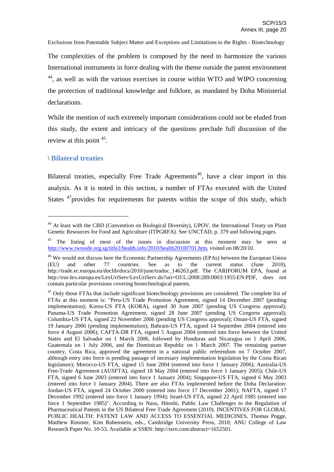The complexities of the problem is composed by the need to harmonize the various International instruments in force dealing with the theme outside the patent environment <sup>44</sup>, as well as with the various exercises in course within WTO and WIPO concerning the protection of traditional knowledge and folklore, as mandated by Doha Ministerial declarations.

While the mention of such extremely important considerations could not be eluded from this study, the extent and intricacy of the questions preclude full discussion of the review at this point <sup>45</sup>.

#### \ **Bilateral treaties**

Bilateral treaties, especially Free Trade Agreements<sup>46</sup>, have a clear import in this analysis. As it is noted in this section, a number of FTAs executed with the United States <sup>47</sup> provides for requirements for patents within the scope of this study, which

<sup>44</sup> At least with the CBD (Convention on Biological Diversity), UPOV, the International Treaty on Plant Genetic Resources for Food and Agriculture (ITPGRFA). See UNCTAD, p. 379 and following pages.

<sup>&</sup>lt;sup>45</sup> The listing of most of the issues in discussion at this moment may be seen at http://www.twnside.org.sg/title2/health.info/2010/health20100701.htm, visited on 08/20/10.

<sup>&</sup>lt;sup>46</sup> We would not discuss here the Economic Partnership Agreements (EPAs) between the European Union (EU) and other 77 countries. See as to the current status (June 2010), http://trade.ec.europa.eu/doclib/docs/2010/june/tradoc\_146263.pdf. The CARIFORUM EPA, found at http://eur-lex.europa.eu/LexUriServ/LexUriServ.do?uri=OJ:L:2008:289:0003:1955:EN:PDF, does not contain particular provisions covering biotechnological patents.

 $47$  Only those FTAs that include significant biotechnology provisions are considered. The complete list of FTAs at this moment is: "Peru-US Trade Promotion Agreement, signed 14 December 2007 (pending implementation); Korea-US FTA (KORA), signed 30 June 2007 (pending US Congress approval); Panama-US Trade Promotion Agreement, signed 28 June 2007 (pending US Congress approval); Columbia-US FTA, signed 22 November 2006 (pending US Congress approval); Oman-US FTA, signed 19 January 2006 (pending implementation); Bahrain-US FTA, signed 14 September 2004 (entered into force 4 August 2006); CAFTA-DR FTA, signed 5 August 2004 (entered into force between the United States and El Salvador on 1 March 2006, followed by Honduras and Nicaragua on 1 April 2006, Guatemala on 1 July 2006, and the Dominican Republic on 1 March 2007. The remaining partner country, Costa Rica, approved the agreement in a national public referendum on 7 October 2007, although entry into force is pending passage of necessary implementation legislation by the Costa Rican legislature); Morocco-US FTA, signed 15 June 2004 (entered into force 1 January 2006); Australia-US Free-Trade Agreement (AUSFTA), signed 18 May 2004 (entered into force 1 January 2005); Chile-US FTA, signed 6 June 2003 (entered into force 1 January 2004); Singapore-US FTA, signed 6 May 2003 (entered into force 1 January 2004). There are also FTAs implemented before the Doha Declaration: Jordan-US FTA, signed 24 October 2000 (entered into force 17 December 2001); NAFTA, signed 17 December 1992 (entered into force 1 January 1994); Israel-US FTA, signed 22 April 1985 (entered into force 1 September 1985)". According to Nasu, Hitoshi, Public Law Challenges to the Regulation of Pharmaceutical Patents in the US Bilateral Free Trade Agreement (2010). INCENTIVES FOR GLOBAL PUBLIC HEALTH: PATENT LAW AND ACCESS TO ESSENTIAL MEDICINES, Thomas Pogge, Matthew Rimmer, Kim Rubenstein, eds., Cambridge University Press, 2010; ANU College of Law Research Paper No. 10-53. Available at SSRN: http://ssrn.com/abstract=1652501.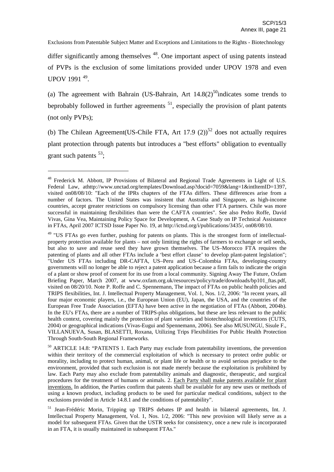differ significantly among themselves <sup>48</sup>. One important aspect of using patents instead of PVPs is the exclusion of some limitations provided under UPOV 1978 and even UPOV 1991<sup>49</sup>.

(a) The agreement with Bahrain (US-Bahrain, Art  $14.8(2)^{50}$  indicates some trends to beprobably followed in further agreements  $^{51}$ , especially the provision of plant patents (not only PVPs);

(b) The Chilean Agreement (US-Chile FTA, Art 17.9 (2))<sup>52</sup> does not actually requires plant protection through patents but introduces a "best efforts" obligation to eventually grant such patents  $53$ ;

<sup>48</sup> Frederick M. Abbott, IP Provisions of Bilateral and Regional Trade Agreements in Light of U.S. Federal Law, athttp://www.unctad.org/templates/Download.asp?docid=7059&lang=1&intItemID=1397, visited on08/08/10: "Each of the IPRs chapters of the FTAs differs. These differences arise from a number of factors. The United States was insistent that Australia and Singapore, as high-income countries, accept greater restrictions on compulsory licensing than other FTA partners. Chile was more successful in maintaining flexibilities than were the CAFTA countries". See also Pedro Roffe, David Vivas, Gina Vea, Maintaining Policy Space for Development, A Case Study on IP Technical Assistance in FTAs, April 2007 ICTSD Issue Paper No. 19, at http://ictsd.org/i/publications/3435/, on08/08/10.

<sup>&</sup>lt;sup>49</sup> "US FTAs go even further, pushing for patents on plants. This is the strongest form of intellectualproperty protection available for plants – not only limiting the rights of farmers to exchange or sell seeds, but also to save and reuse seed they have grown themselves. The US–Morocco FTA requires the patenting of plants and all other FTAs include a 'best effort clause' to develop plant-patent legislation"; "Under US FTAs including DR-CAFTA, US–Peru and US–Colombia FTAs, developing-country governments will no longer be able to reject a patent application because a firm fails to indicate the origin of a plant or show proof of consent for its use from a local community. Signing Away The Future, Oxfam Briefing Paper, March 2007, at www.oxfam.org.uk/resources/policy/trade/downloads/bp101\_ftas.pdf, visited on 08/20/10. Note P. Roffe and C. Spennemann, The impact of FTAs on public health policies and TRIPS flexibilities, Int. J. Intellectual Property Management, Vol. 1, Nos. 1/2, 2006: "In recent years, all four major economic players, i.e., the European Union (EU), Japan, the USA, and the countries of the European Free Trade Association (EFTA) have been active in the negotiation of FTAs (Abbott, 2004b). In the EU's FTAs, there are a number of TRIPS-plus obligations, but these are less relevant to the public health context, covering mainly the protection of plant varieties and biotechnological inventions (CUTS, 2004) or geographical indications (Vivas-Eugui and Spennemann, 2006). See also MUSUNGU, Sisule F., VILLANUEVA, Susan, BLASETTI, Roxana, Utilizing Trips Flexibilities For Public Health Protection Through South-South Regional Frameworks.

<sup>&</sup>lt;sup>50</sup> ARTICLE 14.8: "PATENTS 1. Each Party may exclude from patentability inventions, the prevention within their territory of the commercial exploitation of which is necessary to protect ordre public or morality, including to protect human, animal, or plant life or health or to avoid serious prejudice to the environment, provided that such exclusion is not made merely because the exploitation is prohibited by law. Each Party may also exclude from patentability animals and diagnostic, therapeutic, and surgical procedures for the treatment of humans or animals. 2. Each Party shall make patents available for plant inventions. In addition, the Parties confirm that patents shall be available for any new uses or methods of using a known product, including products to be used for particular medical conditions, subject to the exclusions provided in Article 14.8.1 and the conditions of patentability".

<sup>&</sup>lt;sup>51</sup> Jean-Frédéric Morin, Tripping up TRIPS debates IP and health in bilateral agreements, Int. J. Intellectual Property Management, Vol. 1, Nos. 1/2, 2006: "This new provision will likely serve as a model for subsequent FTAs. Given that the USTR seeks for consistency, once a new rule is incorporated in an FTA, it is usually maintained in subsequent FTAs."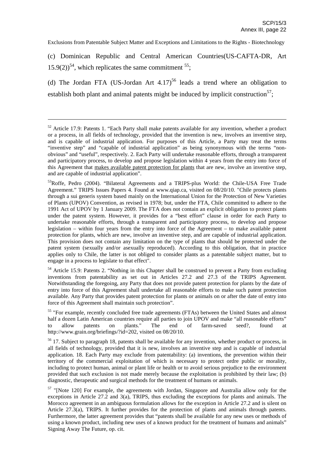(c) Dominican Republic and Central American Countries(US-CAFTA-DR, Art  $15.9(2)$ <sup>54</sup>, which replicates the same commitment <sup>55</sup>;

(d) The Jordan FTA (US-Jordan Art  $4.17$ )<sup>56</sup> leads a trend where an obligation to establish both plant and animal patents might be induced by implicit construction<sup>57</sup>;

<sup>54</sup> Article 15.9: Patents 2. "Nothing in this Chapter shall be construed to prevent a Party from excluding inventions from patentability as set out in Articles 27.2 and 27.3 of the TRIPS Agreement. Notwithstanding the foregoing, any Party that does not provide patent protection for plants by the date of entry into force of this Agreement shall undertake all reasonable efforts to make such patent protection available. Any Party that provides patent protection for plants or animals on or after the date of entry into force of this Agreement shall maintain such protection".

<sup>55</sup> "For example, recently concluded free trade agreements (FTAs) between the United States and almost half a dozen Latin American countries require all parties to join UPOV and make "all reasonable efforts" to allow patents on plants." The end of farm-saved seed?, found at to allow patents on plants." The end of farm-saved seed?, found at http://www.grain.org/briefings/?id=202, visited on 08/20/10.

<sup>56</sup> 17. Subject to paragraph 18, patents shall be available for any invention, whether product or process, in all fields of technology, provided that it is new, involves an inventive step and is capable of industrial application. 18. Each Party may exclude from patentability: (a) inventions, the prevention within their territory of the commercial exploitation of which is necessary to protect ordre public or morality, including to protect human, animal or plant life or health or to avoid serious prejudice to the environment provided that such exclusion is not made merely because the exploitation is prohibited by their law; (b) diagnostic, therapeutic and surgical methods for the treatment of humans or animals.

 $52$  Article 17.9: Patents 1. "Each Party shall make patents available for any invention, whether a product or a process, in all fields of technology, provided that the invention is new, involves an inventive step, and is capable of industrial application. For purposes of this Article, a Party may treat the terms "inventive step" and "capable of industrial application" as being synonymous with the terms "nonobvious" and "useful", respectively. 2. Each Party will undertake reasonable efforts, through a transparent and participatory process, to develop and propose legislation within 4 years from the entry into force of this Agreement that makes available patent protection for plants that are new, involve an inventive step, and are capable of industrial application".

<sup>&</sup>lt;sup>53</sup>Roffe, Pedro (2004). "Bilateral Agreements and a TRIPS-plus World: the Chile-USA Free Trade Agreement." TRIPS Issues Papers 4. Found at www.qiap.ca, visited on 08/20/10. "Chile protects plants through a sui generis system based mainly on the International Union for the Protection of New Varieties of Plants (UPOV) Convention, as revised in 1978; but, under the FTA, Chile committed to adhere to the 1991 Act of UPOV by 1 January 2009. The FTA does not contain an explicit obligation to protect plants under the patent system. However, it provides for a "best effort" clause in order for each Party to undertake reasonable efforts, through a transparent and participatory process, to develop and propose legislation – within four years from the entry into force of the Agreement – to make available patent protection for plants, which are new, involve an inventive step, and are capable of industrial application. This provision does not contain any limitation on the type of plants that should be protected under the patent system (sexually and/or asexually reproduced). According to this obligation, that in practice applies only to Chile, the latter is not obliged to consider plants as a patentable subject matter, but to engage in a process to legislate to that effect".

<sup>&</sup>lt;sup>57</sup> "[Note 120] For example, the agreements with Jordan, Singapore and Australia allow only for the exceptions in Article 27.2 and 3(a), TRIPS, thus excluding the exceptions for plants and animals. The Morocco agreement in an ambiguous formulation allows for the exception in Article 27.2 and is silent on Article 27.3(a), TRIPS. It further provides for the protection of plants and animals through patents. Furthermore, the latter agreement provides that "patents shall be available for any new uses or methods of using a known product, including new uses of a known product for the treatment of humans and animals" Signing Away The Future, op. cit.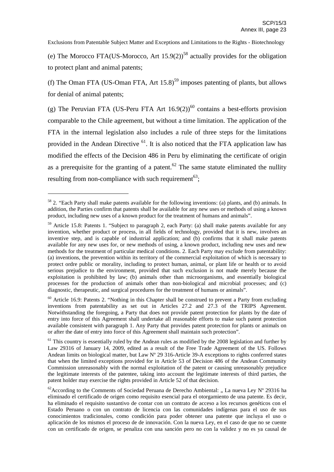(e) The Morocco FTA(US-Morocco, Art  $15.9(2)$ <sup>58</sup> actually provides for the obligation to protect plant and animal patents;

(f) The Oman FTA (US-Oman FTA, Art  $15.8$ )<sup>59</sup> imposes patenting of plants, but allows for denial of animal patents;

(g) The Peruvian FTA (US-Peru FTA Art  $16.9(2)$ )<sup>60</sup> contains a best-efforts provision comparable to the Chile agreement, but without a time limitation. The application of the FTA in the internal legislation also includes a rule of three steps for the limitations provided in the Andean Directive <sup>61</sup>. It is also noticed that the FTA application law has modified the effects of the Decision 486 in Peru by eliminating the certificate of origin as a prerequisite for the granting of a patent.<sup>62</sup> The same statute eliminated the nullity resulting from non-compliance with such requirement<sup>63</sup>;

<sup>58</sup> 2. "Each Party shall make patents available for the following inventions: (a) plants, and (b) animals. In addition, the Parties confirm that patents shall be available for any new uses or methods of using a known product, including new uses of a known product for the treatment of humans and animals".

<sup>&</sup>lt;sup>59</sup> Article 15.8: Patents 1. "Subject to paragraph 2, each Party: (a) shall make patents available for any invention, whether product or process, in all fields of technology, provided that it is new, involves an inventive step, and is capable of industrial application; and (b) confirms that it shall make patents available for any new uses for, or new methods of using, a known product, including new uses and new methods for the treatment of particular medical conditions. 2. Each Party may exclude from patentability: (a) inventions, the prevention within its territory of the commercial exploitation of which is necessary to protect ordre public or morality, including to protect human, animal, or plant life or health or to avoid serious prejudice to the environment, provided that such exclusion is not made merely because the exploitation is prohibited by law; (b) animals other than microorganisms, and essentially biological processes for the production of animals other than non-biological and microbial processes; and (c) diagnostic, therapeutic, and surgical procedures for the treatment of humans or animals".

 $60$  Article 16.9: Patents 2. "Nothing in this Chapter shall be construed to prevent a Party from excluding inventions from patentability as set out in Articles 27.2 and 27.3 of the TRIPS Agreement. Notwithstanding the foregoing, a Party that does not provide patent protection for plants by the date of entry into force of this Agreement shall undertake all reasonable efforts to make such patent protection available consistent with paragraph 1. Any Party that provides patent protection for plants or animals on or after the date of entry into force of this Agreement shall maintain such protection".

<sup>&</sup>lt;sup>61</sup> This country is essentially ruled by the Andean rules as modified by the 2008 legislation and further by Law 29316 of January 14, 2009, edited as a result of the Free Trade Agreement of the US. Follows Andean limits on biological matter, but Law Nº 29 316-Article 39-A exceptions to rights conferred states that when the limited exceptions provided for in Article 53 of Decision 486 of the Andean Community Commission unreasonably with the normal exploitation of the patent or causing unreasonably prejudice the legitimate interests of the patentee, taking into account the legitimate interests of third parties, the patent holder may exercise the rights provided in Article 52 of that decision.

<sup>&</sup>lt;sup>62</sup> According to the Comments of Sociedad Peruana de Derecho Ambiental: "La nueva Ley N° 29316 ha eliminado el certificado de origen como requisito esencial para el otorgamiento de una patente. Es decir, ha eliminado el requisito sustantivo de contar con un contrato de acceso a los recursos genéticos con el Estado Peruano o con un contrato de licencia con las comunidades indígenas para el uso de sus conocimientos tradicionales, como condición para poder obtener una patente que incluya el uso o aplicación de los mismos el proceso de de innovación. Con la nueva Ley, en el caso de que no se cuente con un certificado de origen, se penaliza con una sanción pero no con la validez y no es ya causal de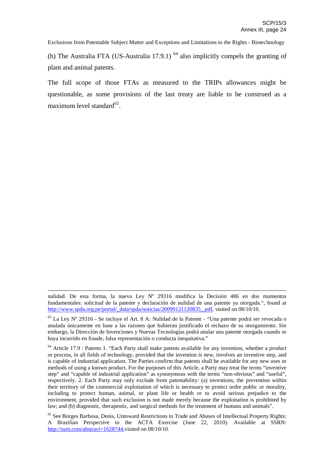(h) The Australia FTA (US-Australia 17.9.1)  $<sup>64</sup>$  also implicitly compels the granting of</sup> plant and animal patents.

The full scope of those FTAs as measured to the TRIPs allowances might be questionable, as some provisions of the last treaty are liable to be construed as a maximum level standard<sup>65</sup>.

nulidad. De esta forma, la nueva Ley Nº 29316 modifica la Decisión 486 en dos momentos fundamentales: solicitud de la patente y declaración de nulidad de una patente ya otorgada.", found at http://www.spda.org.pe/portal/\_data/spda/noticias/20090121120835\_.pdf, visited on 08/10/10.

 $63$  La Ley N° 29316 - Se incluye el Art. 8 A: Nulidad de la Patente - "Una patente podrá ser revocada o anulada únicamente en base a las razones que hubieran justificado el rechazo de su otorgamiento. Sin embargo, la Dirección de Invenciones y Nuevas Tecnologías podrá anular una patente otorgada cuando se haya incurrido en fraude, falsa representación o conducta inequitativa."

<sup>&</sup>lt;sup>64</sup> Article 17.9 : Patents 1. "Each Party shall make patents available for any invention, whether a product or process, in all fields of technology, provided that the invention is new, involves an inventive step, and is capable of industrial application. The Parties confirm that patents shall be available for any new uses or methods of using a known product. For the purposes of this Article, a Party may treat the terms "inventive step" and "capable of industrial application" as synonymous with the terms "non-obvious" and "useful", respectively. 2. Each Party may only exclude from patentability: (a) inventions, the prevention within their territory of the commercial exploitation of which is necessary to protect ordre public or morality, including to protect human, animal, or plant life or health or to avoid serious prejudice to the environment, provided that such exclusion is not made merely because the exploitation is prohibited by law; and (b) diagnostic, therapeutic, and surgical methods for the treatment of humans and animals".

<sup>&</sup>lt;sup>65</sup> See Borges Barbosa, Denis, Untoward Restrictions to Trade and Abuses of Intellectual Property Rights: A Brazilian Perspective to the ACTA Exercise (June 22, 2010). Available at SSRN: http://ssrn.com/abstract=1628744, visited on 08/10/10.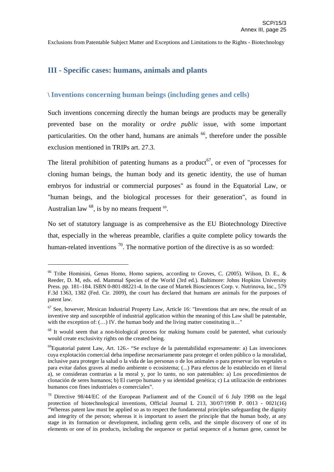## **III - Specific cases: humans, animals and plants**

## \ **Inventions concerning human beings (including genes and cells)**

Such inventions concerning directly the human beings are products may be generally prevented base on the morality or *ordre public* issue, with some important particularities. On the other hand, humans are animals <sup>66</sup>, therefore under the possible exclusion mentioned in TRIPs art. 27.3.

The literal prohibition of patenting humans as a product<sup>67</sup>, or even of "processes for cloning human beings, the human body and its genetic identity, the use of human embryos for industrial or commercial purposes" as found in the Equatorial Law, or "human beings, and the biological processes for their generation", as found in Australian law  $^{68}$ , is by no means frequent  $^{69}$ .

No set of statutory language is as comprehensive as the EU Biotechnology Directive that, especially in the whereas preamble, clarifies a quite complete policy towards the human-related inventions  $^{70}$ . The normative portion of the directive is as so worded:

<sup>&</sup>lt;sup>66</sup> Tribe Hominini, Genus Homo, Homo sapiens, according to Groves, C. (2005). Wilson, D. E., & Reeder, D. M, eds. ed. Mammal Species of the World (3rd ed.). Baltimore: Johns Hopkins University Press. pp. 181–184. ISBN 0-801-88221-4. In the case of Martek Biosciences Corp. v. Nutrinova, Inc., 579 F.3d 1363, 1382 (Fed. Cir. 2009), the court has declared that humans are animals for the purposes of patent law.

 $67$  See, however, Mexican Industrial Property Law, Article 16: "Inventions that are new, the result of an inventive step and susceptible of industrial application within the meaning of this Law shall be patentable, with the exception of:  $(...)$  IV. the human body and the living matter constituting it..."

<sup>&</sup>lt;sup>68</sup> It would seem that a non-biological process for making humans could be patented, what curiously would create exclusivity rights on the created being.

<sup>&</sup>lt;sup>69</sup> Equatorial patent Law, Art. 126.- "Se excluye de la patentabilidad expresamente: a) Las invenciones cuya explotación comercial deba impedirse necesariamente para proteger el orden público o la moralidad, inclusive para proteger la salud o la vida de las personas o de los animales o para preservar los vegetales o para evitar daños graves al medio ambiente o ecosistema; (...) Para efectos de lo establecido en el literal a), se consideran contrarias a la moral y, por lo tanto, no son patentables: a) Los procedimientos de clonación de seres humanos; b) El cuerpo humano y su identidad genética; c) La utilización de embriones humanos con fines industriales o comerciales".

<sup>70</sup> Directive 98/44/EC of the European Parliament and of the Council of 6 July 1998 on the legal protection of biotechnological inventions, Official Journal L 213, 30/07/1998 P. 0013 - 0021(16) "Whereas patent law must be applied so as to respect the fundamental principles safeguarding the dignity and integrity of the person; whereas it is important to assert the principle that the human body, at any stage in its formation or development, including germ cells, and the simple discovery of one of its elements or one of its products, including the sequence or partial sequence of a human gene, cannot be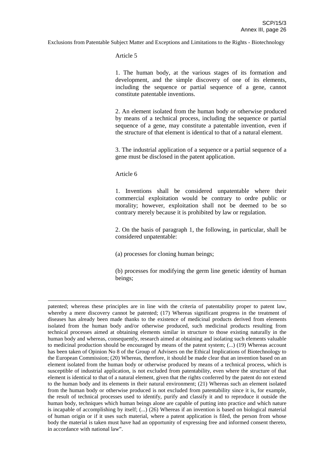Article 5

1. The human body, at the various stages of its formation and development, and the simple discovery of one of its elements, including the sequence or partial sequence of a gene, cannot constitute patentable inventions.

2. An element isolated from the human body or otherwise produced by means of a technical process, including the sequence or partial sequence of a gene, may constitute a patentable invention, even if the structure of that element is identical to that of a natural element.

3. The industrial application of a sequence or a partial sequence of a gene must be disclosed in the patent application.

Article 6

1. Inventions shall be considered unpatentable where their commercial exploitation would be contrary to ordre public or morality; however, exploitation shall not be deemed to be so contrary merely because it is prohibited by law or regulation.

2. On the basis of paragraph 1, the following, in particular, shall be considered unpatentable:

(a) processes for cloning human beings;

(b) processes for modifying the germ line genetic identity of human beings;

patented; whereas these principles are in line with the criteria of patentability proper to patent law, whereby a mere discovery cannot be patented; (17) Whereas significant progress in the treatment of diseases has already been made thanks to the existence of medicinal products derived from elements isolated from the human body and/or otherwise produced, such medicinal products resulting from technical processes aimed at obtaining elements similar in structure to those existing naturally in the human body and whereas, consequently, research aimed at obtaining and isolating such elements valuable to medicinal production should be encouraged by means of the patent system; (...) (19) Whereas account has been taken of Opinion No 8 of the Group of Advisers on the Ethical Implications of Biotechnology to the European Commission; (20) Whereas, therefore, it should be made clear that an invention based on an element isolated from the human body or otherwise produced by means of a technical process, which is susceptible of industrial application, is not excluded from patentability, even where the structure of that element is identical to that of a natural element, given that the rights conferred by the patent do not extend to the human body and its elements in their natural environment; (21) Whereas such an element isolated from the human body or otherwise produced is not excluded from patentability since it is, for example, the result of technical processes used to identify, purify and classify it and to reproduce it outside the human body, techniques which human beings alone are capable of putting into practice and which nature is incapable of accomplishing by itself; (...) (26) Whereas if an invention is based on biological material of human origin or if it uses such material, where a patent application is filed, the person from whose body the material is taken must have had an opportunity of expressing free and informed consent thereto, in accordance with national law".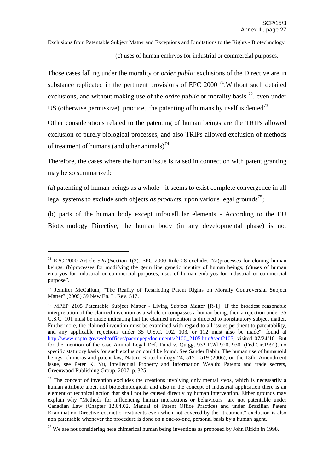(c) uses of human embryos for industrial or commercial purposes.

Those cases falling under the morality or *order public* exclusions of the Directive are in substance replicated in the pertinent provisions of EPC 2000<sup> $71$ </sup>. Without such detailed exclusions, and without making use of the *ordre public* or morality basis <sup>72</sup>, even under US (otherwise permissive) practice, the patenting of humans by itself is denied<sup>73</sup>.

Other considerations related to the patenting of human beings are the TRIPs allowed exclusion of purely biological processes, and also TRIPs-allowed exclusion of methods of treatment of humans (and other animals) $^{74}$ .

Therefore, the cases where the human issue is raised in connection with patent granting may be so summarized:

(a) patenting of human beings as a whole - it seems to exist complete convergence in all legal systems to exclude such objects *as products*, upon various legal grounds 75 ;

(b) parts of the human body except infracellular elements - According to the EU Biotechnology Directive, the human body (in any developmental phase) is not

<sup>&</sup>lt;sup>71</sup> EPC 2000 Article 52(a)/section 1(3). EPC 2000 Rule 28 excludes "(a)processes for cloning human beings; (b)processes for modifying the germ line genetic identity of human beings; (c)uses of human embryos for industrial or commercial purposes; uses of human embryos for industrial or commercial purpose".

<sup>&</sup>lt;sup>72</sup> Jennifer McCallum, "The Reality of Restricting Patent Rights on Morally Controversial Subject Matter" (2005) 39 New En. L. Rev. 517.

<sup>73</sup> MPEP 2105 Patentable Subject Matter - Living Subject Matter [R-1] "If the broadest reasonable interpretation of the claimed invention as a whole encompasses a human being, then a rejection under 35 U.S.C. 101 must be made indicating that the claimed invention is directed to nonstatutory subject matter. Furthermore, the claimed invention must be examined with regard to all issues pertinent to patentability, and any applicable rejections under 35 U.S.C. 102, 103, or 112 must also be made", found at http://www.uspto.gov/web/offices/pac/mpep/documents/2100\_2105.htm#sect2105, visited 07/24/10. But for the mention of the case Animal Legal Def. Fund v. Quigg, 932 F.2d 920, 930. (Fed.Cir.1991), no specific statutory basis for such exclusion could be found. See Sander Rabin, The human use of humanoid beings: chimeras and patent law, Nature Biotechnology 24, 517 - 519 (2006); on the 13th. Amendment issue, see Peter K. Yu, Intellectual Property and Information Wealth: Patents and trade secrets, Greenwood Publishing Group, 2007, p. 325.

 $74$  The concept of invention excludes the creations involving only mental steps, which is necessarily a human attribute albeit not biotechnological; and also in the concept of industrial application there is an element of technical action that shall not be caused directly by human intervention. Either grounds may explain why "Methods for influencing human interactions or behaviours" are not patentable under Canadian Law (Chapter 12.04.02, Manual of Patent Office Practice) and under Brazilian Patent Examination Directive cosmetic treatments even when not covered by the "treatment" exclusion is also non patentable whenever the procedure is done on a one-to-one, personal basis by a human agent.

 $75$  We are not considering here chimerical human being inventions as proposed by John Rifkin in 1998.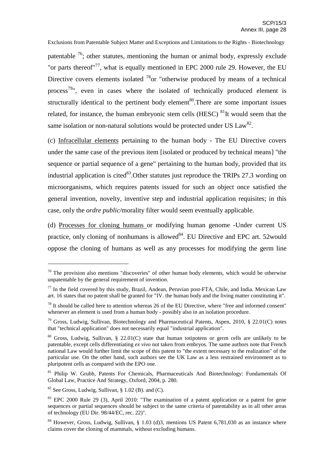patentable <sup>76</sup>; other statutes, mentioning the human or animal body, expressly exclude "or parts thereof"<sup>77</sup>, what is equally mentioned in EPC 2000 rule 29. However, the EU Directive covers elements isolated  $^{78}$ or "otherwise produced by means of a technical process<sup>79</sup>", even in cases where the isolated of technically produced element is structurally identical to the pertinent body element<sup>80</sup>. There are some important issues related, for instance, the human embryonic stem cells (HESC) <sup>81</sup>It would seem that the same isolation or non-natural solutions would be protected under US  $Law^{82}$ .

(c) Infracellular elements pertaining to the human body - The EU Directive covers under the same case of the previous item [isolated or produced by technical means] "the sequence or partial sequence of a gene" pertaining to the human body, provided that its industrial application is cited<sup>83</sup>. Other statutes just reproduce the TRIPs 27.3 wording on microorganisms, which requires patents issued for such an object once satisfied the general invention, novelty, inventive step and industrial application requisites; in this case, only the *ordre public/*morality filter would seem eventually applicable.

(d) Processes for cloning humans or modifying human genome -Under current US practice, only cloning of nonhumans is allowed<sup>84</sup>. EU Directive and EPC art. 52would oppose the cloning of humans as well as any processes for modifying the germ line

 $76$  The provision also mentions "discoveries" of other human body elements, which would be otherwise unpatentable by the general requirement of invention.

 $^{77}$  In the field covered by this study, Brazil, Andean, Peruvian post-FTA, Chile, and India. Mexican Law art. 16 states that no patent shall be granted for "IV. the human body and the living matter constituting it".

 $78$  It should be called here to attention whereas 26 of the EU Directive, where "free and informed consent" whenever an element is used from a human body - possibly also in an isolation procedure.

 $79$  Gross, Ludwig, Sullivan, Biotechnology and Pharmaceutical Patents, Aspen, 2010, § 22.01(C) notes that "technical application" does not necessarily equal "industrial application".

 $80$  Gross, Ludwig, Sullivan, § 22.01(C) state that human totipotens or germ cells are unlikely to be patentable, except cells differentiating *ex vivo* not taken from embryos. The same authors note that French national Law would further limit the scope of this patent to "the extent necessary to the realization" of the particular use. On the other hand, such authors see the UK Law as a less restrained environment as to pluripotent cells as compared with the EPO one.

<sup>&</sup>lt;sup>81</sup> Philip W. Grubb, Patents For Chemicals, Pharmaceuticals And Biotechnology: Fundamentals Of Global Law, Practice And Strategy, Oxford, 2004, p. 280.

 $82$  See Gross, Ludwig, Sullivan,  $\S$  1.02 (B), and (C).

<sup>&</sup>lt;sup>83</sup> EPC 2000 Rule 29 (3), April 2010: "The examination of a patent application or a patent for gene sequences or partial sequences should be subject to the same criteria of patentability as in all other areas of technology (EU Dir. 98/44/EC, rec. 22)".

<sup>&</sup>lt;sup>84</sup> However, Gross, Ludwig, Sullivan, § 1.03 (d)3, mentions US Patent 6,781,030 as an instance where claims cover the cloning of mammals, without excluding humans.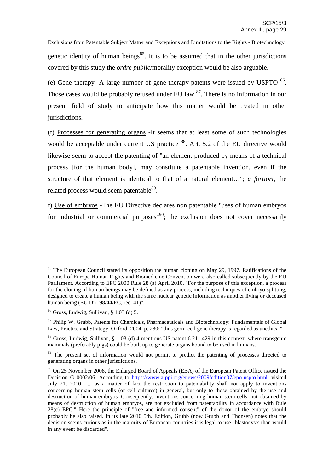Exclusions from Patentable Subject Matter and Exceptions and Limitations to the Rights - Biotechnology genetic identity of human beings<sup>85</sup>. It is to be assumed that in the other jurisdictions covered by this study the *ordre public*/morality exception would be also arguable.

(e) Gene therapy -A large number of gene therapy patents were issued by USPTO  $86$ . Those cases would be probably refused under EU law <sup>87</sup>. There is no information in our present field of study to anticipate how this matter would be treated in other jurisdictions.

(f) Processes for generating organs -It seems that at least some of such technologies would be acceptable under current US practice <sup>88</sup>. Art. 5.2 of the EU directive would likewise seem to accept the patenting of "an element produced by means of a technical process [for the human body], may constitute a patentable invention, even if the structure of that element is identical to that of a natural element…"; *a fortiori*, the related process would seem patentable<sup>89</sup>.

f) Use of embryos -The EU Directive declares non patentable "uses of human embryos for industrial or commercial purposes<sup>190</sup>; the exclusion does not cover necessarily

<sup>&</sup>lt;sup>85</sup> The European Council stated its opposition the human cloning on May 29, 1997. Ratifications of the Council of Europe Human Rights and Biomedicine Convention were also called subsequently by the EU Parliament. According to EPC 2000 Rule 28 (a) April 2010, "For the purpose of this exception, a process for the cloning of human beings may be defined as any process, including techniques of embryo splitting, designed to create a human being with the same nuclear genetic information as another living or deceased human being (EU Dir. 98/44/EC, rec. 41)".

 $86$  Gross, Ludwig, Sullivan, § 1.03 (d) 5.

<sup>&</sup>lt;sup>87</sup> Philip W. Grubb, Patents for Chemicals, Pharmaceuticals and Biotechnology: Fundamentals of Global Law, Practice and Strategy, Oxford, 2004, p. 280: "thus germ-cell gene therapy is regarded as unethical".

<sup>88</sup> Gross, Ludwig, Sullivan, § 1.03 (d) 4 mentions US patent 6.211,429 in this context, where transgenic mammals (preferably pigs) could be built up to generate organs bound to be used in humans.

<sup>&</sup>lt;sup>89</sup> The present set of information would not permit to predict the patenting of processes directed to generating organs in other jurisdictions.

<sup>&</sup>lt;sup>90</sup> On 25 November 2008, the Enlarged Board of Appeals (EBA) of the European Patent Office issued the Decision G 0002/06. According to https://www.aippi.org/enews/2009/edition07/epo-uspto.html, visited July 21, 2010, "... as a matter of fact the restriction to patentability shall not apply to inventions concerning human stem cells (or cell cultures) in general, but only to those obtained by the use and destruction of human embryos. Consequently, inventions concerning human stem cells, not obtained by means of destruction of human embryos, are not excluded from patentability in accordance with Rule 28(c) EPC." Here the principle of "free and informed consent" of the donor of the embryo should probably be also raised. In its late 2010 5th. Edition, Grubb (now Grubb and Thonsen) notes that the decision seems curious as in the majority of European countries it is legal to use "blastocysts than would in any event be discarded".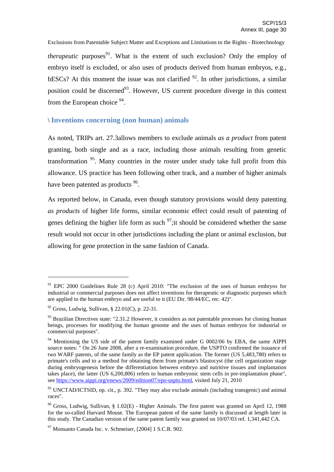Exclusions from Patentable Subject Matter and Exceptions and Limitations to the Rights - Biotechnology *therapeutic* purposes<sup>91</sup>. What is the extent of such exclusion? Only the employ of embryo itself is excluded, or also uses of products derived from human embryos, e.g., hESCs? At this moment the issue was not clarified  $92$ . In other jurisdictions, a similar position could be discerned<sup>93</sup>. However, US current procedure diverge in this context from the European choice <sup>94</sup>.

## \ **Inventions concerning (non human) animals**

As noted, TRIPs art. 27.3allows members to exclude animals *as a product* from patent granting, both single and as a race, including those animals resulting from genetic transformation <sup>95</sup>. Many countries in the roster under study take full profit from this allowance. US practice has been following other track, and a number of higher animals have been patented as products <sup>96</sup>.

As reported below, in Canada, even though statutory provisions would deny patenting *as products* of higher life forms, similar economic effect could result of patenting of genes defining the higher life form as such  $\frac{97}{1}$ ; it should be considered whether the same result would not occur in other jurisdictions including the plant or animal exclusion, but allowing for gene protection in the same fashion of Canada.

 $91$  EPC 2000 Guidelines Rule 28 (c) April 2010: "The exclusion of the uses of human embryos for industrial or commercial purposes does not affect inventions for therapeutic or diagnostic purposes which are applied to the human embryo and are useful to it (EU Dir. 98/44/EC, rec. 42)".

 $92$  Gross, Ludwig, Sullivan, § 22.01(C), p. 22-31.

 $93$  Brazilian Directives state: "2.31.2 However, it considers as not patentable processes for cloning human beings, processes for modifying the human genome and the uses of human embryos for industrial or commercial purposes".

<sup>&</sup>lt;sup>94</sup> Mentioning the US side of the patent family examined under G 0002/06 by EBA, the same AIPPI source notes: " On 26 June 2008, after a re-examination procedure, the USPTO confirmed the issuance of two WARF patents, of the same family as the EP patent application. The former (US 5,483,780) refers to primate's cells and to a method for obtaining them from primate's blastocyst (the cell organization stage during embryogenesis before the differentiation between embryo and nutritive tissues and implantation takes place), the latter (US 6,200,806) refers to human embryonic stem cells in pre-implantation phase", see https://www.aippi.org/enews/2009/edition07/epo-uspto.html, visited July 21, 2010

<sup>&</sup>lt;sup>95</sup> UNCTAD/ICTSID, op. cit., p. 392. "They may also exclude animals (including transgenic) and animal races".

<sup>&</sup>lt;sup>96</sup> Gross, Ludwig, Sullivan, § 1.02(E) - Higher Animals. The first patent was granted on April 12, 1988 for the so-called Harvard Mouse. The European patent of the same family is discussed at length later in this study. The Canadian version of the same patent family was granted on 10/07/03 ref. 1,341,442 CA.

<sup>97</sup> Monsanto Canada Inc. v. Schmeiser, [2004] 1 S.C.R. 902.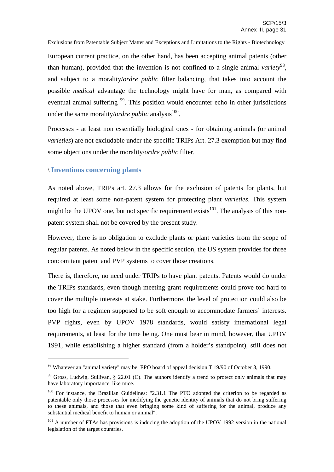European current practice, on the other hand, has been accepting animal patents (other than human), provided that the invention is not confined to a single animal *variety* 98 , and subject to a morality/*ordre public* filter balancing, that takes into account the possible *medical* advantage the technology might have for man, as compared with eventual animal suffering <sup>99</sup>. This position would encounter echo in other jurisdictions under the same morality/*ordre public* analysis<sup>100</sup>.

Processes - at least non essentially biological ones - for obtaining animals (or animal *varieties*) are not excludable under the specific TRIPs Art. 27.3 exemption but may find some objections under the morality/*ordre public* filter.

#### \ **Inventions concerning plants**

As noted above, TRIPs art. 27.3 allows for the exclusion of patents for plants, but required at least some non-patent system for protecting plant *varieties*. This system might be the UPOV one, but not specific requirement exists<sup>101</sup>. The analysis of this nonpatent system shall not be covered by the present study.

However, there is no obligation to exclude plants or plant varieties from the scope of regular patents. As noted below in the specific section, the US system provides for three concomitant patent and PVP systems to cover those creations.

There is, therefore, no need under TRIPs to have plant patents. Patents would do under the TRIPs standards, even though meeting grant requirements could prove too hard to cover the multiple interests at stake. Furthermore, the level of protection could also be too high for a regimen supposed to be soft enough to accommodate farmers' interests. PVP rights, even by UPOV 1978 standards, would satisfy international legal requirements, at least for the time being. One must bear in mind, however, that UPOV 1991, while establishing a higher standard (from a holder's standpoint), still does not

<sup>98</sup> Whatever an "animal variety" may be: EPO board of appeal decision T 19/90 of October 3, 1990.

<sup>&</sup>lt;sup>99</sup> Gross, Ludwig, Sullivan, § 22.01 (C). The authors identify a trend to protect only animals that may have laboratory importance, like mice.

<sup>&</sup>lt;sup>100</sup> For instance, the Brazilian Guidelines: "2.31.1 The PTO adopted the criterion to be regarded as patentable only those processes for modifying the genetic identity of animals that do not bring suffering to these animals, and those that even bringing some kind of suffering for the animal, produce any substantial medical benefit to human or animal".

<sup>&</sup>lt;sup>101</sup> A number of FTAs has provisions is inducing the adoption of the UPOV 1992 version in the national legislation of the target countries.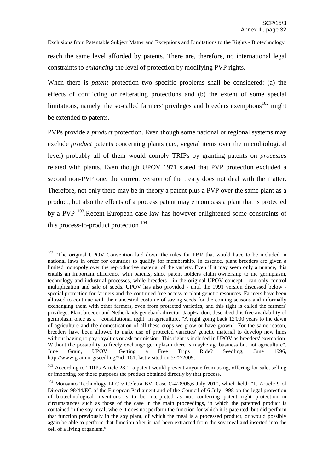reach the same level afforded by patents. There are, therefore, no international legal constraints to *enhancing* the level of protection by modifying PVP rights.

When there is *patent* protection two specific problems shall be considered: (a) the effects of conflicting or reiterating protections and (b) the extent of some special limitations, namely, the so-called farmers' privileges and breeders exemptions<sup>102</sup> might be extended to patents.

PVPs provide a *product* protection. Even though some national or regional systems may exclude *product* patents concerning plants (i.e., vegetal items over the microbiological level) probably all of them would comply TRIPs by granting patents on *processes* related with plants. Even though UPOV 1971 stated that PVP protection excluded a second non-PVP one, the current version of the treaty does not deal with the matter. Therefore, not only there may be in theory a patent plus a PVP over the same plant as a product, but also the effects of a process patent may encompass a plant that is protected by a PVP <sup>103</sup>.Recent European case law has however enlightened some constraints of this process-to-product protection  $104$ .

 $102$  "The original UPOV Convention laid down the rules for PBR that would have to be included in national laws in order for countries to qualify for membership. In essence, plant breeders are given a limited monopoly over the reproductive material of the variety. Even if it may seem only a nuance, this entails an important difference with patents, since patent holders claim ownership to the germplasm, technology and industrial processes, while breeders - in the original UPOV concept - can only control multiplication and sale of seeds. UPOV has also provided - until the 1991 version discussed below special protection for farmers and the continued free access to plant genetic resources. Farmers have been allowed to continue with their ancestral costume of saving seeds for the coming seasons and informally exchanging them with other farmers, even from protected varieties, and this right is called the farmers' privilege. Plant breeder and Netherlands genebank director, JaapHardon, described this free availability of germplasm once as a " constitutional right" in agriculture. "A right going back 12'000 years to the dawn of agriculture and the domestication of all these crops we grow or have grown." For the same reason, breeders have been allowed to make use of protected varieties' genetic material to develop new lines without having to pay royalties or ask permission. This right is included in UPOV as breeders' exemption. Without the possibility to freely exchange germplasm there is maybe agribusiness but not agriculture". June Grain, UPOV: Getting a Free Trips Ride? Seedling, June 1996, http://www.grain.org/seedling/?id=161, last visited on 5/22/2009.

 $103$  According to TRIPs Article 28.1, a patent would prevent anyone from using, offering for sale, selling or importing for those purposes the product obtained directly by that process.

<sup>104</sup> Monsanto Technology LLC v Cefetra BV, Case C-428/08,6 July 2010, which held: "1. Article 9 of Directive 98/44/EC of the European Parliament and of the Council of 6 July 1998 on the legal protection of biotechnological inventions is to be interpreted as not conferring patent right protection in circumstances such as those of the case in the main proceedings, in which the patented product is contained in the soy meal, where it does not perform the function for which it is patented, but did perform that function previously in the soy plant, of which the meal is a processed product, or would possibly again be able to perform that function after it had been extracted from the soy meal and inserted into the cell of a living organism."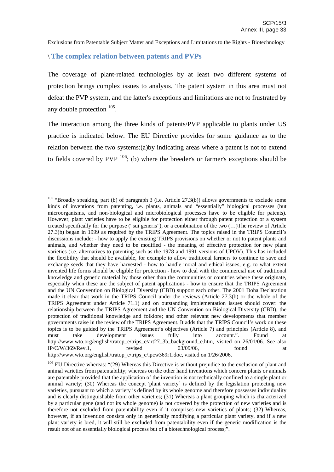#### \ **The complex relation between patents and PVPs**

The coverage of plant-related technologies by at least two different systems of protection brings complex issues to analysis. The patent system in this area must not defeat the PVP system, and the latter's exceptions and limitations are not to frustrated by any double protection  $^{105}$ .

The interaction among the three kinds of patents/PVP applicable to plants under US practice is indicated below. The EU Directive provides for some guidance as to the relation between the two systems:(a)by indicating areas where a patent is not to extend to fields covered by  $PVP$   $^{106}$ ; (b) where the breeder's or farmer's exceptions should be

<sup>&</sup>lt;sup>105</sup> "Broadly speaking, part (b) of paragraph 3 (i.e. Article 27.3(b)) allows governments to exclude some kinds of inventions from patenting, i.e. plants, animals and "essentially" biological processes (but microorganisms, and non-biological and microbiological processes have to be eligible for patents). However, plant varieties have to be eligible for protection either through patent protection or a system created specifically for the purpose ("sui generis"), or a combination of the two (…)The review of Article 27.3(b) began in 1999 as required by the TRIPS Agreement. The topics raised in the TRIPS Council's discussions include: - how to apply the existing TRIPS provisions on whether or not to patent plants and animals, and whether they need to be modified - the meaning of effective protection for new plant varieties (i.e. alternatives to patenting such as the 1978 and 1991 versions of UPOV). This has included the flexibility that should be available, for example to allow traditional farmers to continue to save and exchange seeds that they have harvested - how to handle moral and ethical issues, e.g. to what extent invented life forms should be eligible for protection - how to deal with the commercial use of traditional knowledge and genetic material by those other than the communities or countries where these originate, especially when these are the subject of patent applications - how to ensure that the TRIPS Agreement and the UN Convention on Biological Diversity (CBD) support each other. The 2001 Doha Declaration made it clear that work in the TRIPS Council under the reviews (Article 27.3(b) or the whole of the TRIPS Agreement under Article 71.1) and on outstanding implementation issues should cover: the relationship between the TRIPS Agreement and the UN Convention on Biological Diversity (CBD); the protection of traditional knowledge and folklore; and other relevant new developments that member governments raise in the review of the TRIPS Agreement. It adds that the TRIPS Council's work on these topics is to be guided by the TRIPS Agreement's objectives (Article 7) and principles (Article 8), and must take development issues fully into account.". Found at http://www.wto.org/english/tratop\_e/trips\_e/art27\_3b\_background\_e.htm, visited on 26/01/06. See also  $IP/C/W/369/Rev.1$ , revised 03/09/06, found at http://www.wto.org/english/tratop\_e/trips\_e/ipcw369r1.doc, visited on 1/26/2006.

<sup>&</sup>lt;sup>106</sup> EU Directive whereas: "(29) Whereas this Directive is without prejudice to the exclusion of plant and animal varieties from patentability; whereas on the other hand inventions which concern plants or animals are patentable provided that the application of the invention is not technically confined to a single plant or animal variety; (30) Whereas the concept 'plant variety` is defined by the legislation protecting new varieties, pursuant to which a variety is defined by its whole genome and therefore possesses individuality and is clearly distinguishable from other varieties; (31) Whereas a plant grouping which is characterized by a particular gene (and not its whole genome) is not covered by the protection of new varieties and is therefore not excluded from patentability even if it comprises new varieties of plants; (32) Whereas, however, if an invention consists only in genetically modifying a particular plant variety, and if a new plant variety is bred, it will still be excluded from patentability even if the genetic modification is the result not of an essentially biological process but of a biotechnological process;".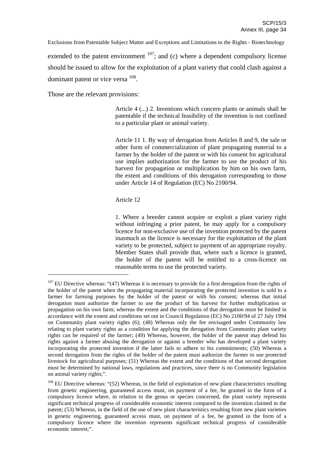Exclusions from Patentable Subject Matter and Exceptions and Limitations to the Rights - Biotechnology extended to the patent environment  $107$ ; and (c) where a dependent compulsory license should be issued to allow for the exploitation of a plant variety that could clash against a dominant patent or vice versa <sup>108</sup>.

Those are the relevant provisions:

Article 4 (...) 2. Inventions which concern plants or animals shall be patentable if the technical feasibility of the invention is not confined to a particular plant or animal variety.

Article 11 1. By way of derogation from Articles 8 and 9, the sale or other form of commercialization of plant propagating material to a farmer by the holder of the patent or with his consent for agricultural use implies authorization for the farmer to use the product of his harvest for propagation or multiplication by him on his own farm, the extent and conditions of this derogation corresponding to those under Article 14 of Regulation (EC) No 2100/94.

Article 12

1. Where a breeder cannot acquire or exploit a plant variety right without infringing a prior patent, he may apply for a compulsory licence for non-exclusive use of the invention protected by the patent inasmuch as the licence is necessary for the exploitation of the plant variety to be protected, subject to payment of an appropriate royalty. Member States shall provide that, where such a licence is granted, the holder of the patent will be entitled to a cross-licence on reasonable terms to use the protected variety.

<sup>&</sup>lt;sup>107</sup> EU Directive whereas: "(47) Whereas it is necessary to provide for a first derogation from the rights of the holder of the patent when the propagating material incorporating the protected invention is sold to a farmer for farming purposes by the holder of the patent or with his consent; whereas that initial derogation must authorize the farmer to use the product of his harvest for further multiplication or propagation on his own farm; whereas the extent and the conditions of that derogation must be limited in accordance with the extent and conditions set out in Council Regulation (EC) No 2100/94 of 27 July 1994 on Community plant variety rights (6); (48) Whereas only the fee envisaged under Community law relating to plant variety rights as a condition for applying the derogation from Community plant variety rights can be required of the farmer; (49) Whereas, however, the holder of the patent may defend his rights against a farmer abusing the derogation or against a breeder who has developed a plant variety incorporating the protected invention if the latter fails to adhere to his commitments; (50) Whereas a second derogation from the rights of the holder of the patent must authorize the farmer to use protected livestock for agricultural purposes; (51) Whereas the extent and the conditions of that second derogation must be determined by national laws, regulations and practices, since there is no Community legislation on animal variety rights;".

<sup>&</sup>lt;sup>108</sup> EU Directive whereas: "(52) Whereas, in the field of exploitation of new plant characteristics resulting from genetic engineering, guaranteed access must, on payment of a fee, be granted in the form of a compulsory licence where, in relation to the genus or species concerned, the plant variety represents significant technical progress of considerable economic interest compared to the invention claimed in the patent; (53) Whereas, in the field of the use of new plant characteristics resulting from new plant varieties in genetic engineering, guaranteed access must, on payment of a fee, be granted in the form of a compulsory licence where the invention represents significant technical progress of considerable economic interest;".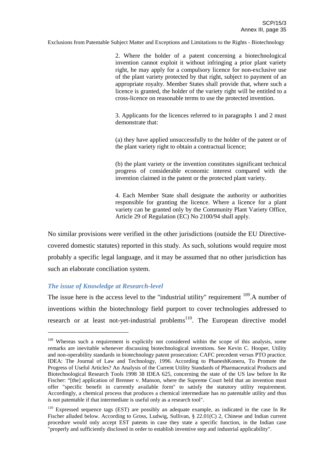2. Where the holder of a patent concerning a biotechnological invention cannot exploit it without infringing a prior plant variety right, he may apply for a compulsory licence for non-exclusive use of the plant variety protected by that right, subject to payment of an appropriate royalty. Member States shall provide that, where such a licence is granted, the holder of the variety right will be entitled to a cross-licence on reasonable terms to use the protected invention.

3. Applicants for the licences referred to in paragraphs 1 and 2 must demonstrate that:

(a) they have applied unsuccessfully to the holder of the patent or of the plant variety right to obtain a contractual licence;

(b) the plant variety or the invention constitutes significant technical progress of considerable economic interest compared with the invention claimed in the patent or the protected plant variety.

4. Each Member State shall designate the authority or authorities responsible for granting the licence. Where a licence for a plant variety can be granted only by the Community Plant Variety Office, Article 29 of Regulation (EC) No 2100/94 shall apply.

No similar provisions were verified in the other jurisdictions (outside the EU Directivecovered domestic statutes) reported in this study. As such, solutions would require most probably a specific legal language, and it may be assumed that no other jurisdiction has such an elaborate conciliation system.

#### *The issue of Knowledge at Research-level*

The issue here is the access level to the "industrial utility" requirement  $109$ . A number of inventions within the biotechnology field purport to cover technologies addressed to research or at least not-yet-industrial problems<sup>110</sup>. The European directive model

<sup>&</sup>lt;sup>109</sup> Whereas such a requirement is explicitly not considered within the scope of this analysis, some remarks are inevitable whenever discussing biotechnological inventions. See Kevin C. Hooper, Utility and non-operability standards in biotechnology patent prosecution: CAFC precedent versus PTO practice. IDEA: The Journal of Law and Technology, 1996. According to PhaneshKoneru, To Promote the Progress of Useful Articles? An Analysis of the Current Utility Standards of Pharmaceutical Products and Biotechnological Research Tools 1998 38 IDEA 625, concerning the state of the US law before In Re Fischer: "[the] application of Brenner v. Manson, where the Supreme Court held that an invention must offer "specific benefit in currently available form" to satisfy the statutory utility requirement. Accordingly, a chemical process that produces a chemical intermediate has no patentable utility and thus is not patentable if that intermediate is useful only as a research tool".

<sup>&</sup>lt;sup>110</sup> Expressed sequence tags (EST) are possibly an adequate example, as indicated in the case In Re Fischer alluded below. According to Gross, Ludwig, Sullivan, § 22.01(C) 2, Chinese and Indian current procedure would only accept EST patents in case they state a specific function, in the Indian case "properly and sufficiently disclosed in order to establish inventive step and industrial applicability".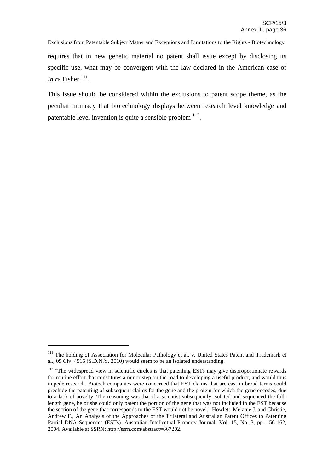Exclusions from Patentable Subject Matter and Exceptions and Limitations to the Rights - Biotechnology requires that in new genetic material no patent shall issue except by disclosing its specific use, what may be convergent with the law declared in the American case of *In re* Fisher  $^{111}$ .

This issue should be considered within the exclusions to patent scope theme, as the peculiar intimacy that biotechnology displays between research level knowledge and patentable level invention is quite a sensible problem  $^{112}$ .

<sup>&</sup>lt;sup>111</sup> The holding of Association for Molecular Pathology et al. v. United States Patent and Trademark et al., 09 Civ. 4515 (S.D.N.Y. 2010) would seem to be an isolated understanding.

<sup>&</sup>lt;sup>112</sup> "The widespread view in scientific circles is that patenting ESTs may give disproportionate rewards for routine effort that constitutes a minor step on the road to developing a useful product, and would thus impede research. Biotech companies were concerned that EST claims that are cast in broad terms could preclude the patenting of subsequent claims for the gene and the protein for which the gene encodes, due to a lack of novelty. The reasoning was that if a scientist subsequently isolated and sequenced the fulllength gene, he or she could only patent the portion of the gene that was not included in the EST because the section of the gene that corresponds to the EST would not be novel." Howlett, Melanie J. and Christie, Andrew F., An Analysis of the Approaches of the Trilateral and Australian Patent Offices to Patenting Partial DNA Sequences (ESTs). Australian Intellectual Property Journal, Vol. 15, No. 3, pp. 156-162, 2004. Available at SSRN: http://ssrn.com/abstract=667202.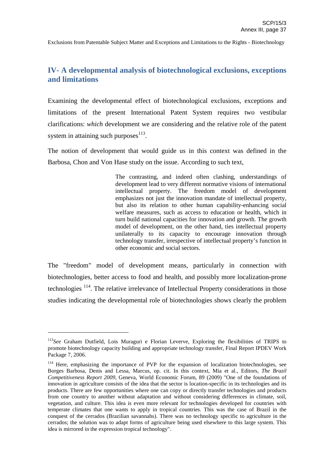# **IV- A developmental analysis of biotechnological exclusions, exceptions and limitations**

Examining the developmental effect of biotechnological exclusions, exceptions and limitations of the present International Patent System requires two vestibular clarifications: *which* development we are considering and the relative role of the patent system in attaining such purposes $^{113}$ .

The notion of development that would guide us in this context was defined in the Barbosa, Chon and Von Hase study on the issue. According to such text,

> The contrasting, and indeed often clashing, understandings of development lead to very different normative visions of international intellectual property. The freedom model of development emphasizes not just the innovation mandate of intellectual property, but also its relation to other human capability-enhancing social welfare measures, such as access to education or health, which in turn build national capacities for innovation and growth. The growth model of development, on the other hand, ties intellectual property unilaterally to its capacity to encourage innovation through technology transfer, irrespective of intellectual property's function in other economic and social sectors.

The "freedom" model of development means, particularly in connection with biotechnologies, better access to food and health, and possibly more localization-prone technologies <sup>114</sup>. The relative irrelevance of Intellectual Property considerations in those studies indicating the developmental role of biotechnologies shows clearly the problem

<sup>&</sup>lt;sup>113</sup>See Graham Dutfield, Lois Muraguri e Florian Leverve, Exploring the flexibilities of TRIPS to promote biotechnology capacity building and appropriate technology transfer, Final Report IPDEV Work Package 7, 2006.

<sup>&</sup>lt;sup>114</sup> Here, emphasizing the importance of PVP for the expansion of localization biotechnologies, see Borges Barbosa, Denis and Lessa, Marcus, op. cit. In this context, Mia et al., Editors, *The Brazil Competitiveness Report 2009*, Geneva, World Economic Forum, 89 (2009) "One of the foundations of innovation in agriculture consists of the idea that the sector is location-specific in its technologies and its products. There are few opportunities where one can copy or directly transfer technologies and products from one country to another without adaptation and without considering differences in climate, soil, vegetation, and culture. This idea is even more relevant for technologies developed for countries with temperate climates that one wants to apply in tropical countries. This was the case of Brazil in the conquest of the cerrados (Brazilian savannahs). There was no technology specific to agriculture in the cerrados; the solution was to adapt forms of agriculture being used elsewhere to this large system. This idea is mirrored in the expression tropical technology".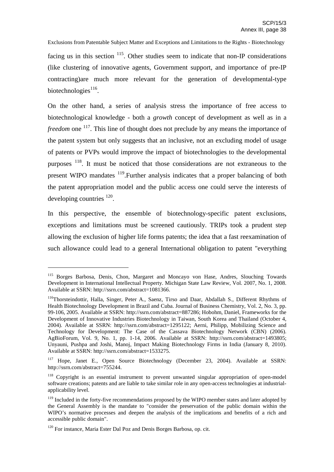Exclusions from Patentable Subject Matter and Exceptions and Limitations to the Rights - Biotechnology facing us in this section <sup>115</sup>. Other studies seem to indicate that non-IP considerations (like clustering of innovative agents, Government support, and importance of pre-IP contracting)are much more relevant for the generation of developmental-type biotechnologies<sup>116</sup>.

On the other hand, a series of analysis stress the importance of free access to biotechnological knowledge - both a *growth* concept of development as well as in a *freedom* one <sup>117</sup>. This line of thought does not preclude by any means the importance of the patent system but only suggests that an inclusive, not an excluding model of usage of patents or PVPs would improve the impact of biotechnologies to the developmental purposes <sup>118</sup>. It must be noticed that those considerations are not extraneous to the present WIPO mandates <sup>119</sup>. Further analysis indicates that a proper balancing of both the patent appropriation model and the public access one could serve the interests of developing countries <sup>120</sup>.

In this perspective, the ensemble of biotechnology-specific patent exclusions, exceptions and limitations must be screened cautiously. TRIPs took a prudent step allowing the exclusion of higher life forms patents; the idea that a fast reexamination of such allowance could lead to a general International obligation to patent "everything

<sup>115</sup> Borges Barbosa, Denis, Chon, Margaret and Moncayo von Hase, Andres, Slouching Towards Development in International Intellectual Property. Michigan State Law Review, Vol. 2007, No. 1, 2008. Available at SSRN: http://ssrn.com/abstract=1081366.

<sup>&</sup>lt;sup>116</sup>Thorsteindottir, Halla, Singer, Peter A., Saenz, Tirso and Daar, Abdallah S., Different Rhythms of Health Biotechnology Development in Brazil and Cuba. Journal of Business Chemistry, Vol. 2, No. 3, pp. 99-106, 2005. Available at SSRN: http://ssrn.com/abstract=887286; Hobohm, Daniel, Frameworks for the Development of Innovative Industries Biotechnology in Taiwan, South Korea and Thailand (October 4, 2004). Available at SSRN: http://ssrn.com/abstract=1295122; Aerni, Philipp, Mobilizing Science and Technology for Development: The Case of the Cassava Biotechnology Network (CBN) (2006). AgBioForum, Vol. 9, No. 1, pp. 1-14, 2006. Available at SSRN: http://ssrn.com/abstract=1493805; Unyauni, Pushpa and Joshi, Manoj, Impact Making Biotechnology Firms in India (January 8, 2010). Available at SSRN: http://ssrn.com/abstract=1533275.

<sup>&</sup>lt;sup>117</sup> Hope, Janet E., Open Source Biotechnology (December 23, 2004). Available at SSRN: http://ssrn.com/abstract=755244.

<sup>&</sup>lt;sup>118</sup> Copyright is an essential instrument to prevent unwanted singular appropriation of open-model software creations; patents and are liable to take similar role in any open-access technologies at industrialapplicability level.

<sup>&</sup>lt;sup>119</sup> Included in the forty-five recommendations proposed by the WIPO member states and later adopted by the General Assembly is the mandate to "consider the preservation of the public domain within the WIPO's normative processes and deepen the analysis of the implications and benefits of a rich and accessible public domain".

<sup>&</sup>lt;sup>120</sup> For instance, Maria Ester Dal Poz and Denis Borges Barbosa, op. cit.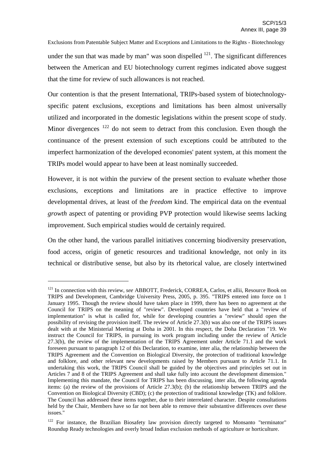Exclusions from Patentable Subject Matter and Exceptions and Limitations to the Rights - Biotechnology under the sun that was made by man" was soon dispelled  $121$ . The significant differences between the American and EU biotechnology current regimes indicated above suggest that the time for review of such allowances is not reached.

Our contention is that the present International, TRIPs-based system of biotechnologyspecific patent exclusions, exceptions and limitations has been almost universally utilized and incorporated in the domestic legislations within the present scope of study. Minor divergences  $122$  do not seem to detract from this conclusion. Even though the continuance of the present extension of such exceptions could be attributed to the imperfect harmonization of the developed economies' patent system, at this moment the TRIPs model would appear to have been at least nominally succeeded.

However, it is not within the purview of the present section to evaluate whether those exclusions, exceptions and limitations are in practice effective to improve developmental drives, at least of the *freedom* kind. The empirical data on the eventual *growth* aspect of patenting or providing PVP protection would likewise seems lacking improvement. Such empirical studies would de certainly required.

On the other hand, the various parallel initiatives concerning biodiversity preservation, food access, origin of genetic resources and traditional knowledge, not only in its technical or distributive sense, but also by its rhetorical value, are closely intertwined

<sup>121</sup> In connection with this review, *see* ABBOTT, Frederick, CORREA, Carlos, et allii, Resource Book on TRIPS and Development, Cambridge University Press, 2005, p. 395. "TRIPS entered into force on 1 January 1995. Though the review should have taken place in 1999, there has been no agreement at the Council for TRIPS on the meaning of "review". Developed countries have held that a "review of implementation" is what is called for, while for developing countries a "review" should open the possibility of revising the provision itself. The review of Article 27.3(b) was also one of the TRIPS issues dealt with at the Ministerial Meeting at Doha in 2001. In this respect, the Doha Declaration "19. We instruct the Council for TRIPS, in pursuing its work program including under the review of Article 27.3(b), the review of the implementation of the TRIPS Agreement under Article 71.1 and the work foreseen pursuant to paragraph 12 of this Declaration, to examine, inter alia, the relationship between the TRIPS Agreement and the Convention on Biological Diversity, the protection of traditional knowledge and folklore, and other relevant new developments raised by Members pursuant to Article 71.1. In undertaking this work, the TRIPS Council shall be guided by the objectives and principles set out in Articles 7 and 8 of the TRIPS Agreement and shall take fully into account the development dimension." Implementing this mandate, the Council for TRIPS has been discussing, inter alia, the following agenda items: (a) the review of the provisions of Article 27.3(b); (b) the relationship between TRIPS and the Convention on Biological Diversity (CBD); (c) the protection of traditional knowledge (TK) and folklore. The Council has addressed these items together, due to their interrelated character. Despite consultations held by the Chair, Members have so far not been able to remove their substantive differences over these issues."

<sup>&</sup>lt;sup>122</sup> For instance, the Brazilian Biosafety law provision directly targeted to Monsanto "terminator" Roundup Ready technologies and overly broad Indian exclusion methods of agriculture or horticulture.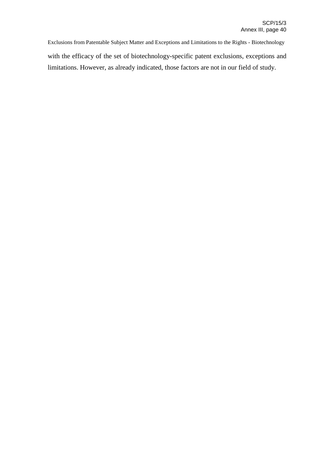Exclusions from Patentable Subject Matter and Exceptions and Limitations to the Rights - Biotechnology with the efficacy of the set of biotechnology-specific patent exclusions, exceptions and limitations. However, as already indicated, those factors are not in our field of study.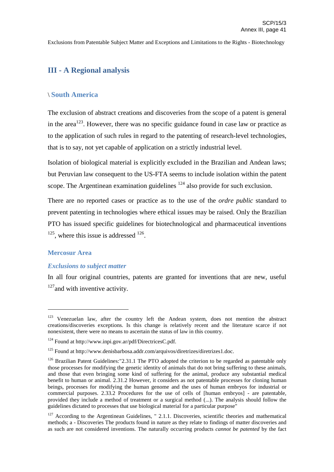# **III - A Regional analysis**

## \ **South America**

The exclusion of abstract creations and discoveries from the scope of a patent is general in the area<sup>123</sup>. However, there was no specific guidance found in case law or practice as to the application of such rules in regard to the patenting of research-level technologies, that is to say, not yet capable of application on a strictly industrial level.

Isolation of biological material is explicitly excluded in the Brazilian and Andean laws; but Peruvian law consequent to the US-FTA seems to include isolation within the patent scope. The Argentinean examination guidelines  $124$  also provide for such exclusion.

There are no reported cases or practice as to the use of the *ordre public* standard to prevent patenting in technologies where ethical issues may be raised. Only the Brazilian PTO has issued specific guidelines for biotechnological and pharmaceutical inventions  $125$ , where this issue is addressed  $126$ .

#### **Mercosur Area**

#### *Exclusions to subject matter*

In all four original countries, patents are granted for inventions that are new, useful  $127$  and with inventive activity.

<sup>&</sup>lt;sup>123</sup> Venezuelan law, after the country left the Andean system, does not mention the abstract creations/discoveries exceptions. Is this change is relatively recent and the literature scarce if not nonexistent, there were no means to ascertain the status of law in this country.

<sup>124</sup> Found at http://www.inpi.gov.ar/pdf/DirectricesC.pdf.

<sup>&</sup>lt;sup>125</sup> Found at http://www.denisbarbosa.addr.com/arquivos/diretrizes/diretrizes1.doc.

 $126$  Brazilian Patent Guidelines:"2.31.1 The PTO adopted the criterion to be regarded as patentable only those processes for modifying the genetic identity of animals that do not bring suffering to these animals, and those that even bringing some kind of suffering for the animal, produce any substantial medical benefit to human or animal. 2.31.2 However, it considers as not patentable processes for cloning human beings, processes for modifying the human genome and the uses of human embryos for industrial or commercial purposes. 2.33.2 Procedures for the use of cells of [human embryos] - are patentable, provided they include a method of treatment or a surgical method (...). The analysis should follow the guidelines dictated to processes that use biological material for a particular purpose"

<sup>&</sup>lt;sup>127</sup> According to the Argentinean Guidelines, " 2.1.1. Discoveries, scientific theories and mathematical methods; a - Discoveries The products found in nature as they relate to findings of matter discoveries and as such are not considered inventions. The naturally occurring products *cannot be patented* by the fact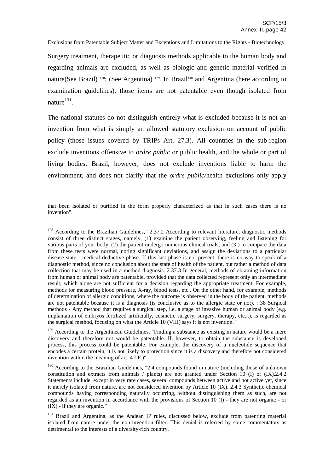Surgery treatment, therapeutic or diagnosis methods applicable to the human body and regarding animals are excluded, as well as biologic and genetic material verified in nature(See Brazil)<sup>128</sup>; (See Argentina)<sup>129</sup>. In Brazil<sup>130</sup> and Argentina (here according to examination guidelines), those items are not patentable even though isolated from nature<sup>131</sup>.

The national statutes do not distinguish entirely what is excluded because it is not an invention from what is simply an allowed statutory exclusion on account of public policy (those issues covered by TRIPs Art. 27.3). All countries in the sub-region exclude inventions offensive to *ordre public* or public health, and the whole or part of living bodies. Brazil, however, does not exclude inventions liable to harm the environment, and does not clarify that the *ordre public/*health exclusions only apply

that been isolated or purified in the form properly characterized as that in such cases there is no invention".

<sup>128</sup> According to the Brazilian Guidelines, "2.37.2 According to relevant literature, diagnostic methods consist of three distinct stages, namely, (1) examine the patient observing, feeling and listening for various parts of your body, (2) the patient undergo numerous clinical trials, and (3 ) to compare the data from these tests were normal, noting significant deviations, and assign the deviations to a particular disease state - medical deductive phase. If this last phase is not present, there is no way to speak of a diagnostic method, since no conclusion about the state of health of the patient, but rather a method of data collection that may be used in a method diagnosis. 2.37.3 In general, methods of obtaining information from human or animal body are patentable, provided that the data collected represent only an intermediate result, which alone are not sufficient for a decision regarding the appropriate treatment. For example, methods for measuring blood pressure, X-ray, blood tests, etc.. On the other hand, for example, methods of determination of allergic conditions, where the outcome is observed in the body of the patient, methods are not patentable because it is a diagnosis (is conclusive as to the allergic state or not). : 38 Surgical methods - Any method that requires a surgical step, i.e. a stage of invasive human or animal body (e.g. implantation of embryos fertilized artificially, cosmetic surgery, surgery, therapy, etc...), is regarded as the surgical method, focusing on what the Article 10 (VIII) says it is not invention. "

<sup>129</sup> According to the Argentinean Guidelines, "Finding a substance as existing in nature would be a mere discovery and therefore not would be patentable. If, however, to obtain the substance is developed process, this process could be patentable. For example, the discovery of a nucleotide sequence that encodes a certain protein, it is not likely to protection since it is a discovery and therefore not considered invention within the meaning of art. 4 LP.)".

<sup>130</sup> According to the Brazilian Guidelines, "2.4 compounds found in nature (including those of unknown constitution and extracts from animals / plants) are not granted under Section 10 (I) or (IX).2.4.2 Statements include, except in very rare cases, several compounds between active and not active yet, since it merely isolated from nature, are not considered invention by Article 10 (IX). 2.4.3 Synthetic chemical compounds having corresponding naturally occurring, without distinguishing them as such, are not regarded as an invention in accordance with the provisions of Section 10 (I) - they are not organic - or (IX) - if they are organic."

<sup>&</sup>lt;sup>131</sup> Brazil and Argentina, as the Andean IP rules, discussed below, exclude from patenting material isolated from nature under the non-invention filter. This denial is referred by some commentators as detrimental to the interests of a diversity-rich country.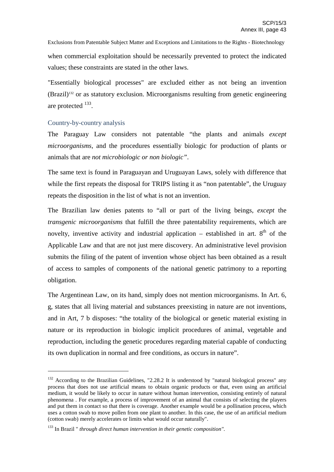Exclusions from Patentable Subject Matter and Exceptions and Limitations to the Rights - Biotechnology when commercial exploitation should be necessarily prevented to protect the indicated values; these constraints are stated in the other laws.

"Essentially biological processes" are excluded either as not being an invention  $(Brazil)^{132}$  or as statutory exclusion. Microorganisms resulting from genetic engineering are protected <sup>133</sup>.

# Country-by-country analysis

The Paraguay Law considers not patentable "the plants and animals *except microorganisms*, and the procedures essentially biologic for production of plants or animals that are *not microbiologic or non biologic"*.

The same text is found in Paraguayan and Uruguayan Laws, solely with difference that while the first repeats the disposal for TRIPS listing it as "non patentable", the Uruguay repeats the disposition in the list of what is not an invention.

The Brazilian law denies patents to "all or part of the living beings, *except* the *transgenic microorganisms* that fulfill the three patentability requirements, which are novelty, inventive activity and industrial application – established in art.  $8<sup>th</sup>$  of the Applicable Law and that are not just mere discovery. An administrative level provision submits the filing of the patent of invention whose object has been obtained as a result of access to samples of components of the national genetic patrimony to a reporting obligation.

The Argentinean Law, on its hand, simply does not mention microorganisms. In Art. 6, g, states that all living material and substances preexisting in nature are not inventions, and in Art, 7 b disposes: "the totality of the biological or genetic material existing in nature or its reproduction in biologic implicit procedures of animal, vegetable and reproduction, including the genetic procedures regarding material capable of conducting its own duplication in normal and free conditions, as occurs in nature".

<sup>&</sup>lt;sup>132</sup> According to the Brazilian Guidelines, "2.28.2 It is understood by "natural biological process" any process that does not use artificial means to obtain organic products or that, even using an artificial medium, it would be likely to occur in nature without human intervention, consisting entirely of natural phenomena . For example, a process of improvement of an animal that consists of selecting the players and put them in contact so that there is coverage. Another example would be a pollination process, which uses a cotton swab to move pollen from one plant to another. In this case, the use of an artificial medium (cotton swab) merely accelerates or limits what would occur naturally".

<sup>133</sup> In Brazil " *through direct human intervention in their genetic composition"*.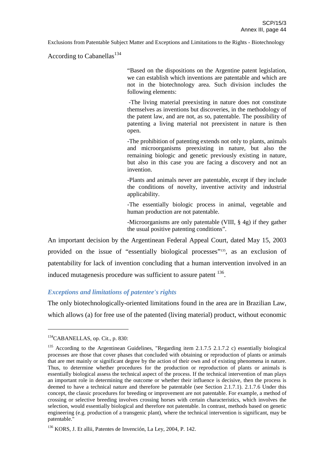According to Cabanellas<sup>134</sup>

"Based on the dispositions on the Argentine patent legislation, we can establish which inventions are patentable and which are not in the biotechnology area. Such division includes the following elements:

-The living material preexisting in nature does not constitute themselves as inventions but discoveries, in the methodology of the patent law, and are not, as so, patentable. The possibility of patenting a living material not preexistent in nature is then open.

-The prohibition of patenting extends not only to plants, animals and microorganisms preexisting in nature, but also the remaining biologic and genetic previously existing in nature, but also in this case you are facing a discovery and not an invention.

-Plants and animals never are patentable, except if they include the conditions of novelty, inventive activity and industrial applicability.

-The essentially biologic process in animal, vegetable and human production are not patentable.

-Microorganisms are only patentable (VIII, § 4g) if they gather the usual positive patenting conditions".

An important decision by the Argentinean Federal Appeal Court, dated May 15, 2003 provided on the issue of "essentially biological processes"<sup>135</sup>, as an exclusion of patentability for lack of invention concluding that a human intervention involved in an induced mutagenesis procedure was sufficient to assure patent <sup>136</sup>.

## *Exceptions and limitations of patentee's rights*

The only biotechnologically-oriented limitations found in the area are in Brazilian Law, which allows (a) for free use of the patented (living material) product, without economic

<sup>134</sup> CABANELLAS, op. Cit., p. 830:

<sup>&</sup>lt;sup>135</sup> According to the Argentinean Guidelines, "Regarding item 2.1.7.5 2.1.7.2 c) essentially biological processes are those that cover phases that concluded with obtaining or reproduction of plants or animals that are met mainly or significant degree by the action of their own and of existing phenomena in nature. Thus, to determine whether procedures for the production or reproduction of plants or animals is essentially biological assess the technical aspect of the process. If the technical intervention of man plays an important role in determining the outcome or whether their influence is decisive, then the process is deemed to have a technical nature and therefore be patentable (see Section 2.1.7.1). 2.1.7.6 Under this concept, the classic procedures for breeding or improvement are not patentable. For example, a method of crossing or selective breeding involves crossing horses with certain characteristics, which involves the selection, would essentially biological and therefore not patentable. In contrast, methods based on genetic engineering (e.g. production of a transgenic plant), where the technical intervention is significant, may be patentable."

<sup>136</sup> KORS, J. Et allii, Patentes de Invención, La Ley, 2004, P. 142.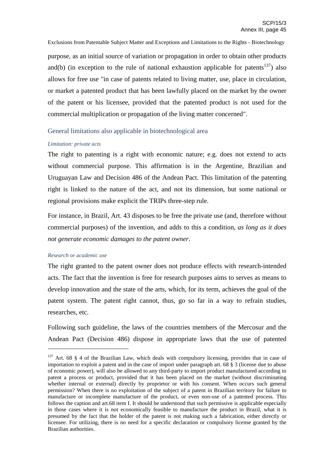Exclusions from Patentable Subject Matter and Exceptions and Limitations to the Rights - Biotechnology purpose, as an initial source of variation or propagation in order to obtain other products and(b) (in exception to the rule of national exhaustion applicable for patents<sup>137</sup>) also allows for free use "in case of patents related to living matter, use, place in circulation, or market a patented product that has been lawfully placed on the market by the owner of the patent or his licensee, provided that the patented product is not used for the commercial multiplication or propagation of the living matter concerned".

## General limitations also applicable in biotechnological area

## *Limitation: private acts*

The right to patenting is a right with economic nature; e.g. does not extend to acts without commercial purpose. This affirmation is in the Argentine, Brazilian and Uruguayan Law and Decision 486 of the Andean Pact. This limitation of the patenting right is linked to the nature of the act, and not its dimension, but some national or regional provisions make explicit the TRIPs three-step rule.

For instance, in Brazil, Art. 43 disposes to be free the private use (and, therefore without commercial purposes) of the invention, and adds to this a condition, *as long as it does not generate economic damages to the patent owner*.

## *Research or academic use*

The right granted to the patent owner does not produce effects with research-intended acts. The fact that the invention is free for research purposes aims to serves as means to develop innovation and the state of the arts, which, for its term, achieves the goal of the patent system. The patent right cannot, thus, go so far in a way to refrain studies, researches, etc.

Following such guideline, the laws of the countries members of the Mercosur and the Andean Pact (Decision 486) dispose in appropriate laws that the use of patented

<sup>&</sup>lt;sup>137</sup> Art. 68  $\S$  4 of the Brazilian Law, which deals with compulsory licensing, provides that in case of importation to exploit a patent and in the case of import under paragraph art. 68 § 3 (license due to abuse of economic power), will also be allowed to any third-party to import product manufactured according to patent a process or product, provided that it has been placed on the market (without discriminating whether internal or external) directly by proprietor or with his consent. When occurs such general permission? When there is no exploitation of the subject of a patent in Brazilian territory for failure to manufacture or incomplete manufacture of the product, or even non-use of a patented process. This follows the caption and art.68 item I. It should be understood that such permissive is applicable especially in those cases where it is not economically feasible to manufacture the product in Brazil, what it is presumed by the fact that the holder of the patent is not making such a fabrication, either directly or licensee. For utilizing, there is no need for a specific declaration or compulsory license granted by the Brazilian authorities.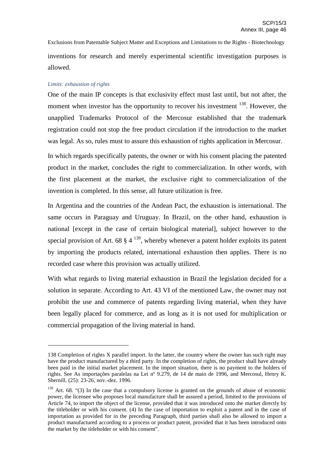Exclusions from Patentable Subject Matter and Exceptions and Limitations to the Rights - Biotechnology inventions for research and merely experimental scientific investigation purposes is allowed.

## *Limits: exhaustion of rights*

One of the main IP concepts is that exclusivity effect must last until, but not after, the moment when investor has the opportunity to recover his investment <sup>138</sup>. However, the unapplied Trademarks Protocol of the Mercosur established that the trademark registration could not stop the free product circulation if the introduction to the market was legal. As so, rules must to assure this exhaustion of rights application in Mercosur.

In which regards specifically patents, the owner or with his consent placing the patented product in the market, concludes the right to commercialization. In other words, with the first placement at the market, the exclusive right to commercialization of the invention is completed. In this sense, all future utilization is free.

In Argentina and the countries of the Andean Pact, the exhaustion is international. The same occurs in Paraguay and Uruguay. In Brazil, on the other hand, exhaustion is national [except in the case of certain biological material], subject however to the special provision of Art. 68  $\S 4^{139}$ , whereby whenever a patent holder exploits its patent by importing the products related, international exhaustion then applies. There is no recorded case where this provision was actually utilized.

With what regards to living material exhaustion in Brazil the legislation decided for a solution in separate. According to Art. 43 VI of the mentioned Law, the owner may not prohibit the use and commerce of patents regarding living material, when they have been legally placed for commerce, and as long as it is not used for multiplication or commercial propagation of the living material in hand.

<sup>138</sup> Completion of rights X parallel import. In the latter, the country where the owner has such right may have the product manufactured by a third party. In the completion of rights, the product shall have already been paid in the initial market placement. In the import situation, there is no payment to the holders of rights. See As importações paralelas na Lei nº 9.279, de 14 de maio de 1996, and Mercosul, Henry K. Shernill. (25): 23-26, nov.-dez. 1996.

 $139$  Art. 68. "(3) In the case that a compulsory license is granted on the grounds of abuse of economic power, the licensee who proposes local manufacture shall be assured a period, limited to the provisions of Article 74, to import the object of the license, provided that it was introduced onto the market directly by the titleholder or with his consent. (4) In the case of importation to exploit a patent and in the case of importation as provided for in the preceding Paragraph, third parties shall also be allowed to import a product manufactured according to a process or product patent, provided that it has been introduced onto the market by the titleholder or with his consent".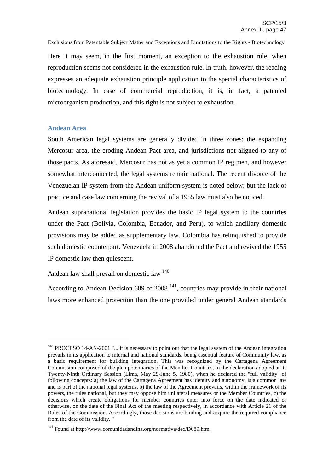Here it may seem, in the first moment, an exception to the exhaustion rule, when reproduction seems not considered in the exhaustion rule. In truth, however, the reading expresses an adequate exhaustion principle application to the special characteristics of biotechnology. In case of commercial reproduction, it is, in fact, a patented microorganism production, and this right is not subject to exhaustion.

## **Andean Area**

South American legal systems are generally divided in three zones: the expanding Mercosur area, the eroding Andean Pact area, and jurisdictions not aligned to any of those pacts. As aforesaid, Mercosur has not as yet a common IP regimen, and however somewhat interconnected, the legal systems remain national. The recent divorce of the Venezuelan IP system from the Andean uniform system is noted below; but the lack of practice and case law concerning the revival of a 1955 law must also be noticed.

Andean supranational legislation provides the basic IP legal system to the countries under the Pact (Bolivia, Colombia, Ecuador, and Peru), to which ancillary domestic provisions may be added as supplementary law. Colombia has relinquished to provide such domestic counterpart. Venezuela in 2008 abandoned the Pact and revived the 1955 IP domestic law then quiescent.

Andean law shall prevail on domestic law <sup>140</sup>

According to Andean Decision 689 of  $2008<sup>141</sup>$ , countries may provide in their national laws more enhanced protection than the one provided under general Andean standards

<sup>&</sup>lt;sup>140</sup> PROCESO 14-AN-2001 "... it is necessary to point out that the legal system of the Andean integration prevails in its application to internal and national standards, being essential feature of Community law, as a basic requirement for building integration. This was recognized by the Cartagena Agreement Commission composed of the plenipotentiaries of the Member Countries, in the declaration adopted at its Twenty-Ninth Ordinary Session (Lima, May 29-June 5, 1980), when he declared the "full validity" of following concepts: a) the law of the Cartagena Agreement has identity and autonomy, is a common law and is part of the national legal systems, b) the law of the Agreement prevails, within the framework of its powers, the rules national, but they may oppose him unilateral measures or the Member Countries, c) the decisions which create obligations for member countries enter into force on the date indicated or otherwise, on the date of the Final Act of the meeting respectively, in accordance with Article 21 of the Rules of the Commission. Accordingly, those decisions are binding and acquire the required compliance from the date of its validity. "

<sup>141</sup> Found at http://www.comunidadandina.org/normativa/dec/D689.htm.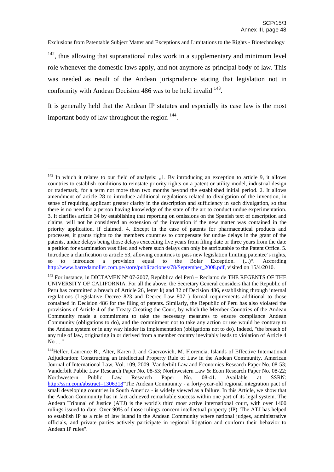$142$ , thus allowing that supranational rules work in a supplementary and minimum level role whenever the domestic laws apply, and not anymore as principal body of law. This was needed as result of the Andean jurisprudence stating that legislation not in conformity with Andean Decision  $486$  was to be held invalid  $^{143}$ .

It is generally held that the Andean IP statutes and especially its case law is the most important body of law throughout the region  $144$ .

 $142$  In which it relates to our field of analysis: "1. By introducing an exception to article 9, it allows countries to establish conditions to reinstate priority rights on a patent or utility model, industrial design or trademark, for a term not more than two months beyond the established initial period. 2. It allows amendment of article 28 to introduce additional regulations related to divulgation of the invention, in sense of requiring applicant greater clarity in the description and sufficiency in such divulgation, so that there is no need for a person having knowledge of the state of the art to conduct undue experimentation. 3. It clarifies article 34 by establishing that reporting on omissions on the Spanish text of description and claims, will not be considered an extension of the invention if the new matter was contained in the priority application, if claimed. 4. Except in the case of patents for pharmaceutical products and processes, it grants rights to the members countries to compensate for undue delays in the grant of the patents, undue delays being those delays exceeding five years from filing date or three years from the date a petition for examination was filed and where such delays can only be attributable to the Patent Office. 5. Introduce a clarification to article 53, allowing countries to pass new legislation limiting patentee's rights, so to introduce a provision equal to the Bolar Exception. (...)". According http://www.barredamoller.com.pe/store/publicaciones/78/September\_2008.pdf, visited on 15/4/2010.

<sup>&</sup>lt;sup>143</sup> For instance, in DICTAMEN N° 07-2007, República del Perú – Reclamo de THE REGENTS OF THE UNIVERSITY OF CALIFORNIA. For all the above, the Secretary General considers that the Republic of Peru has committed a breach of Article 26, letter k) and 32 of Decision 486, establishing through internal regulations (Legislative Decree 823 and Decree Law 807 ) formal requirements additional to those contained in Decision 486 for the filing of patents. Similarly, the Republic of Peru has also violated the provisions of Article 4 of the Treaty Creating the Court, by which the Member Countries of the Andean Community made a commitment to take the necessary measures to ensure compliance Andean Community (obligations to do), and the commitment not to take any action or use would be contrary to the Andean system or in any way hinder its implementation (obligations not to do). Indeed, "the breach of any rule of law, originating in or derived from a member country inevitably leads to violation of Article 4 No ...."

<sup>&</sup>lt;sup>144</sup>Helfer, Laurence R., Alter, Karen J. and Guerzovich, M. Florencia, Islands of Effective International Adjudication: Constructing an Intellectual Property Rule of Law in the Andean Community. American Journal of International Law, Vol. 109, 2009; Vanderbilt Law and Economics Research Paper No. 08-53; Vanderbilt Public Law Research Paper No. 08-53; Northwestern Law & Econ Research Paper No. 08-22; Northwestern Public Law Research Paper No. 08-41. Available at SSRN: http://ssrn.com/abstract=1306318"The Andean Community - a forty-year-old regional integration pact of small developing countries in South America - is widely viewed as a failure. In this Article, we show that the Andean Community has in fact achieved remarkable success within one part of its legal system. The Andean Tribunal of Justice (ATJ) is the world's third most active international court, with over 1400 rulings issued to date. Over 90% of those rulings concern intellectual property (IP). The ATJ has helped to establish IP as a rule of law island in the Andean Community where national judges, administrative officials, and private parties actively participate in regional litigation and conform their behavior to Andean IP rules".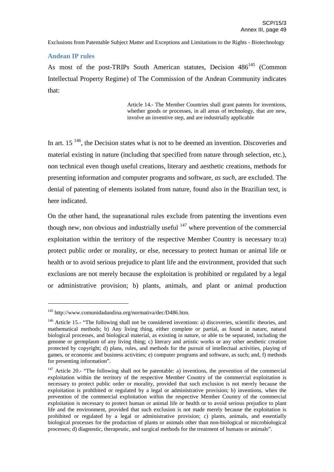#### **Andean IP rules**

As most of the post-TRIPs South American statutes, Decision  $486^{145}$  (Common Intellectual Property Regime) of The Commission of the Andean Community indicates that:

> Article 14.- The Member Countries shall grant patents for inventions, whether goods or processes, in all areas of technology, that are new, involve an inventive step, and are industrially applicable

In art.  $15<sup>146</sup>$ , the Decision states what is not to be deemed an invention. Discoveries and material existing in nature (including that specified from nature through selection, etc.), non technical even though useful creations, literary and aesthetic creations, methods for presenting information and computer programs and software, *as such*, are excluded. The denial of patenting of elements isolated from nature, found also in the Brazilian text, is here indicated.

On the other hand, the supranational rules exclude from patenting the inventions even though new, non obvious and industrially useful  $147$  where prevention of the commercial exploitation within the territory of the respective Member Country is necessary to:a) protect public order or morality, or else, necessary to protect human or animal life or health or to avoid serious prejudice to plant life and the environment, provided that such exclusions are not merely because the exploitation is prohibited or regulated by a legal or administrative provision; b) plants, animals, and plant or animal production

<sup>145</sup> http://www.comunidadandina.org/normativa/dec/D486.htm.

<sup>&</sup>lt;sup>146</sup> Article 15.- "The following shall not be considered inventions: a) discoveries, scientific theories, and mathematical methods; b) Any living thing, either complete or partial, as found in nature, natural biological processes, and biological material, as existing in nature, or able to be separated, including the genome or germplasm of any living thing; c) literary and artistic works or any other aesthetic creation protected by copyright; d) plans, rules, and methods for the pursuit of intellectual activities, playing of games, or economic and business activities; e) computer programs and software, as such; and, f) methods for presenting information".

 $147$  Article 20.- "The following shall not be patentable: a) inventions, the prevention of the commercial exploitation within the territory of the respective Member Country of the commercial exploitation is necessary to protect public order or morality, provided that such exclusion is not merely because the exploitation is prohibited or regulated by a legal or administrative provision; b) inventions, when the prevention of the commercial exploitation within the respective Member Country of the commercial exploitation is necessary to protect human or animal life or health or to avoid serious prejudice to plant life and the environment, provided that such exclusion is not made merely because the exploitation is prohibited or regulated by a legal or administrative provision; c) plants, animals, and essentially biological processes for the production of plants or animals other than non-biological or microbiological processes; d) diagnostic, therapeutic, and surgical methods for the treatment of humans or animals".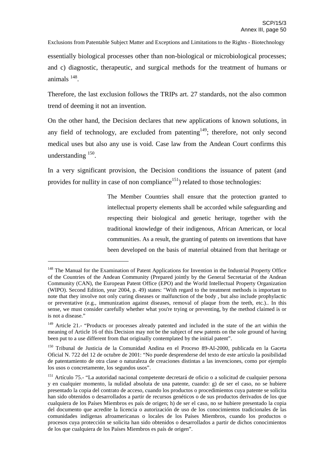essentially biological processes other than non-biological or microbiological processes; and c) diagnostic, therapeutic, and surgical methods for the treatment of humans or animals 148 .

Therefore, the last exclusion follows the TRIPs art. 27 standards, not the also common trend of deeming it not an invention.

On the other hand, the Decision declares that new applications of known solutions, in any field of technology, are excluded from patenting  $149$ ; therefore, not only second medical uses but also any use is void. Case law from the Andean Court confirms this understanding <sup>150</sup>.

In a very significant provision, the Decision conditions the issuance of patent (and provides for nullity in case of non compliance<sup>151</sup>) related to those technologies:

> The Member Countries shall ensure that the protection granted to intellectual property elements shall be accorded while safeguarding and respecting their biological and genetic heritage, together with the traditional knowledge of their indigenous, African American, or local communities. As a result, the granting of patents on inventions that have been developed on the basis of material obtained from that heritage or

<sup>&</sup>lt;sup>148</sup> The Manual for the Examination of Patent Applications for Invention in the Industrial Property Office of the Countries of the Andean Community (Prepared jointly by the General Secretariat of the Andean Community (CAN), the European Patent Office (EPO) and the World Intellectual Property Organization (WIPO). Second Edition, year 2004, p. 49) states: "With regard to the treatment methods is important to note that they involve not only curing diseases or malfunction of the body , but also include prophylactic or preventative (e.g., immunization against diseases, removal of plaque from the teeth, etc.).. In this sense, we must consider carefully whether what you're trying or preventing, by the method claimed is or is not a disease."

<sup>&</sup>lt;sup>149</sup> Article 21.- "Products or processes already patented and included in the state of the art within the meaning of Article 16 of this Decision may not be the subject of new patents on the sole ground of having been put to a use different from that originally contemplated by the initial patent".

<sup>150</sup> Tribunal de Justicia de la Comunidad Andina en el Proceso 89-AI-2000, publicada en la Gaceta Oficial N. 722 del 12 de octubre de 2001: "No puede desprenderse del texto de este artículo la posibilidad de patentamiento de otra clase o naturaleza de creaciones distintas a las invenciones, como por ejemplo los usos o concretamente, los segundos usos".

<sup>&</sup>lt;sup>151</sup> Artículo 75.- "La autoridad nacional competente decretará de oficio o a solicitud de cualquier persona y en cualquier momento, la nulidad absoluta de una patente, cuando: g) de ser el caso, no se hubiere presentado la copia del contrato de acceso, cuando los productos o procedimientos cuya patente se solicita han sido obtenidos o desarrollados a partir de recursos genéticos o de sus productos derivados de los que cualquiera de los Países Miembros es país de origen; h) de ser el caso, no se hubiere presentado la copia del documento que acredite la licencia o autorización de uso de los conocimientos tradicionales de las comunidades indígenas afroamericanas o locales de los Países Miembros, cuando los productos o procesos cuya protección se solicita han sido obtenidos o desarrollados a partir de dichos conocimientos de los que cualquiera de los Países Miembros es país de origen".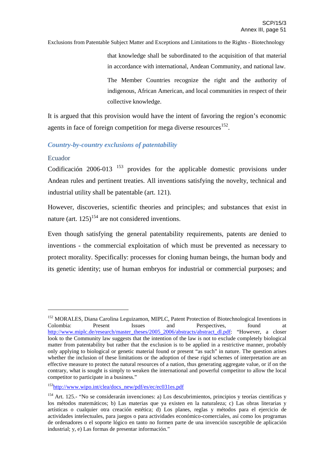that knowledge shall be subordinated to the acquisition of that material in accordance with international, Andean Community, and national law.

The Member Countries recognize the right and the authority of indigenous, African American, and local communities in respect of their collective knowledge.

It is argued that this provision would have the intent of favoring the region's economic agents in face of foreign competition for mega diverse resources<sup>152</sup>.

## *Country-by-country exclusions of patentability*

## Ecuador

Codificación  $2006-013$   $153$  provides for the applicable domestic provisions under Andean rules and pertinent treaties. All inventions satisfying the novelty, technical and industrial utility shall be patentable (art. 121).

However, discoveries, scientific theories and principles; and substances that exist in nature (art.  $125$ )<sup>154</sup> are not considered inventions.

Even though satisfying the general patentability requirements, patents are denied to inventions - the commercial exploitation of which must be prevented as necessary to protect morality. Specifically: processes for cloning human beings, the human body and its genetic identity; use of human embryos for industrial or commercial purposes; and

<sup>&</sup>lt;sup>152</sup> MORALES, Diana Carolina Leguizamon, MIPLC, Patent Protection of Biotechnological Inventions in Colombia: Present Issues and Perspectives, found at http://www.miplc.de/research/master\_theses/2005\_2006/abstracts/abstract\_dl.pdf: "However, a closer look to the Community law suggests that the intention of the law is not to exclude completely biological matter from patentability but rather that the exclusion is to be applied in a restrictive manner, probably only applying to biological or genetic material found or present "as such" in nature. The question arises whether the inclusion of these limitations or the adoption of these rigid schemes of interpretation are an effective measure to protect the natural resources of a nation, thus generating aggregate value, or if on the contrary, what is sought is simply to weaken the international and powerful competitor to allow the local competitor to participate in a business."

<sup>&</sup>lt;sup>153</sup>http://www.wipo.int/clea/docs\_new/pdf/es/ec/ec031es.pdf

<sup>&</sup>lt;sup>154</sup> Art. 125.- "No se considerarán invenciones: a) Los descubrimientos, principios y teorías científicas y los métodos matemáticos; b) Las materias que ya existen en la naturaleza; c) Las obras literarias y artísticas o cualquier otra creación estética; d) Los planes, reglas y métodos para el ejercicio de actividades intelectuales, para juegos o para actividades económico-comerciales, así como los programas de ordenadores o el soporte lógico en tanto no formen parte de una invención susceptible de aplicación industrial; y, e) Las formas de presentar información."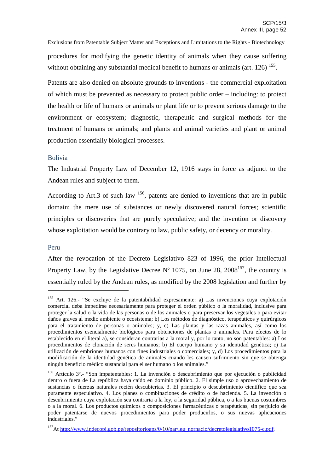Exclusions from Patentable Subject Matter and Exceptions and Limitations to the Rights - Biotechnology procedures for modifying the genetic identity of animals when they cause suffering without obtaining any substantial medical benefit to humans or animals (art.  $126$ )  $155$ .

Patents are also denied on absolute grounds to inventions - the commercial exploitation of which must be prevented as necessary to protect public order – including: to protect the health or life of humans or animals or plant life or to prevent serious damage to the environment or ecosystem; diagnostic, therapeutic and surgical methods for the treatment of humans or animals; and plants and animal varieties and plant or animal production essentially biological processes.

## Bolivia

The Industrial Property Law of December 12, 1916 stays in force as adjunct to the Andean rules and subject to them.

According to Art.3 of such law  $156$ , patents are denied to inventions that are in public domain; the mere use of substances or newly discovered natural forces; scientific principles or discoveries that are purely speculative; and the invention or discovery whose exploitation would be contrary to law, public safety, or decency or morality.

#### Peru

After the revocation of the Decreto Legislativo 823 of 1996, the prior Intellectual Property Law, by the Legislative Decree  $N^{\circ}$  1075, on June 28, 2008<sup>157</sup>, the country is essentially ruled by the Andean rules, as modified by the 2008 legislation and further by

<sup>&</sup>lt;sup>155</sup> Art. 126.- "Se excluve de la patentabilidad expresamente: a) Las invenciones cuya explotación comercial deba impedirse necesariamente para proteger el orden público o la moralidad, inclusive para proteger la salud o la vida de las personas o de los animales o para preservar los vegetales o para evitar daños graves al medio ambiente o ecosistema; b) Los métodos de diagnóstico, terapéuticos y quirúrgicos para el tratamiento de personas o animales; y, c) Las plantas y las razas animales, así como los procedimientos esencialmente biológicos para obtenciones de plantas o animales. Para efectos de lo establecido en el literal a), se consideran contrarias a la moral y, por lo tanto, no son patentables: a) Los procedimientos de clonación de seres humanos; b) El cuerpo humano y su identidad genética; c) La utilización de embriones humanos con fines industriales o comerciales; y, d) Los procedimientos para la modificación de la identidad genética de animales cuando les causen sufrimiento sin que se obtenga ningún beneficio médico sustancial para el ser humano o los animales."

<sup>156</sup> Artículo 3º.- "Son impatentables: 1. La invención o descubrimiento que por ejecución o publicidad dentro o fuera de La república haya caído en dominio público. 2. El simple uso o aprovechamiento de sustancias o fuerzas naturales recién descubiertas. 3. El principio o descubrimiento científico que sea puramente especulativo. 4. Los planes o combinaciones de crédito o de hacienda. 5. La invención o descubrimiento cuya explotación sea contraria a la ley, a la seguridad pública, o a las buenas costumbres o a la moral. 6. Los productos químicos o composiciones farmacéuticas o terapéuticas, sin perjuicio de poder patentarse de nuevos procedimientos para poder producirlos, o sus nuevas aplicaciones industriales."

<sup>&</sup>lt;sup>157</sup>At http://www.indecopi.gob.pe/repositorioaps/0/10/par/leg\_nornacio/decretolegislativo1075-c.pdf.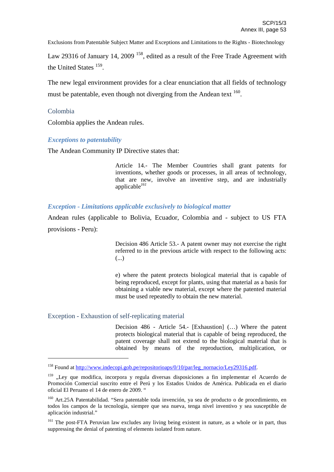Law 29316 of January 14, 2009  $^{158}$ , edited as a result of the Free Trade Agreement with the United States <sup>159</sup>.

The new legal environment provides for a clear enunciation that all fields of technology must be patentable, even though not diverging from the Andean text  $^{160}$ .

## Colombia

Colombia applies the Andean rules.

## *Exceptions to patentability*

The Andean Community IP Directive states that:

Article 14.- The Member Countries shall grant patents for inventions, whether goods or processes, in all areas of technology, that are new, involve an inventive step, and are industrially applicable *161*

*Exception - Limitations applicable exclusively to biological matter*

Andean rules (applicable to Bolivia, Ecuador, Colombia and - subject to US FTA provisions - Peru):

> Decision 486 Article 53.- A patent owner may not exercise the right referred to in the previous article with respect to the following acts: (...)

> e) where the patent protects biological material that is capable of being reproduced, except for plants, using that material as a basis for obtaining a viable new material, except where the patented material must be used repeatedly to obtain the new material.

## Exception - Exhaustion of self-replicating material

Decision 486 - Article 54.- [Exhaustion] (…) Where the patent protects biological material that is capable of being reproduced, the patent coverage shall not extend to the biological material that is obtained by means of the reproduction, multiplication, or

<sup>&</sup>lt;sup>158</sup> Found at http://www.indecopi.gob.pe/repositorioaps/0/10/par/leg\_nornacio/Ley29316.pdf.

<sup>&</sup>lt;sup>159</sup> "Ley que modifica, incorpora y regula diversas disposiciones a fin implementar el Acuerdo de Promoción Comercial suscrito entre el Perú y los Estados Unidos de América. Publicada en el diario oficial El Peruano el 14 de enero de 2009. "

<sup>&</sup>lt;sup>160</sup> Art.25A Patentabilidad. "Sera patentable toda invención, ya sea de producto o de procedimiento, en todos los campos de la tecnología, siempre que sea nueva, tenga nivel inventivo y sea susceptible de aplicación industrial."

<sup>&</sup>lt;sup>161</sup> The post-FTA Peruvian law excludes any living being existent in nature, as a whole or in part, thus suppressing the denial of patenting of elements isolated from nature.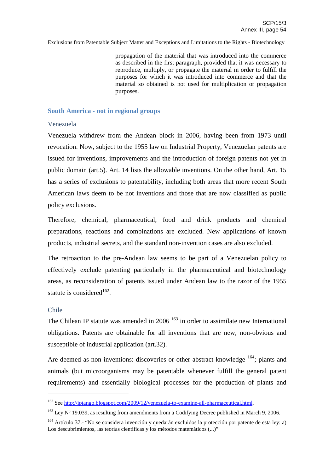propagation of the material that was introduced into the commerce as described in the first paragraph, provided that it was necessary to reproduce, multiply, or propagate the material in order to fulfill the purposes for which it was introduced into commerce and that the material so obtained is not used for multiplication or propagation purposes.

#### **South America - not in regional groups**

#### Venezuela

Venezuela withdrew from the Andean block in 2006, having been from 1973 until revocation. Now, subject to the 1955 law on Industrial Property, Venezuelan patents are issued for inventions, improvements and the introduction of foreign patents not yet in public domain (art.5). Art. 14 lists the allowable inventions. On the other hand, Art. 15 has a series of exclusions to patentability, including both areas that more recent South American laws deem to be not inventions and those that are now classified as public policy exclusions.

Therefore, chemical, pharmaceutical, food and drink products and chemical preparations, reactions and combinations are excluded. New applications of known products, industrial secrets, and the standard non-invention cases are also excluded.

The retroaction to the pre-Andean law seems to be part of a Venezuelan policy to effectively exclude patenting particularly in the pharmaceutical and biotechnology areas, as reconsideration of patents issued under Andean law to the razor of the 1955 statute is considered<sup>162</sup>.

#### Chile

The Chilean IP statute was amended in  $2006<sup>163</sup>$  in order to assimilate new International obligations. Patents are obtainable for all inventions that are new, non-obvious and susceptible of industrial application (art.32).

Are deemed as non inventions: discoveries or other abstract knowledge <sup>164</sup>; plants and animals (but microorganisms may be patentable whenever fulfill the general patent requirements) and essentially biological processes for the production of plants and

<sup>&</sup>lt;sup>162</sup> See http://iptango.blogspot.com/2009/12/venezuela-to-examine-all-pharmaceutical.html.

<sup>&</sup>lt;sup>163</sup> Ley N° 19.039, as resulting from amendments from a Codifying Decree published in March 9, 2006.

<sup>164</sup> Artículo 37.- "No se considera invención y quedarán excluidos la protección por patente de esta ley: a) Los descubrimientos, las teorías científicas y los métodos matemáticos (...)"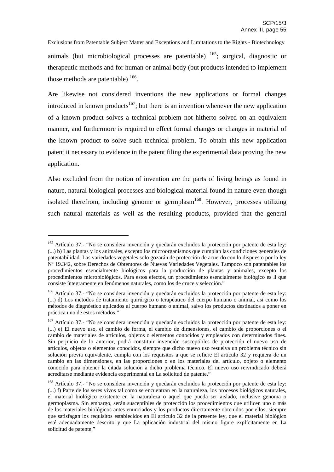Exclusions from Patentable Subject Matter and Exceptions and Limitations to the Rights - Biotechnology animals (but microbiological processes are patentable) <sup>165</sup>; surgical, diagnostic or therapeutic methods and for human or animal body (but products intended to implement those methods are patentable)  $166$ .

Are likewise not considered inventions the new applications or formal changes introduced in known products<sup>167</sup>; but there is an invention whenever the new application of a known product solves a technical problem not hitherto solved on an equivalent manner, and furthermore is required to effect formal changes or changes in material of the known product to solve such technical problem. To obtain this new application patent it necessary to evidence in the patent filing the experimental data proving the new application.

Also excluded from the notion of invention are the parts of living beings as found in nature, natural biological processes and biological material found in nature even though isolated therefrom, including genome or germplasm<sup>168</sup>. However, processes utilizing such natural materials as well as the resulting products, provided that the general

<sup>165</sup> Artículo 37.- "No se considera invención y quedarán excluidos la protección por patente de esta ley: (...) b) Las plantas y los animales, excepto los microorganismos que cumplan las condiciones generales de patentabilidad. Las variedades vegetales solo gozarán de protección de acuerdo con lo dispuesto por la ley Nº 19.342, sobre Derechos de Obtentores de Nuevas Variedades Vegetales. Tampoco son patentables los procedimientos esencialmente biológicos para la producción de plantas y animales, excepto los procedimientos microbiológicos. Para estos efectos, un procedimiento esencialmente biológico es ll que consiste íntegramente en fenómenos naturales, como los de cruce y selección."

<sup>166</sup> Artículo 37.- "No se considera invención y quedarán excluidos la protección por patente de esta ley: (...) d) Los métodos de tratamiento quirúrgico o terapéutico del cuerpo humano o animal, así como los métodos de diagnóstico aplicados al cuerpo humano o animal, salvo los productos destinados a poner en práctica uno de estos métodos."

<sup>&</sup>lt;sup>167</sup> Artículo 37.- "No se considera invención y quedarán excluidos la protección por patente de esta ley: (...) e) El nuevo uso, el cambio de forma, el cambio de dimensiones, el cambio de proporciones o el cambio de materiales de artículos, objetos o elementos conocidos y empleados con determinados fines. Sin perjuicio de lo anterior, podrá constituir invención susceptibles de protección el nuevo uso de artículos, objetos o elementos conocidos, siempre que dicho nuevo uso resuelva un problema técnico sin solución previa equivalente, cumpla con los requisitos a que se refiere El artículo 32 y requiera de un cambio en las dimensiones, en las proporciones o en los materiales del artículo, objeto o elemento conocido para obtener la citada solución a dicho problema técnico. El nuevo uso reivindicado deberá acreditarse mediante evidencia experimental en La solicitud de patente."

<sup>&</sup>lt;sup>168</sup> Artículo 37.- "No se considera invención y quedarán excluidos la protección por patente de esta ley: (...) f) Parte de los seres vivos tal como se encuentran en la naturaleza, los procesos biológicos naturales, el material biológico existente en la naturaleza o aquel que pueda ser aislado, inclusive genoma o germoplasma. Sin embargo, serán susceptibles de protección los procedimientos que utilicen uno o más de los materiales biológicos antes enunciados y los productos directamente obtenidos por ellos, siempre que satisfagan los requisitos establecidos en El artículo 32 de la presente ley, que el material biológico esté adecuadamente descrito y que La aplicación industrial del mismo figure explícitamente en La solicitud de patente."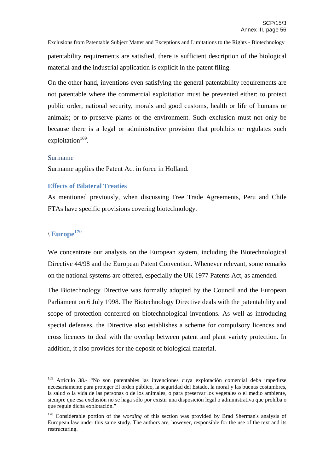Exclusions from Patentable Subject Matter and Exceptions and Limitations to the Rights - Biotechnology patentability requirements are satisfied, there is sufficient description of the biological material and the industrial application is explicit in the patent filing.

On the other hand, inventions even satisfying the general patentability requirements are not patentable where the commercial exploitation must be prevented either: to protect public order, national security, morals and good customs, health or life of humans or animals; or to preserve plants or the environment. Such exclusion must not only be because there is a legal or administrative provision that prohibits or regulates such exploitation<sup>169</sup>.

## Suriname

Suriname applies the Patent Act in force in Holland.

#### **Effects of Bilateral Treaties**

As mentioned previously, when discussing Free Trade Agreements, Peru and Chile FTAs have specific provisions covering biotechnology.

# \ **Europe 170**

We concentrate our analysis on the European system, including the Biotechnological Directive 44/98 and the European Patent Convention. Whenever relevant, some remarks on the national systems are offered, especially the UK 1977 Patents Act, as amended.

The Biotechnology Directive was formally adopted by the Council and the European Parliament on 6 July 1998. The Biotechnology Directive deals with the patentability and scope of protection conferred on biotechnological inventions. As well as introducing special defenses, the Directive also establishes a scheme for compulsory licences and cross licences to deal with the overlap between patent and plant variety protection. In addition, it also provides for the deposit of biological material.

<sup>169</sup> Artículo 38.- "No son patentables las invenciones cuya explotación comercial deba impedirse necesariamente para proteger El orden público, la seguridad del Estado, la moral y las buenas costumbres, la salud o la vida de las personas o de los animales, o para preservar los vegetales o el medio ambiente, siempre que esa exclusión no se haga sólo por existir una disposición legal o administrativa que prohíba o que regule dicha explotación."

<sup>&</sup>lt;sup>170</sup> Considerable portion of the *wording* of this section was provided by Brad Sherman's analysis of European law under this same study. The authors are, however, responsible for the use of the text and its restructuring.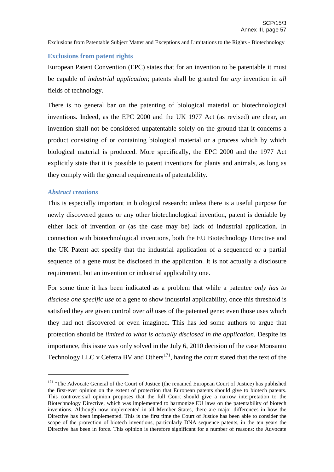## **Exclusions from patent rights**

European Patent Convention (EPC) states that for an invention to be patentable it must be capable of *industrial application*; patents shall be granted for *any* invention in *all* fields of technology.

There is no general bar on the patenting of biological material or biotechnological inventions. Indeed, as the EPC 2000 and the UK 1977 Act (as revised) are clear, an invention shall not be considered unpatentable solely on the ground that it concerns a product consisting of or containing biological material or a process which by which biological material is produced. More specifically, the EPC 2000 and the 1977 Act explicitly state that it is possible to patent inventions for plants and animals, as long as they comply with the general requirements of patentability.

## *Abstract creations*

This is especially important in biological research: unless there is a useful purpose for newly discovered genes or any other biotechnological invention, patent is deniable by either lack of invention or (as the case may be) lack of industrial application. In connection with biotechnological inventions, both the EU Biotechnology Directive and the UK Patent act specify that the industrial application of a sequenced or a partial sequence of a gene must be disclosed in the application. It is not actually a disclosure requirement, but an invention or industrial applicability one.

For some time it has been indicated as a problem that while a patentee *only has to disclose one specific use* of a gene to show industrial applicability, once this threshold is satisfied they are given control over *all* uses of the patented gene: even those uses which they had not discovered or even imagined. This has led some authors to argue that protection should be *limited to what is actually disclosed in the application*. Despite its importance, this issue was only solved in the July 6, 2010 decision of the case Monsanto Technology LLC v Cefetra BV and Others<sup>171</sup>, having the court stated that the text of the

<sup>&</sup>lt;sup>171</sup> "The Advocate General of the Court of Justice (the renamed European Court of Justice) has published the first-ever opinion on the extent of protection that European patents should give to biotech patents. This controversial opinion proposes that the full Court should give a narrow interpretation to the Biotechnology Directive, which was implemented to harmonize EU laws on the patentability of biotech inventions. Although now implemented in all Member States, there are major differences in how the Directive has been implemented. This is the first time the Court of Justice has been able to consider the scope of the protection of biotech inventions, particularly DNA sequence patents, in the ten years the Directive has been in force. This opinion is therefore significant for a number of reasons: the Advocate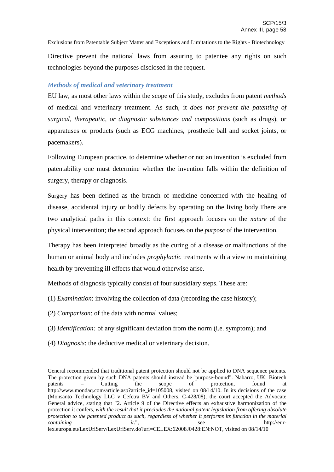Exclusions from Patentable Subject Matter and Exceptions and Limitations to the Rights - Biotechnology Directive prevent the national laws from assuring to patentee any rights on such technologies beyond the purposes disclosed in the request.

## *Methods of medical and veterinary treatment*

EU law, as most other laws within the scope of this study, excludes from patent *methods* of medical and veterinary treatment. As such, it *does not prevent the patenting of surgical, therapeutic, or diagnostic substances and compositions* (such as drugs), or apparatuses or products (such as ECG machines, prosthetic ball and socket joints, or pacemakers).

Following European practice, to determine whether or not an invention is excluded from patentability one must determine whether the invention falls within the definition of surgery, therapy or diagnosis.

Surgery has been defined as the branch of medicine concerned with the healing of disease, accidental injury or bodily defects by operating on the living body.There are two analytical paths in this context: the first approach focuses on the *nature* of the physical intervention; the second approach focuses on the *purpose* of the intervention.

Therapy has been interpreted broadly as the curing of a disease or malfunctions of the human or animal body and includes *prophylactic* treatments with a view to maintaining health by preventing ill effects that would otherwise arise.

Methods of diagnosis typically consist of four subsidiary steps. These are:

- (1) *Examination*: involving the collection of data (recording the case history);
- (2) *Comparison*: of the data with normal values;
- (3) *Identification:* of any significant deviation from the norm (i.e. symptom); and
- (4) *Diagnosis*: the deductive medical or veterinary decision.

General recommended that traditional patent protection should not be applied to DNA sequence patents. The protection given by such DNA patents should instead be 'purpose-bound". Nabarro, UK: Biotech patents – Cutting the scope of protection, found at patents – Cutting the scope of protection, found at http://www.mondaq.com/article.asp?article\_id=105008, visited on 08/14/10. In its decisions of the case (Monsanto Technology LLC v Cefetra BV and Others, C-428/08), the court accepted the Advocate General advice, stating that "2. Article 9 of the Directive effects an exhaustive harmonization of the protection it confers, *with the result that it precludes the national patent legislation from offering absolute* protection to the patented product as such, regardless of whether it performs its function in the material *containing it.*", see http://eur-

lex.europa.eu/LexUriServ/LexUriServ.do?uri=CELEX:62008J0428:EN:NOT, visited on 08/14/10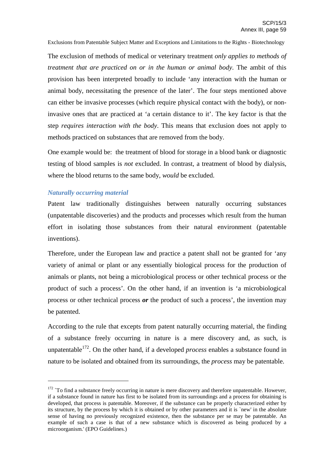The exclusion of methods of medical or veterinary treatment *only applies to methods of treatment that are practiced on or in the human or animal body*. The ambit of this provision has been interpreted broadly to include 'any interaction with the human or animal body, necessitating the presence of the later'. The four steps mentioned above can either be invasive processes (which require physical contact with the body), or noninvasive ones that are practiced at 'a certain distance to it'. The key factor is that the step *requires interaction with the body*. This means that exclusion does not apply to methods practiced on substances that are removed from the body.

One example would be: the treatment of blood for storage in a blood bank or diagnostic testing of blood samples is *not* excluded. In contrast, a treatment of blood by dialysis, where the blood returns to the same body, *would* be excluded.

#### *Naturally occurring material*

Patent law traditionally distinguishes between naturally occurring substances (unpatentable discoveries) and the products and processes which result from the human effort in isolating those substances from their natural environment (patentable inventions).

Therefore, under the European law and practice a patent shall not be granted for 'any variety of animal or plant or any essentially biological process for the production of animals or plants, not being a microbiological process or other technical process or the product of such a process'. On the other hand, if an invention is 'a microbiological process or other technical process *or* the product of such a process', the invention may be patented.

According to the rule that excepts from patent naturally occurring material, the finding of a substance freely occurring in nature is a mere discovery and, as such, is unpatentable 172 . On the other hand, if a developed *process* enables a substance found in nature to be isolated and obtained from its surroundings, the *process* may be patentable.

 $172$  `To find a substance freely occurring in nature is mere discovery and therefore unpatentable. However, if a substance found in nature has first to be isolated from its surroundings and a process for obtaining is developed, that process is patentable. Moreover, if the substance can be properly characterized either by its structure, by the process by which it is obtained or by other parameters and it is `new' in the absolute sense of having no previously recognized existence, then the substance per se may be patentable. An example of such a case is that of a new substance which is discovered as being produced by a microorganism.' (EPO Guidelines.)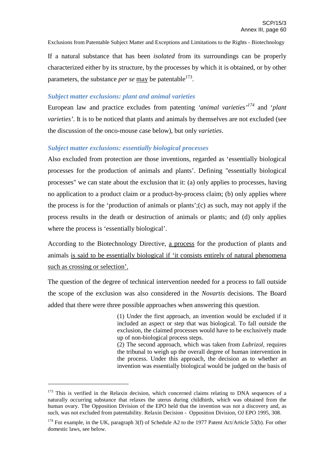If a natural substance that has been *isolated* from its surroundings can be properly characterized either by its structure, by the processes by which it is obtained, or by other parameters, the substance *per se* may be patentable<sup>173</sup>.

## *Subject matter exclusions: plant and animal varieties*

European law and practice excludes from patenting *'animal varieties' <sup>174</sup>* and '*plant varieties'*. It is to be noticed that plants and animals by themselves are not excluded (see the discussion of the onco-mouse case below), but only *varieties*.

## *Subject matter exclusions: essentially biological processes*

Also excluded from protection are those inventions, regarded as 'essentially biological processes for the production of animals and plants'. Defining "essentially biological processes" we can state about the exclusion that it: (a) only applies to processes, having no application to a product claim or a product-by-process claim; (b) only applies where the process is for the 'production of animals or plants';(c) as such, may not apply if the process results in the death or destruction of animals or plants; and (d) only applies where the process is 'essentially biological'.

According to the Biotechnology Directive, a process for the production of plants and animals is said to be essentially biological if 'it consists entirely of natural phenomena such as crossing or selection'.

The question of the degree of technical intervention needed for a process to fall outside the scope of the exclusion was also considered in the *Novartis* decisions. The Board added that there were three possible approaches when answering this question.

> (1) Under the first approach, an invention would be excluded if it included an aspect or step that was biological. To fall outside the exclusion, the claimed processes would have to be exclusively made up of non-biological process steps.

> (2) The second approach, which was taken from *Lubrizol*, requires the tribunal to weigh up the overall degree of human intervention in the process. Under this approach, the decision as to whether an invention was essentially biological would be judged on the basis of

 $173$  This is verified in the Relaxin decision, which concerned claims relating to DNA sequences of a naturally occurring substance that relaxes the uterus during childbirth, which was obtained from the human ovary. The Opposition Division of the EPO held that the invention was not a discovery and, as such, was not excluded from patentability. Relaxin Decision - Opposition Division, OJ EPO 1995, 308.

<sup>&</sup>lt;sup>174</sup> For example, in the UK, paragraph 3(f) of Schedule A2 to the 1977 Patent Act/Article 53(b). For other domestic laws, see below.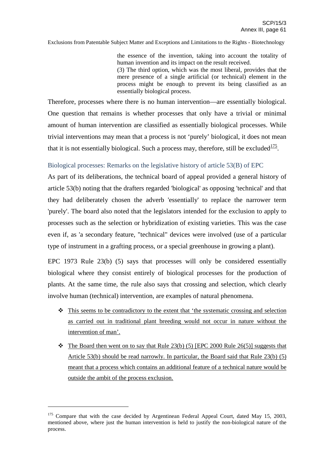the essence of the invention, taking into account the totality of human invention and its impact on the result received. (3) The third option, which was the most liberal, provides that the mere presence of a single artificial (or technical) element in the process might be enough to prevent its being classified as an essentially biological process.

Therefore, processes where there is no human intervention––are essentially biological. One question that remains is whether processes that only have a trivial or minimal amount of human intervention are classified as essentially biological processes. While trivial interventions may mean that a process is not 'purely' biological, it does not mean that it is not essentially biological. Such a process may, therefore, still be excluded $\frac{175}{2}$ .

## Biological processes: Remarks on the legislative history of article 53(B) of EPC

As part of its deliberations, the technical board of appeal provided a general history of article 53(b) noting that the drafters regarded 'biological' as opposing 'technical' and that they had deliberately chosen the adverb 'essentially' to replace the narrower term 'purely'. The board also noted that the legislators intended for the exclusion to apply to processes such as the selection or hybridization of existing varieties. This was the case even if, as 'a secondary feature, "technical" devices were involved (use of a particular type of instrument in a grafting process, or a special greenhouse in growing a plant).

EPC 1973 Rule 23(b) (5) says that processes will only be considered essentially biological where they consist entirely of biological processes for the production of plants. At the same time, the rule also says that crossing and selection, which clearly involve human (technical) intervention, are examples of natural phenomena.

- $\cdot \cdot$  This seems to be contradictory to the extent that 'the systematic crossing and selection as carried out in traditional plant breeding would not occur in nature without the intervention of man'.
- $\bullet$  The Board then went on to say that Rule 23(b) (5) [EPC 2000 Rule 26(5)] suggests that Article 53(b) should be read narrowly. In particular, the Board said that Rule 23(b) (5) meant that a process which contains an additional feature of a technical nature would be outside the ambit of the process exclusion.

<sup>&</sup>lt;sup>175</sup> Compare that with the case decided by Argentinean Federal Appeal Court, dated May 15, 2003, mentioned above, where just the human intervention is held to justify the non-biological nature of the process.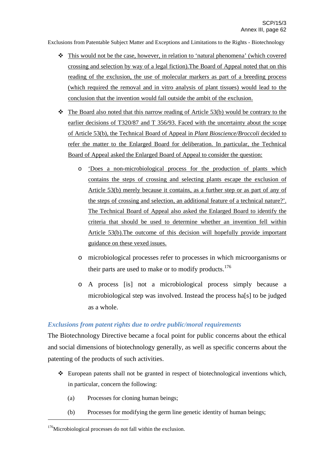- This would not be the case, however, in relation to 'natural phenomena' (which covered crossing and selection by way of a legal fiction).The Board of Appeal noted that on this reading of the exclusion, the use of molecular markers as part of a breeding process (which required the removal and in vitro analysis of plant tissues) would lead to the conclusion that the invention would fall outside the ambit of the exclusion.
- $\triangleleft$  The Board also noted that this narrow reading of Article 53(b) would be contrary to the earlier decisions of T320/87 and  $\underline{T}$  356/93. Faced with the uncertainty about the scope of Article 53(b), the Technical Board of Appeal in *Plant Bioscience/Broccoli* decided to refer the matter to the Enlarged Board for deliberation. In particular, the Technical Board of Appeal asked the Enlarged Board of Appeal to consider the question:
	- o 'Does a non-microbiological process for the production of plants which contains the steps of crossing and selecting plants escape the exclusion of Article 53(b) merely because it contains, as a further step or as part of any of the steps of crossing and selection, an additional feature of a technical nature?'. The Technical Board of Appeal also asked the Enlarged Board to identify the criteria that should be used to determine whether an invention fell within Article 53(b).The outcome of this decision will hopefully provide important guidance on these vexed issues.
	- o microbiological processes refer to processes in which microorganisms or their parts are used to make or to modify products.<sup>176</sup>
	- o A process [is] not a microbiological process simply because a microbiological step was involved. Instead the process ha[s] to be judged as a whole.

## *Exclusions from patent rights due to ordre public/moral requirements*

The Biotechnology Directive became a focal point for public concerns about the ethical and social dimensions of biotechnology generally, as well as specific concerns about the patenting of the products of such activities.

- $\triangle$  European patents shall not be granted in respect of biotechnological inventions which, in particular, concern the following:
	- (a) Processes for cloning human beings;
	- (b) Processes for modifying the germ line genetic identity of human beings;

<sup>&</sup>lt;sup>176</sup>Microbiological processes do not fall within the exclusion.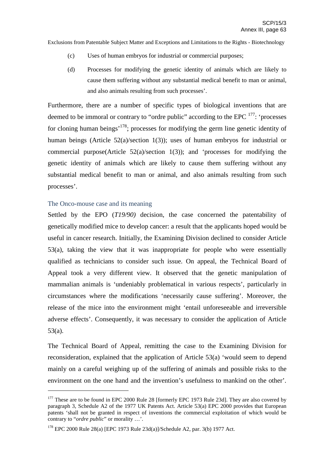- (c) Uses of human embryos for industrial or commercial purposes;
- (d) Processes for modifying the genetic identity of animals which are likely to cause them suffering without any substantial medical benefit to man or animal, and also animals resulting from such processes'.

Furthermore, there are a number of specific types of biological inventions that are deemed to be immoral or contrary to "ordre public" according to the EPC  $^{177}$ : 'processes for cloning human beings<sup>'178</sup>; processes for modifying the germ line genetic identity of human beings (Article 52(a)/section 1(3)); uses of human embryos for industrial or commercial purpose(Article 52(a)/section 1(3)); and 'processes for modifying the genetic identity of animals which are likely to cause them suffering without any substantial medical benefit to man or animal, and also animals resulting from such processes'.

## The Onco-mouse case and its meaning

Settled by the EPO (*T19/90)* decision, the case concerned the patentability of genetically modified mice to develop cancer: a result that the applicants hoped would be useful in cancer research. Initially, the Examining Division declined to consider Article 53(a), taking the view that it was inappropriate for people who were essentially qualified as technicians to consider such issue. On appeal, the Technical Board of Appeal took a very different view. It observed that the genetic manipulation of mammalian animals is 'undeniably problematical in various respects', particularly in circumstances where the modifications 'necessarily cause suffering'. Moreover, the release of the mice into the environment might 'entail unforeseeable and irreversible adverse effects'. Consequently, it was necessary to consider the application of Article 53(a).

The Technical Board of Appeal, remitting the case to the Examining Division for reconsideration, explained that the application of Article 53(a) 'would seem to depend mainly on a careful weighing up of the suffering of animals and possible risks to the environment on the one hand and the invention's usefulness to mankind on the other'.

<sup>&</sup>lt;sup>177</sup> These are to be found in EPC 2000 Rule 28 [formerly EPC 1973 Rule 23d]. They are also covered by paragraph 3, Schedule A2 of the 1977 UK Patents Act. Article 53(a) EPC 2000 provides that European patents 'shall not be granted in respect of inventions the commercial exploitation of which would be contrary to "*ordre public*" or morality …'.

<sup>178</sup> EPC 2000 Rule 28(a) [EPC 1973 Rule 23d(a)]/Schedule A2, par. 3(b) 1977 Act.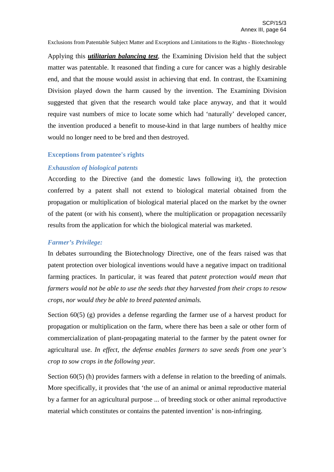Applying this *utilitarian balancing test*, the Examining Division held that the subject matter was patentable. It reasoned that finding a cure for cancer was a highly desirable end, and that the mouse would assist in achieving that end. In contrast, the Examining Division played down the harm caused by the invention. The Examining Division suggested that given that the research would take place anyway, and that it would require vast numbers of mice to locate some which had 'naturally' developed cancer, the invention produced a benefit to mouse-kind in that large numbers of healthy mice would no longer need to be bred and then destroyed.

#### **Exceptions from patentee's rights**

## *Exhaustion of biological patents*

According to the Directive (and the domestic laws following it), the protection conferred by a patent shall not extend to biological material obtained from the propagation or multiplication of biological material placed on the market by the owner of the patent (or with his consent), where the multiplication or propagation necessarily results from the application for which the biological material was marketed.

#### *Farmer's Privilege:*

In debates surrounding the Biotechnology Directive, one of the fears raised was that patent protection over biological inventions would have a negative impact on traditional farming practices. In particular, it was feared that *patent protection would mean that farmers would not be able to use the seeds that they harvested from their crops to resow crops, nor would they be able to breed patented animals.*

Section 60(5) (g) provides a defense regarding the farmer use of a harvest product for propagation or multiplication on the farm, where there has been a sale or other form of commercialization of plant-propagating material to the farmer by the patent owner for agricultural use. *In effect, the defense enables farmers to save seeds from one year's crop to sow crops in the following year.*

Section 60(5) (h) provides farmers with a defense in relation to the breeding of animals. More specifically, it provides that 'the use of an animal or animal reproductive material by a farmer for an agricultural purpose ... of breeding stock or other animal reproductive material which constitutes or contains the patented invention' is non-infringing.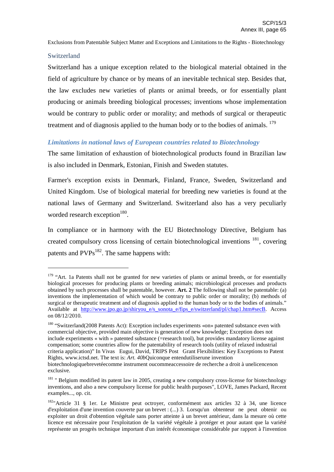## **Switzerland**

Switzerland has a unique exception related to the biological material obtained in the field of agriculture by chance or by means of an inevitable technical step. Besides that, the law excludes new varieties of plants or animal breeds, or for essentially plant producing or animals breeding biological processes; inventions whose implementation would be contrary to public order or morality; and methods of surgical or therapeutic treatment and of diagnosis applied to the human body or to the bodies of animals.  $179$ 

## *Limitations in national laws of European countries related to Biotechnology*

The same limitation of exhaustion of biotechnological products found in Brazilian law is also included in Denmark, Estonian, Finish and Sweden statutes.

Farmer's exception exists in Denmark, Finland, France, Sweden, Switzerland and United Kingdom. Use of biological material for breeding new varieties is found at the national laws of Germany and Switzerland. Switzerland also has a very peculiarly worded research exception<sup>180</sup>.

In compliance or in harmony with the EU Biotechnology Directive, Belgium has created compulsory cross licensing of certain biotechnological inventions <sup>181</sup>, covering patents and PVPs<sup>182</sup>. The same happens with:

<sup>&</sup>lt;sup>179</sup> "Art. 1a Patents shall not be granted for new varieties of plants or animal breeds, or for essentially biological processes for producing plants or breeding animals; microbiological processes and products obtained by such processes shall be patentable, however. **Art. 2** The following shall not be patentable: (a) inventions the implementation of which would be contrary to public order or morality; (b) methods of surgical or therapeutic treatment and of diagnosis applied to the human body or to the bodies of animals." Available at http://www.jpo.go.jp/shiryou\_e/s\_sonota\_e/fips\_e/switzerland/pl/chap1.htm#secB. Access on 08/12/2010.

<sup>&</sup>lt;sup>180</sup> "Switzerland(2008 Patents Act): Exception includes experiments «on» patented substance even with commercial objective, provided main objective is generation of new knowledge; Exception does not include experiments « with » patented substance (=research tool), but provides mandatory license against compensation; some countries allow for the patentability of research tools (utility of relaxed industrial criteria application)" In Vivas Eugui, David, TRIPS Post Grant Flexibilities: Key Exceptions to Patent Rights, www.ictsd.net. The text is: *Art. 40b*Quiconque entendutiliserune invention

biotechnologiquebrevetéecomme instrument oucommeaccessoire de recherche a droit à unelicencenon exclusive.

<sup>&</sup>lt;sup>181</sup> " Belgium modified its patent law in 2005, creating a new compulsory cross-license for biotechnology inventions, and also a new compulsory license for public health purposes", LOVE, James Packard, Recent examples..., op. cit.

<sup>&</sup>lt;sup>182</sup>"Article 31 § 1er. Le Ministre peut octroyer, conformément aux articles 32 à 34, une licence d'exploitation d'une invention couverte par un brevet : (...) 3. Lorsqu'un obtenteur ne peut obtenir ou exploiter un droit d'obtention végétale sans porter atteinte à un brevet antérieur, dans la mesure où cette licence est nécessaire pour l'exploitation de la variété végétale à protéger et pour autant que la variété représente un progrès technique important d'un intérêt économique considérable par rapport à l'invention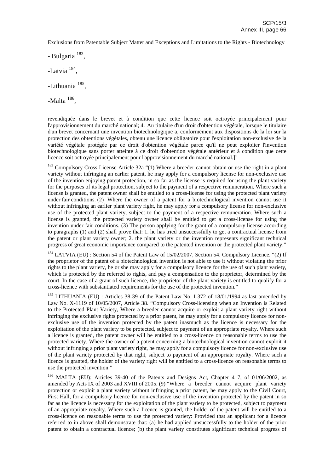- Bulgaria<sup>183</sup>,

-Latvia<sup>184</sup>,

-Lithuania<sup>185</sup>,

-Malta<sup>186</sup>,

revendiquée dans le brevet et à condition que cette licence soit octroyée principalement pour l'approvisionnement du marché national; 4. Au titulaire d'un droit d'obtention végétale, lorsque le titulaire d'un brevet concernant une invention biotechnologique a, conformément aux dispositions de la loi sur la protection des obtentions végétales, obtenu une licence obligatoire pour l'exploitation non-exclusive de la variété végétale protégée par ce droit d'obtention végétale parce qu'il ne peut exploiter l'invention biotechnologique sans porter atteinte à ce droit d'obtention végétale antérieur et à condition que cette licence soit octroyée principalement pour l'approvisionnement du marché national.]"

<sup>183</sup> Compulsory Cross-License Article 32a "(1) Where a breeder cannot obtain or use the right in a plant variety without infringing an earlier patent, he may apply for a compulsory license for non-exclusive use of the invention enjoying patent protection, in so far as the license is required for using the plant variety for the purposes of its legal protection, subject to the payment of a respective remuneration. Where such a license is granted, the patent owner shall be entitled to a cross-license for using the protected plant variety under fair conditions. (2) Where the owner of a patent for a biotechnological invention cannot use it without infringing an earlier plant variety right, he may apply for a compulsory license for non-exclusive use of the protected plant variety, subject to the payment of a respective remuneration. Where such a license is granted, the protected variety owner shall be entitled to get a cross-license for using the invention under fair conditions. (3) The person applying for the grant of a compulsory license according to paragraphs (1) and (2) shall prove that: 1. he has tried unsuccessfully to get a contractual license from the patent or plant variety owner; 2. the plant variety or the invention represents significant technical progress of great economic importance compared to the patented invention or the protected plant variety."

<sup>184</sup> LATVIA (EU) : Section 54 of the Patent Law of 15/02/2007, Section 54. Compulsory Licence. "(2) If the proprietor of the patent of a biotechnological invention is not able to use it without violating the prior rights to the plant variety, he or she may apply for a compulsory licence for the use of such plant variety, which is protected by the referred to rights, and pay a compensation to the proprietor, determined by the court. In the case of a grant of such licence, the proprietor of the plant variety is entitled to qualify for a cross-licence with substantiated requirements for the use of the protected invention."

<sup>185</sup> LITHUANIA (EU) : Articles 38-39 of the Patent Law No. I-372 of 18/01/1994 as last amended by Law No. X-1119 of 10/05/2007, Article 38. "Compulsory Cross-licensing when an Invention is Related to the Protected Plant Variety, Where a breeder cannot acquire or exploit a plant variety right without infringing the exclusive rights protected by a prior patent, he may apply for a compulsory licence for nonexclusive use of the invention protected by the patent inasmuch as the licence is necessary for the exploitation of the plant variety to be protected, subject to payment of an appropriate royalty. Where such a licence is granted, the patent owner will be entitled to a cross-licence on reasonable terms to use the protected variety. Where the owner of a patent concerning a biotechnological invention cannot exploit it without infringing a prior plant variety right, he may apply for a compulsory licence for non-exclusive use of the plant variety protected by that right, subject to payment of an appropriate royalty. Where such a licence is granted, the holder of the variety right will be entitled to a cross-licence on reasonable terms to use the protected invention."

186 MALTA (EU): Articles 39-40 of the Patents and Designs Act, Chapter 417, of 01/06/2002, as amended by Acts IX of 2003 and XVIII of 2005. (9) "Where a breeder cannot acquire plant variety protection or exploit a plant variety without infringing a prior patent, he may apply to the Civil Court, First Hall, for a compulsory licence for non-exclusive use of the invention protected by the patent in so far as the licence is necessary for the exploitation of the plant variety to be protected, subject to payment of an appropriate royalty. Where such a licence is granted, the holder of the patent will be entitled to a cross-licence on reasonable terms to use the protected variety: Provided that an applicant for a licence referred to in above shall demonstrate that: (a) he had applied unsuccessfully to the holder of the prior patent to obtain a contractual licence; (b) the plant variety constitutes significant technical progress of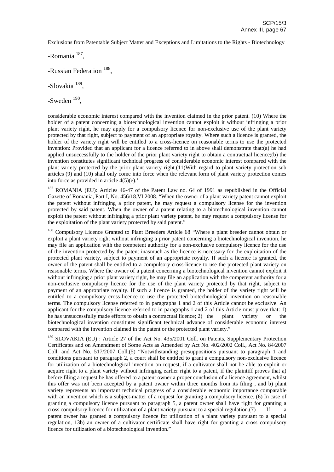-Romania<sup>187</sup>,

-Russian Federation<sup>188</sup>,

-Slovakia<sup>189</sup>,

-Sweden<sup>190</sup>,

considerable economic interest compared with the invention claimed in the prior patent. (10) Where the holder of a patent concerning a biotechnological invention cannot exploit it without infringing a prior plant variety right, he may apply for a compulsory licence for non-exclusive use of the plant variety protected by that right, subject to payment of an appropriate royalty. Where such a licence is granted, the holder of the variety right will be entitled to a cross-licence on reasonable terms to use the protected invention: Provided that an applicant for a licence referred to in above shall demonstrate that:(a) he had applied unsuccessfully to the holder of the prior plant variety right to obtain a contractual licence;(b) the invention constitutes significant technical progress of considerable economic interest compared with the plant variety protected by the prior plant variety right.(11)With regard to plant variety protection sub articles (9) and (10) shall only come into force when the relevant form of plant variety protection comes into force as provided in article 4(5)(e).'

<sup>187</sup> ROMANIA (EU): Articles 46-47 of the Patent Law no. 64 of 1991 as republished in the Official Gazette of Romania, Part I, No. 456/18.VI.2008. "When the owner of a plant variety patent cannot exploit the patent without infringing a prior patent, he may request a compulsory license for the invention protected by said patent. When the owner of a patent relating to a biotechnological invention cannot exploit the patent without infringing a prior plant variety patent, he may request a compulsory license for the exploitation of the plant variety protected by said patent."

<sup>188</sup> Compulsory Licence Granted to Plant Breeders Article 68 "Where a plant breeder cannot obtain or exploit a plant variety right without infringing a prior patent concerning a biotechnological invention, he may file an application with the competent authority for a non-exclusive compulsory licence for the use of the invention protected by the patent inasmuch as the licence is necessary for the exploitation of the protected plant variety, subject to payment of an appropriate royalty. If such a licence is granted, the owner of the patent shall be entitled to a compulsory cross-licence to use the protected plant variety on reasonable terms. Where the owner of a patent concerning a biotechnological invention cannot exploit it without infringing a prior plant variety right, he may file an application with the competent authority for a non-exclusive compulsory licence for the use of the plant variety protected by that right, subject to payment of an appropriate royalty. If such a licence is granted, the holder of the variety right will be entitled to a compulsory cross-licence to use the protected biotechnological invention on reasonable terms. The compulsory license referred to in paragraphs 1 and 2 of this Article cannot be exclusive. An applicant for the compulsory licence referred to in paragraphs 1 and 2 of this Article must prove that: 1) he has unsuccessfully made efforts to obtain a contractual licence; 2) the plant variety or the biotechnological invention constitutes significant technical advance of considerable economic interest compared with the invention claimed in the patent or the protected plant variety."

<sup>189</sup> SLOVAKIA (EU) : Article 27 of the Act No. 435/2001 Coll. on Patents, Supplementary Protection Certificates and on Amendment of Some Acts as Amended by Act No. 402/2002 Coll., Act No. 84/2007 Coll. and Act No. 517/2007 Coll.(5) "Notwithstanding presuppositions pursuant to paragraph 1 and conditions pursuant to paragraph 2, a court shall be entitled to grant a compulsory non-exclusive licence for utilization of a biotechnological invention on request, if a cultivator shall not be able to exploit or acquire right to a plant variety without infringing earlier right to a patent, if the plaintiff proves that a) before filing a request he has offered to a patent owner a proper conclusion of a licence agreement, whilst this offer was not been accepted by a patent owner within three months from its filing , and b) plant variety represents an important technical progress of a considerable economic importance comparable with an invention which is a subject-matter of a request for granting a compulsory licence. (6) In case of granting a compulsory licence pursuant to paragraph 5, a patent owner shall have right for granting a  $\frac{1}{2}$  cross compulsory licence for utilization of a plant variety pursuant to a special regulation.(7) patent owner has granted a compulsory licence for utilization of a plant variety pursuant to a special regulation, 13b) an owner of a cultivator certificate shall have right for granting a cross compulsory licence for utilization of a biotechnological invention."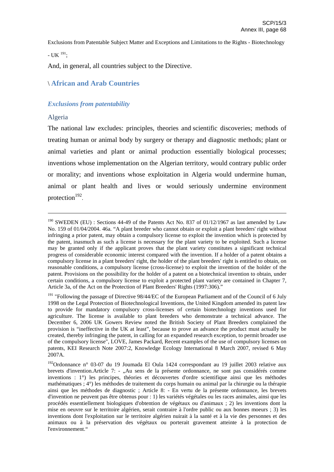- UK  $^{191}$ ;

And, in general, all countries subject to the Directive.

# \ **African and Arab Countries**

## *Exclusions from patentability*

## Algeria

The national law excludes: principles, theories and scientific discoveries; methods of treating human or animal body by surgery or therapy and diagnostic methods; plant or animal varieties and plant or animal production essentially biological processes; inventions whose implementation on the Algerian territory, would contrary public order or morality; and inventions whose exploitation in Algeria would undermine human, animal or plant health and lives or would seriously undermine environment protection<sup>192</sup>.

<sup>&</sup>lt;sup>190</sup> SWEDEN (EU) : Sections 44-49 of the Patents Act No. 837 of 01/12/1967 as last amended by Law No. 159 of 01/04/2004. 46a. "A plant breeder who cannot obtain or exploit a plant breeders' right without infringing a prior patent, may obtain a compulsory license to exploit the invention which is protected by the patent, inasmuch as such a license is necessary for the plant variety to be exploited. Such a license may be granted only if the applicant proves that the plant variety constitutes a significant technical progress of considerable economic interest compared with the invention. If a holder of a patent obtains a compulsory license in a plant breeders' right, the holder of the plant breeders' right is entitled to obtain, on reasonable conditions, a compulsory license (cross-license) to exploit the invention of the holder of the patent. Provisions on the possibility for the holder of a patent on a biotechnical invention to obtain, under certain conditions, a compulsory license to exploit a protected plant variety are contained in Chapter 7, Article 3a, of the Act on the Protection of Plant Breeders' Rights (1997:306)."

<sup>&</sup>lt;sup>191</sup> "Following the passage of Directive 98/44/EC of the European Parliament and of the Council of 6 July 1998 on the Legal Protection of Biotechnological Inventions, the United Kingdom amended its patent law to provide for mandatory compulsory cross-licenses of certain biotechnology inventions used for agriculture. The license is available to plant breeders who demonstrate a technical advance. The December 6, 2006 UK Gowers Review noted the British Society of Plant Breeders complained the provision is "ineffective in the UK at least", because to prove an advance the product must actually be created, thereby infringing the patent, in calling for an expanded research exception, to permit broader use of the compulsory license", LOVE, James Packard, Recent examples of the use of compulsory licenses on patents, KEI Research Note 2007:2, Knowledge Ecology International 8 March 2007, revised 6 May 2007A.

<sup>&</sup>lt;sup>192</sup>Ordonnance n° 03-07 du 19 Joumada El Oula 1424 correspondant au 19 juillet 2003 relative aux brevets d'invention.Article 7: - "Au sens de la présente ordonnance, ne sont pas considérés comme inventions : 1°) les principes, théories et découvertes d'ordre scientifique ainsi que les méthodes mathématiques ; 4°) les méthodes de traitement du corps humain ou animal par la chirurgie ou la thérapie ainsi que les méthodes de diagnostic ; Article 8: - En vertu de la présente ordonnance, les brevets d'invention ne peuvent pas être obtenus pour : 1) les variétés végétales ou les races animales, ainsi que les procédés essentiellement biologiques d'obtention de végétaux ou d'animaux ; 2) les inventions dont la mise en oeuvre sur le territoire algérien, serait contraire à l'ordre public ou aux bonnes moeurs ; 3) les inventions dont l'exploitation sur le territoire algérien nuirait à la santé et à la vie des personnes et des animaux ou à la préservation des végétaux ou porterait gravement atteinte à la protection de l'environnement."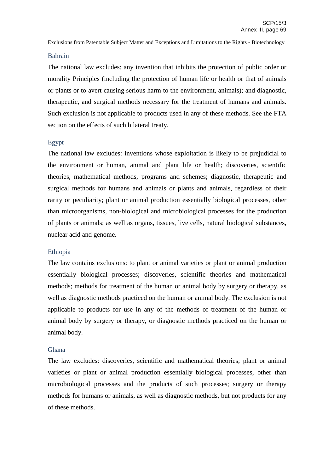#### Bahrain

The national law excludes: any invention that inhibits the protection of public order or morality Principles (including the protection of human life or health or that of animals or plants or to avert causing serious harm to the environment, animals); and diagnostic, therapeutic, and surgical methods necessary for the treatment of humans and animals. Such exclusion is not applicable to products used in any of these methods. See the FTA section on the effects of such bilateral treaty.

## Egypt

The national law excludes: inventions whose exploitation is likely to be prejudicial to the environment or human, animal and plant life or health; discoveries, scientific theories, mathematical methods, programs and schemes; diagnostic, therapeutic and surgical methods for humans and animals or plants and animals, regardless of their rarity or peculiarity; plant or animal production essentially biological processes, other than microorganisms, non-biological and microbiological processes for the production of plants or animals; as well as organs, tissues, live cells, natural biological substances, nuclear acid and genome.

#### Ethiopia

The law contains exclusions: to plant or animal varieties or plant or animal production essentially biological processes; discoveries, scientific theories and mathematical methods; methods for treatment of the human or animal body by surgery or therapy, as well as diagnostic methods practiced on the human or animal body. The exclusion is not applicable to products for use in any of the methods of treatment of the human or animal body by surgery or therapy, or diagnostic methods practiced on the human or animal body.

#### Ghana

The law excludes: discoveries, scientific and mathematical theories; plant or animal varieties or plant or animal production essentially biological processes, other than microbiological processes and the products of such processes; surgery or therapy methods for humans or animals, as well as diagnostic methods, but not products for any of these methods.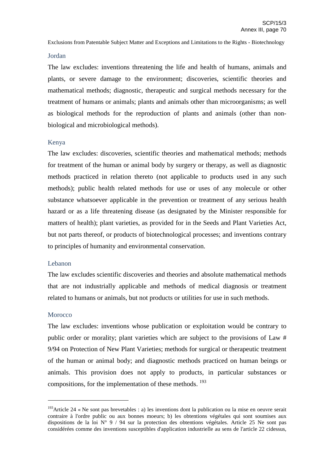#### Jordan

The law excludes: inventions threatening the life and health of humans, animals and plants, or severe damage to the environment; discoveries, scientific theories and mathematical methods; diagnostic, therapeutic and surgical methods necessary for the treatment of humans or animals; plants and animals other than microorganisms; as well as biological methods for the reproduction of plants and animals (other than nonbiological and microbiological methods).

## Kenya

The law excludes: discoveries, scientific theories and mathematical methods; methods for treatment of the human or animal body by surgery or therapy, as well as diagnostic methods practiced in relation thereto (not applicable to products used in any such methods); public health related methods for use or uses of any molecule or other substance whatsoever applicable in the prevention or treatment of any serious health hazard or as a life threatening disease (as designated by the Minister responsible for matters of health); plant varieties, as provided for in the Seeds and Plant Varieties Act, but not parts thereof, or products of biotechnological processes; and inventions contrary to principles of humanity and environmental conservation.

#### Lebanon

The law excludes scientific discoveries and theories and absolute mathematical methods that are not industrially applicable and methods of medical diagnosis or treatment related to humans or animals, but not products or utilities for use in such methods.

#### **Morocco**

The law excludes: inventions whose publication or exploitation would be contrary to public order or morality; plant varieties which are subject to the provisions of Law # 9/94 on Protection of New Plant Varieties; methods for surgical or therapeutic treatment of the human or animal body; and diagnostic methods practiced on human beings or animals. This provision does not apply to products, in particular substances or compositions, for the implementation of these methods. <sup>193</sup>

<sup>&</sup>lt;sup>193</sup> Article 24 « Ne sont pas brevetables : a) les inventions dont la publication ou la mise en oeuvre serait contraire à l'ordre public ou aux bonnes moeurs; b) les obtentions végétales qui sont soumises aux dispositions de la loi N° 9 / 94 sur la protection des obtentions végétales. Article 25 Ne sont pas considérées comme des inventions susceptibles d'application industrielle au sens de l'article 22 cidessus,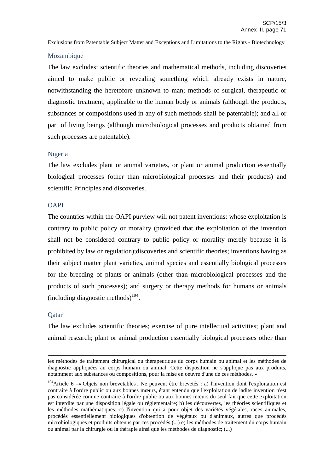## Mozambique

The law excludes: scientific theories and mathematical methods, including discoveries aimed to make public or revealing something which already exists in nature, notwithstanding the heretofore unknown to man; methods of surgical, therapeutic or diagnostic treatment, applicable to the human body or animals (although the products, substances or compositions used in any of such methods shall be patentable); and all or part of living beings (although microbiological processes and products obtained from such processes are patentable).

## Nigeria

The law excludes plant or animal varieties, or plant or animal production essentially biological processes (other than microbiological processes and their products) and scientific Principles and discoveries.

## **OAPI**

The countries within the OAPI purview will not patent inventions: whose exploitation is contrary to public policy or morality (provided that the exploitation of the invention shall not be considered contrary to public policy or morality merely because it is prohibited by law or regulation);discoveries and scientific theories; inventions having as their subject matter plant varieties, animal species and essentially biological processes for the breeding of plants or animals (other than microbiological processes and the products of such processes); and surgery or therapy methods for humans or animals (including diagnostic methods) 194 .

#### Qatar

The law excludes scientific theories; exercise of pure intellectual activities; plant and animal research; plant or animal production essentially biological processes other than

les méthodes de traitement chirurgical ou thérapeutique du corps humain ou animal et les méthodes de diagnostic appliquées au corps humain ou animal. Cette disposition ne s'applique pas aux produits, notamment aux substances ou compositions, pour la mise en oeuvre d'une de ces méthodes. »

<sup>&</sup>lt;sup>194</sup> Article 6 - «Objets non brevetables. Ne peuvent être brevetés : a) l'invention dont l'exploitation est contraire à l'ordre public ou aux bonnes mœurs, étant entendu que l'exploitation de ladite invention n'est pas considérée comme contraire à l'ordre public ou aux bonnes mœurs du seul fait que cette exploitation est interdite par une disposition légale ou réglementaire; b) les découvertes, les théories scientifiques et les méthodes mathématiques; c) l'invention qui a pour objet des variétés végétales, races animales, procédés essentiellement biologiques d'obtention de végétaux ou d'animaux, autres que procédés microbiologiques et produits obtenus par ces procédés;(...) e) les méthodes de traitement du corps humain ou animal par la chirurgie ou la thérapie ainsi que les méthodes de diagnostic; (...)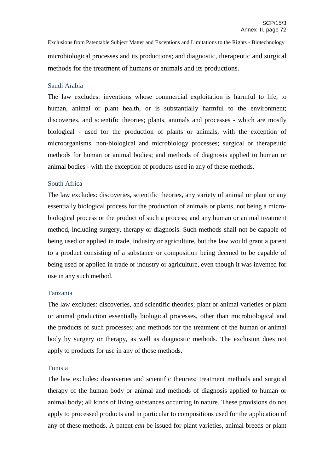Exclusions from Patentable Subject Matter and Exceptions and Limitations to the Rights - Biotechnology microbiological processes and its productions; and diagnostic, therapeutic and surgical methods for the treatment of humans or animals and its productions.

## Saudi Arabia

The law excludes: inventions whose commercial exploitation is harmful to life, to human, animal or plant health, or is substantially harmful to the environment; discoveries, and scientific theories; plants, animals and processes - which are mostly biological - used for the production of plants or animals, with the exception of microorganisms, non-biological and microbiology processes; surgical or therapeutic methods for human or animal bodies; and methods of diagnosis applied to human or animal bodies - with the exception of products used in any of these methods.

## South Africa

The law excludes: discoveries, scientific theories, any variety of animal or plant or any essentially biological process for the production of animals or plants, not being a microbiological process or the product of such a process; and any human or animal treatment method, including surgery, therapy or diagnosis. Such methods shall not be capable of being used or applied in trade, industry or agriculture, but the law would grant a patent to a product consisting of a substance or composition being deemed to be capable of being used or applied in trade or industry or agriculture, even though it was invented for use in any such method.

## Tanzania

The law excludes: discoveries, and scientific theories; plant or animal varieties or plant or animal production essentially biological processes, other than microbiological and the products of such processes; and methods for the treatment of the human or animal body by surgery or therapy, as well as diagnostic methods. The exclusion does not apply to products for use in any of those methods.

## Tunisia

The law excludes: discoveries and scientific theories; treatment methods and surgical therapy of the human body or animal and methods of diagnosis applied to human or animal body; all kinds of living substances occurring in nature. These provisions do not apply to processed products and in particular to compositions used for the application of any of these methods. A patent *can* be issued for plant varieties, animal breeds or plant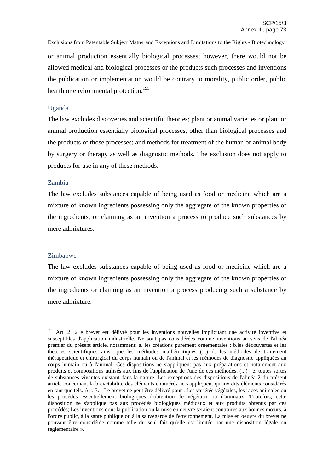Exclusions from Patentable Subject Matter and Exceptions and Limitations to the Rights - Biotechnology or animal production essentially biological processes; however, there would not be allowed medical and biological processes or the products such processes and inventions the publication or implementation would be contrary to morality, public order, public health or environmental protection.<sup>195</sup>

### Uganda

The law excludes discoveries and scientific theories; plant or animal varieties or plant or animal production essentially biological processes, other than biological processes and the products of those processes; and methods for treatment of the human or animal body by surgery or therapy as well as diagnostic methods. The exclusion does not apply to products for use in any of these methods.

### Zambia

The law excludes substances capable of being used as food or medicine which are a mixture of known ingredients possessing only the aggregate of the known properties of the ingredients, or claiming as an invention a process to produce such substances by mere admixtures.

## Zimbabwe

The law excludes substances capable of being used as food or medicine which are a mixture of known ingredients possessing only the aggregate of the known properties of the ingredients or claiming as an invention a process producing such a substance by mere admixture.

<sup>&</sup>lt;sup>195</sup> Art. 2. «Le brevet est délivré pour les inventions nouvelles impliquant une activité inventive et susceptibles d'application industrielle. Ne sont pas considérées comme inventions au sens de l'alinéa premier du présent article, notamment: a. les créations purement ornementales ; b.les découvertes et les théories scientifiques ainsi que les méthodes mathématiques (...) d. les méthodes de traitement thérapeutique et chirurgical du corps humain ou de l'animal et les méthodes de diagnostic appliquées au corps humain ou à l'animal. Ces dispositions ne s'appliquent pas aux préparations et notamment aux produits et compositions utilisés aux fins de l'application de l'une de ces méthodes. (...) ; e. toutes sortes de substances vivantes existant dans la nature. Les exceptions des dispositions de l'alinéa 2 du présent article concernant la brevetabilité des éléments énumérés ne s'appliquent qu'aux dits éléments considérés en tant que tels. Art. 3. - Le brevet ne peut être délivré pour : Les variétés végétales, les races animales ou les procédés essentiellement biologiques d'obtention de végétaux ou d'animaux. Toutefois, cette disposition ne s'applique pas aux procédés biologiques médicaux et aux produits obtenus par ces procédés; Les inventions dont la publication ou la mise en oeuvre seraient contraires aux bonnes mœurs, à l'ordre public, à la santé publique ou à la sauvegarde de l'environnement. La mise en oeuvre du brevet ne pouvant être considérée comme telle du seul fait qu'elle est limitée par une disposition légale ou réglementaire ».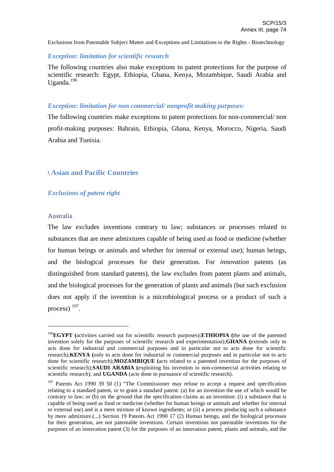## *Exception: limitation for scientific research*

The following countries also make exceptions to patent protections for the purpose of scientific research: Egypt, Ethiopia, Ghana, Kenya, Mozambique, Saudi Arabia and Uganda.<sup>196</sup>

## *Exception: limitation for non commercial/ nonprofit making purposes:*

The following countries make exceptions to patent protections for non-commercial/ non profit-making purposes: Bahrain, Ethiopia, Ghana, Kenya, Morocco, Nigeria, Saudi Arabia and Tunisia.

# \ **Asian and Pacific Countries**

# *Exclusions of patent right*

## Australia

The law excludes inventions contrary to law; substances or processes related to substances that are mere admixtures capable of being used as food or medicine (whether for human beings or animals and whether for internal or external use); human beings, and the biological processes for their generation. For *innovation* patents (as distinguished from standard patents), the law excludes from patent plants and animals, and the biological processes for the generation of plants and animals (but such exclusion does not apply if the invention is a microbiological process or a product of such a process)  $197$ .

<sup>196</sup> **EGYPT (**activities carried out for scientific research purposes);**ETHIOPIA (**the use of the patented invention solely for the purposes of scientific research and experimentation);**GHANA (**extends only to acts done for industrial and commercial purposes and in particular not to acts done for scientific research);**KENYA (**only to acts done for industrial or commercial purposes and in particular not to acts done for scientific research);**MOZAMBIQUE (**acts related to a patented invention for the purposes of scientific research);**SAUDI ARABIA (**exploiting his invention in non-commercial activities relating to scientific research); and **UGANDA** (acts done in pursuance of scientific research).

<sup>&</sup>lt;sup>197</sup> Patents Act 1990 39 50 (1) "The Commissioner may refuse to accept a request and specification relating to a standard patent, or to grant a standard patent: (a) for an invention the use of which would be contrary to law; or (b) on the ground that the specification claims as an invention: (i) a substance that is capable of being used as food or medicine (whether for human beings or animals and whether for internal or external use) and is a mere mixture of known ingredients; or (ii) a process producing such a substance by mere admixture.(...) Section 19 Patents Act 1990 17 (2) Human beings, and the biological processes for their generation, are not patentable inventions. Certain inventions not patentable inventions for the purposes of an innovation patent (3) for the purposes of an innovation patent, plants and animals, and the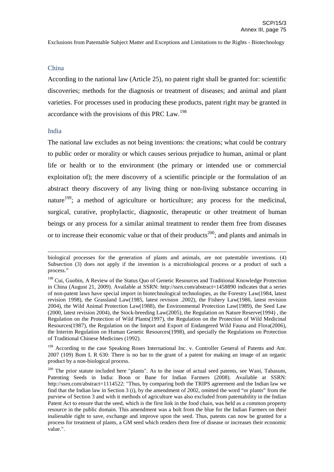#### China

According to the national law (Article 25), no patent right shall be granted for: scientific discoveries; methods for the diagnosis or treatment of diseases; and animal and plant varieties. For processes used in producing these products, patent right may be granted in accordance with the provisions of this PRC Law.<sup>198</sup>

#### India

The national law excludes as not being inventions: the creations; what could be contrary to public order or morality or which causes serious prejudice to human, animal or plant life or health or to the environment (the primary or intended use or commercial exploitation of); the mere discovery of a scientific principle or the formulation of an abstract theory discovery of any living thing or non-living substance occurring in nature<sup>199</sup>; a method of agriculture or horticulture; any process for the medicinal, surgical, curative, prophylactic, diagnostic, therapeutic or other treatment of human beings or any process for a similar animal treatment to render them free from diseases or to increase their economic value or that of their products<sup>200</sup>; and plants and animals in

biological processes for the generation of plants and animals, are not patentable inventions. (4) Subsection (3) does not apply if the invention is a microbiological process or a product of such a process."

<sup>&</sup>lt;sup>198</sup> Cui, Guobin, A Review of the Status Quo of Genetic Resources and Traditional Knowledge Protection in China (August 21, 2009). Available at SSRN: http://ssrn.com/abstract=1458890 indicates that a series of non-patent laws have special import in biotechnological technologies, as the Forestry Law(1984, latest revision 1998), the Grassland Law(1985, latest revision .2002), the Fishery Law(1986, latest revision 2004), the Wild Animal Protection Law(1988), the Environmental Protection Law(1989), the Seed Law (2000, latest revision 2004), the Stock-breeding Law(2005), the Regulation on Nature Reserve(1994) , the Regulation on the Protection of Wild Plants(1997), the Regulation on the Protection of Wild Medicinal Resources(1987), the Regulation on the Import and Export of Endangered Wild Fauna and Flora(2006), the Interim Regulation on Human Genetic Resources(1998), and specially the Regulations on Protection of Traditional Chinese Medicines (1992).

<sup>&</sup>lt;sup>199</sup> According to the case Speaking Roses International Inc. v. Controller General of Patents and Anr. 2007 (109) Bom L R 630: There is no bar to the grant of a patent for making an image of an organic product by a non-biological process.

<sup>&</sup>lt;sup>200</sup> The prior statute included here "plants". As to the issue of actual seed patents, see Wani, Tabasum, Patenting Seeds in India: Boon or Bane for Indian Farmers (2008). Available at SSRN: http://ssrn.com/abstract=1114522: "Thus, by comparing both the TRIPS agreement and the Indian law we find that the Indian law in Section 3 (i), by the amendment of 2002, omitted the word "or plants" from the purview of Section 3 and with it methods of agriculture was also excluded from patentability in the Indian Patent Act to ensure that the seed, which is the first link in the food chain, was held as a common property resource in the public domain. This amendment was a bolt from the blue for the Indian Farmers on their inalienable right to save, exchange and improve upon the seed. Thus, patents can now be granted for a process for treatment of plants, a GM seed which renders them free of disease or increases their economic value.".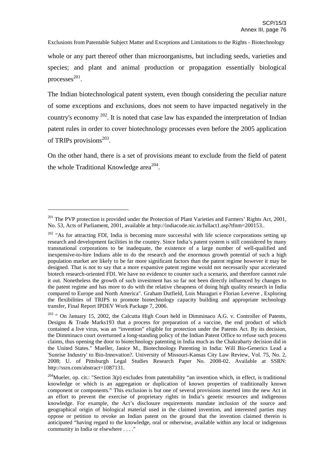whole or any part thereof other than microorganisms, but including seeds, varieties and species; and plant and animal production or propagation essentially biological processes 201 .

The Indian biotechnological patent system, even though considering the peculiar nature of some exceptions and exclusions, does not seem to have impacted negatively in the country's economy <sup>202</sup>. It is noted that case law has expanded the interpretation of Indian patent rules in order to cover biotechnology processes even before the 2005 application of TRIPs provisions<sup>203</sup>.

On the other hand, there is a set of provisions meant to exclude from the field of patent the whole Traditional Knowledge area<sup>204</sup>.

<sup>&</sup>lt;sup>201</sup> The PVP protection is provided under the Protection of Plant Varieties and Farmers' Rights Act, 2001, No. 53, Acts of Parliament, 2001, available at http://indiacode.nic.in/fullact1.asp?tfnm=200153..

 $202$  "As for attracting FDI, India is becoming more successful with life science corporations setting up research and development facilities in the country. Since India's patent system is still considered by many transnational corporations to be inadequate, the existence of a large number of well-qualified and inexpensive-to-hire Indians able to do the research and the enormous growth potential of such a high population market are likely to be far more significant factors than the patent regime however it may be designed. That is not to say that a more expansive patent regime would not necessarily spur accelerated biotech research-oriented FDI. We have no evidence to counter such a scenario, and therefore cannot rule it out. Nonetheless the growth of such investment has so far not been directly influenced by changes to the patent regime and has more to do with the relative cheapness of doing high quality research in India compared to Europe and North America". Graham Dutfield, Lois Muraguri e Florian Leverve , Exploring the flexibilities of TRIPS to promote biotechnology capacity building and appropriate technology transfer, Final Report IPDEV Work Package 7, 2006.

On January 15, 2002, the Calcutta High Court held in Dimminaco A.G. v. Controller of Patents, Designs & Trade Marks193 that a process for preparation of a vaccine, the end product of which contained a live virus, was an "invention" eligible for protection under the Patents Act. By its decision, the Dimminaco court overturned a long-standing policy of the Indian Patent Office to refuse such process claims, thus opening the door to biotechnology patenting in India much as the Chakrabarty decision did in the United States." Mueller, Janice M., Biotechnology Patenting in India: Will Bio-Generics Lead a 'Sunrise Industry' to Bio-Innovation?. University of Missouri-Kansas City Law Review, Vol. 75, No. 2, 2008; U. of Pittsburgh Legal Studies Research Paper No. 2008-02. Available at SSRN: http://ssrn.com/abstract=1087131.

<sup>&</sup>lt;sup>204</sup>Mueler, op. cit.: "Section  $3(p)$  excludes from patentability "an invention which, in effect, is traditional knowledge or which is an aggregation or duplication of known properties of traditionally known component or components." This exclusion is but one of several provisions inserted into the new Act in an effort to prevent the exercise of proprietary rights in India's genetic resources and indigenous knowledge. For example, the Act's disclosure requirements mandate inclusion of the source and geographical origin of biological material used in the claimed invention, and interested parties may oppose or petition to revoke an Indian patent on the ground that the invention claimed therein is anticipated "having regard to the knowledge, oral or otherwise, available within any local or indigenous community in India or elsewhere . . . ."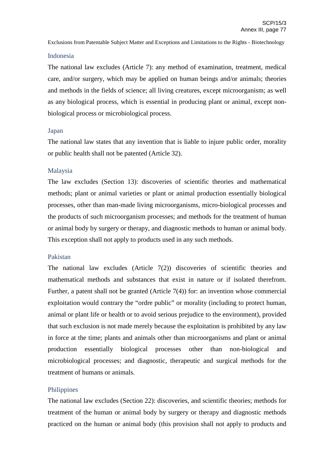#### Indonesia

The national law excludes (Article 7): any method of examination, treatment, medical care, and/or surgery, which may be applied on human beings and/or animals; theories and methods in the fields of science; all living creatures, except microorganism; as well as any biological process, which is essential in producing plant or animal, except nonbiological process or microbiological process.

### Japan

The national law states that any invention that is liable to injure public order, morality or public health shall not be patented (Article 32).

## Malaysia

The law excludes (Section 13): discoveries of scientific theories and mathematical methods; plant or animal varieties or plant or animal production essentially biological processes, other than man-made living microorganisms, micro-biological processes and the products of such microorganism processes; and methods for the treatment of human or animal body by surgery or therapy, and diagnostic methods to human or animal body. This exception shall not apply to products used in any such methods.

## Pakistan

The national law excludes (Article 7(2)) discoveries of scientific theories and mathematical methods and substances that exist in nature or if isolated therefrom. Further, a patent shall not be granted (Article 7(4)) for: an invention whose commercial exploitation would contrary the "ordre public" or morality (including to protect human, animal or plant life or health or to avoid serious prejudice to the environment), provided that such exclusion is not made merely because the exploitation is prohibited by any law in force at the time; plants and animals other than microorganisms and plant or animal production essentially biological processes other than non-biological and microbiological processes; and diagnostic, therapeutic and surgical methods for the treatment of humans or animals.

## **Philippines**

The national law excludes (Section 22): discoveries, and scientific theories; methods for treatment of the human or animal body by surgery or therapy and diagnostic methods practiced on the human or animal body (this provision shall not apply to products and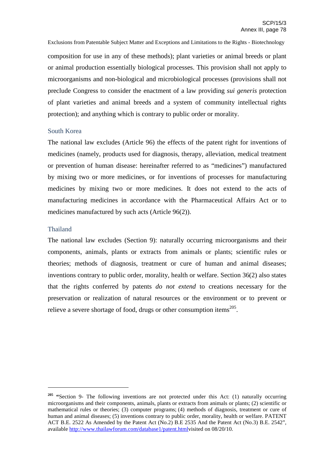Exclusions from Patentable Subject Matter and Exceptions and Limitations to the Rights - Biotechnology composition for use in any of these methods); plant varieties or animal breeds or plant or animal production essentially biological processes. This provision shall not apply to microorganisms and non-biological and microbiological processes (provisions shall not preclude Congress to consider the enactment of a law providing *sui generis* protection of plant varieties and animal breeds and a system of community intellectual rights protection); and anything which is contrary to public order or morality.

### South Korea

The national law excludes (Article 96) the effects of the patent right for inventions of medicines (namely, products used for diagnosis, therapy, alleviation, medical treatment or prevention of human disease: hereinafter referred to as "medicines") manufactured by mixing two or more medicines, or for inventions of processes for manufacturing medicines by mixing two or more medicines. It does not extend to the acts of manufacturing medicines in accordance with the Pharmaceutical Affairs Act or to medicines manufactured by such acts (Article 96(2)).

### Thailand

The national law excludes (Section 9): naturally occurring microorganisms and their components, animals, plants or extracts from animals or plants; scientific rules or theories; methods of diagnosis, treatment or cure of human and animal diseases; inventions contrary to public order, morality, health or welfare. Section 36(2) also states that the rights conferred by patents *do not extend* to creations necessary for the preservation or realization of natural resources or the environment or to prevent or relieve a severe shortage of food, drugs or other consumption items $^{205}$ .

<sup>&</sup>lt;sup>205</sup> **"Section 9-** The following inventions are not protected under this Act: (1) naturally occurring microorganisms and their components, animals, plants or extracts from animals or plants; (2) scientific or mathematical rules or theories; (3) computer programs; (4) methods of diagnosis, treatment or cure of human and animal diseases; (5) inventions contrary to public order, morality, health or welfare. PATENT ACT B.E. 2522 As Amended by the Patent Act (No.2) B.E 2535 And the Patent Act (No.3) B.E. 2542", available http://www.thailawforum.com/database1/patent.htmlvisited on 08/20/10.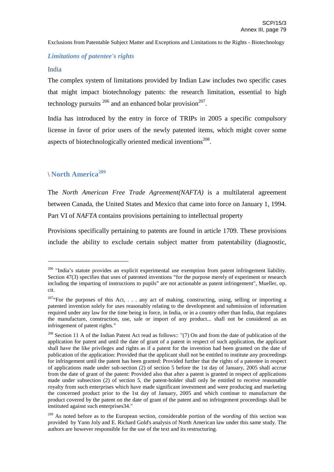## *Limitations of patentee's rights*

## India

The complex system of limitations provided by Indian Law includes two specific cases that might impact biotechnology patents: the research limitation, essential to high technology pursuits  $^{206}$  and an enhanced bolar provision<sup>207</sup>.

India has introduced by the entry in force of TRIPs in 2005 a specific compulsory license in favor of prior users of the newly patented items, which might cover some aspects of biotechnologically oriented medical inventions<sup>208</sup>.

# \ **North America<sup>209</sup>**

The *North American Free Trade Agreement(NAFTA)* is a multilateral agreement between Canada, the United States and Mexico that came into force on January 1, 1994. Part VI of *NAFTA* contains provisions pertaining to intellectual property

Provisions specifically pertaining to patents are found in article 1709. These provisions include the ability to exclude certain subject matter from patentability (diagnostic,

 $206$  "India's statute provides an explicit experimental use exemption from patent infringement liability. Section 47(3) specifies that uses of patented inventions "for the purpose merely of experiment or research including the imparting of instructions to pupils" are not actionable as patent infringement", Mueller, op. cit.

<sup>&</sup>lt;sup>207</sup>"For the purposes of this Act, . . . any act of making, constructing, using, selling or importing a patented invention solely for uses reasonably relating to the development and submission of information required under any law for the time being in force, in India, or in a country other than India, that regulates the manufacture, construction, use, sale or import of any product... shall not be considered as an infringement of patent rights."

<sup>&</sup>lt;sup>208</sup> Section 11 A of the Indian Patent Act read as follows:: "(7) On and from the date of publication of the application for patent and until the date of grant of a patent in respect of such application, the applicant shall have the like privileges and rights as if a patent for the invention had been granted on the date of publication of the application: Provided that the applicant shall not be entitled to institute any proceedings for infringement until the patent has been granted: Provided further that the rights of a patentee in respect of applications made under sub-section (2) of section 5 before the 1st day of January, 2005 shall accrue from the date of grant of the patent: Provided also that after a patent is granted in respect of applications made under subsection (2) of section 5, the patent-holder shall only be entitled to receive reasonable royalty from such enterprises which have made significant investment and were producing and marketing the concerned product prior to the 1st day of January, 2005 and which continue to manufacture the product covered by the patent on the date of grant of the patent and no infringement proceedings shall be instituted against such enterprises34."

<sup>209</sup> As noted before as to the European section, considerable portion of the *wording* of this section was provided by Yann Joly and E. Richard Gold's analysis of North American law under this same study. The authors are however responsible for the use of the text and its restructuring.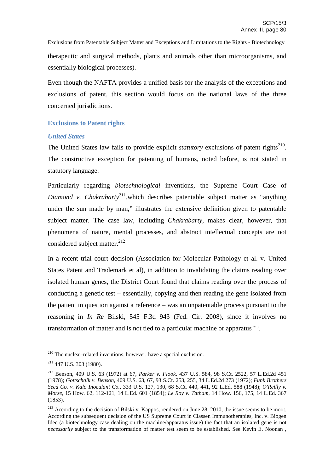Exclusions from Patentable Subject Matter and Exceptions and Limitations to the Rights - Biotechnology therapeutic and surgical methods, plants and animals other than microorganisms, and essentially biological processes).

Even though the NAFTA provides a unified basis for the analysis of the exceptions and exclusions of patent, this section would focus on the national laws of the three concerned jurisdictions.

# **Exclusions to Patent rights**

## *United States*

The United States law fails to provide explicit *statutory* exclusions of patent rights<sup>210</sup>. The constructive exception for patenting of humans, noted before, is not stated in statutory language.

Particularly regarding *biotechnological* inventions, the Supreme Court Case of *Diamond v. Chakrabarty* 211 *,*which describes patentable subject matter as "anything under the sun made by man," illustrates the extensive definition given to patentable subject matter. The case law, including *Chakrabarty*, makes clear, however, that phenomena of nature, mental processes, and abstract intellectual concepts are not considered subject matter.<sup>212</sup>

In a recent trial court decision (Association for Molecular Pathology et al. v. United States Patent and Trademark et al), in addition to invalidating the claims reading over isolated human genes, the District Court found that claims reading over the process of conducting a genetic test – essentially, copying and then reading the gene isolated from the patient in question against a reference – was an unpatentable process pursuant to the reasoning in *In Re* Bilski, 545 F.3d 943 (Fed. Cir. 2008), since it involves no transformation of matter and is not tied to a particular machine or apparatus<sup>213</sup>.

<sup>&</sup>lt;sup>210</sup> The nuclear-related inventions, however, have a special exclusion.

 $211$  447 U.S. 303 (1980).

<sup>212</sup> Benson, 409 U.S. 63 (1972) at 67, *Parker v. Flook*, 437 U.S. 584, 98 S.Ct. 2522, 57 L.Ed.2d 451 (1978); *Gottschalk v. Benson*, 409 U.S. 63, 67, 93 S.Ct. 253, 255, 34 L.Ed.2d 273 (1972); *Funk Brothers Seed Co. v. Kalo Inoculant Co.*, 333 U.S. 127, 130, 68 S.Ct. 440, 441, 92 L.Ed. 588 (1948); *O'Reilly v. Morse*, 15 How. 62, 112-121, 14 L.Ed. 601 (1854); *Le Roy v. Tatham*, 14 How. 156, 175, 14 L.Ed. 367 (1853).

<sup>&</sup>lt;sup>213</sup> According to the decision of Bilski v. Kappos, rendered on June 28, 2010, the issue seems to be moot. According the subsequent decision of the US Supreme Court in Classen Immunotherapies, Inc. v. Biogen Idec (a biotechnology case dealing on the machine/apparatus issue) the fact that an isolated gene is not *necessarily* subject to the transformation of matter test seem to be established. See Kevin E. Noonan,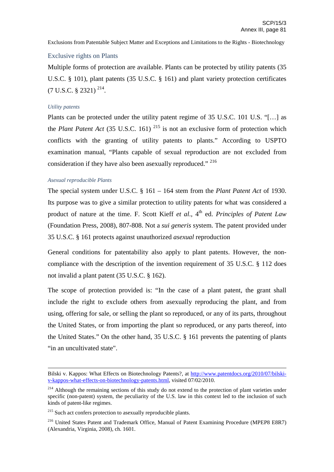#### Exclusive rights on Plants

Multiple forms of protection are available. Plants can be protected by utility patents (35 U.S.C. § 101), plant patents (35 U.S.C. § 161) and plant variety protection certificates  $(7 \text{ U.S.C. }$  \$ 2321)<sup>214</sup>.

#### *Utility patents*

Plants can be protected under the utility patent regime of 35 U.S.C. 101 U.S. "[…] as the *Plant Patent Act* (35 U.S.C. 161)<sup>215</sup> is not an exclusive form of protection which conflicts with the granting of utility patents to plants." According to USPTO examination manual, "Plants capable of sexual reproduction are not excluded from consideration if they have also been asexually reproduced." <sup>216</sup>

#### *Asexual reproducible Plants*

The special system under U.S.C. § 161 – 164 stem from the *Plant Patent Act* of 1930. Its purpose was to give a similar protection to utility patents for what was considered a product of nature at the time. F. Scott Kieff *et al.*, 4<sup>th</sup> ed. *Principles of Patent Law* (Foundation Press, 2008), 807-808. Not a *sui generis* system. The patent provided under 35 U.S.C. § 161 protects against unauthorized *asexual* reproduction

General conditions for patentability also apply to plant patents. However, the noncompliance with the description of the invention requirement of 35 U.S.C. § 112 does not invalid a plant patent (35 U.S.C. § 162).

The scope of protection provided is: "In the case of a plant patent, the grant shall include the right to exclude others from asexually reproducing the plant, and from using, offering for sale, or selling the plant so reproduced, or any of its parts, throughout the United States, or from importing the plant so reproduced, or any parts thereof, into the United States." On the other hand, 35 U.S.C. § 161 prevents the patenting of plants "in an uncultivated state".

Bilski v. Kappos: What Effects on Biotechnology Patents?, at http://www.patentdocs.org/2010/07/bilskiv-kappos-what-effects-on-biotechnology-patents.html, visited 07/02/2010.

<sup>&</sup>lt;sup>214</sup> Although the remaining sections of this study do not extend to the protection of plant varieties under specific (non-patent) system, the peculiarity of the U.S. law in this context led to the inclusion of such kinds of patent-like regimes.

<sup>&</sup>lt;sup>215</sup> Such act confers protection to asexually reproducible plants.

<sup>216</sup> United States Patent and Trademark Office, Manual of Patent Examining Procedure (MPEP8 E8R7) (Alexandria, Virginia, 2008), ch. 1601.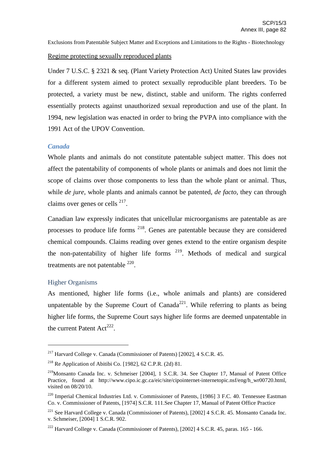## Regime protecting sexually reproduced plants

Under 7 U.S.C. § 2321 & seq. (Plant Variety Protection Act) United States law provides for a different system aimed to protect sexually reproducible plant breeders. To be protected, a variety must be new, distinct, stable and uniform. The rights conferred essentially protects against unauthorized sexual reproduction and use of the plant. In 1994, new legislation was enacted in order to bring the PVPA into compliance with the 1991 Act of the UPOV Convention.

## *Canada*

Whole plants and animals do not constitute patentable subject matter. This does not affect the patentability of components of whole plants or animals and does not limit the scope of claims over those components to less than the whole plant or animal. Thus, while *de jure*, whole plants and animals cannot be patented, *de facto*, they can through claims over genes or cells <sup>217</sup>.

Canadian law expressly indicates that unicellular microorganisms are patentable as are processes to produce life forms <sup>218</sup>. Genes are patentable because they are considered chemical compounds. Claims reading over genes extend to the entire organism despite the non-patentability of higher life forms  $219$ . Methods of medical and surgical treatments are not patentable  $220$ .

### Higher Organisms

As mentioned, higher life forms (i.e., whole animals and plants) are considered unpatentable by the Supreme Court of Canada<sup>221</sup>. While referring to plants as being higher life forms, the Supreme Court says higher life forms are deemed unpatentable in the current Patent Act<sup>222</sup>.

<sup>217</sup> Harvard College v. Canada (Commissioner of Patents) [2002], 4 S.C.R. 45.

<sup>&</sup>lt;sup>218</sup> Re Application of Abitibi Co. [1982], 62 C.P.R. (2d) 81.

<sup>&</sup>lt;sup>219</sup>Monsanto Canada Inc. v. Schmeiser [2004], 1 S.C.R. 34. See Chapter 17, Manual of Patent Office Practice, found at http://www.cipo.ic.gc.ca/eic/site/cipointernet-internetopic.nsf/eng/h\_wr00720.html, visited on 08/20/10.

<sup>220</sup> Imperial Chemical Industries Ltd. v. Commissioner of Patents, [1986] 3 F.C. 40. Tennessee Eastman Co. v. Commissioner of Patents, [1974] S.C.R. 111.See Chapter 17, Manual of Patent Office Practice

<sup>&</sup>lt;sup>221</sup> See Harvard College v. Canada (Commissioner of Patents), [2002] 4 S.C.R. 45. Monsanto Canada Inc. v. Schmeiser, [2004] 1 S.C.R. 902.

<sup>&</sup>lt;sup>222</sup> Harvard College v. Canada (Commissioner of Patents), [2002]  $4 S.C.R. 45$ , paras. 165 - 166.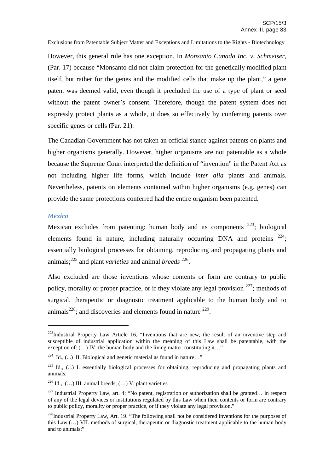However, this general rule has one exception. In *Monsanto Canada Inc. v. Schmeiser*, (Par. 17) because "Monsanto did not claim protection for the genetically modified plant itself, but rather for the genes and the modified cells that make up the plant," a gene patent was deemed valid, even though it precluded the use of a type of plant or seed without the patent owner's consent. Therefore, though the patent system does not expressly protect plants as a whole, it does so effectively by conferring patents over specific genes or cells (Par. 21).

The Canadian Government has not taken an official stance against patents on plants and higher organisms generally. However, higher organisms are not patentable as a whole because the Supreme Court interpreted the definition of "invention" in the Patent Act as not including higher life forms, which include *inter alia* plants and animals. Nevertheless, patents on elements contained within higher organisms (e.g. genes) can provide the same protections conferred had the entire organism been patented.

#### *Mexico*

Mexican excludes from patenting: human body and its components  $223$ ; biological elements found in nature, including naturally occurring DNA and proteins  $224$ ; essentially biological processes for obtaining, reproducing and propagating plants and animals; <sup>225</sup> and plant *varieties* and animal *breeds* 226 .

Also excluded are those inventions whose contents or form are contrary to public policy, morality or proper practice, or if they violate any legal provision <sup>227</sup>; methods of surgical, therapeutic or diagnostic treatment applicable to the human body and to animals<sup>228</sup>; and discoveries and elements found in nature  $229$ .

 $223$ Industrial Property Law Article 16, "Inventions that are new, the result of an inventive step and susceptible of industrial application within the meaning of this Law shall be patentable, with the exception of: (...) IV. the human body and the living matter constituting it..."

<sup>&</sup>lt;sup>224</sup> Id., (...) II. Biological and genetic material as found in nature..."

 $225$  Id., (...) I. essentially biological processes for obtaining, reproducing and propagating plants and animals;

<sup>&</sup>lt;sup>226</sup> Id.,  $(...)$  III. animal breeds;  $(...)$  V. plant varieties

<sup>&</sup>lt;sup>227</sup> Industrial Property Law, art. 4: "No patent, registration or authorization shall be granted... in respect of any of the legal devices or institutions regulated by this Law when their contents or form are contrary to public policy, morality or proper practice, or if they violate any legal provision."

<sup>&</sup>lt;sup>228</sup>Industrial Property Law, Art. 19. "The following shall not be considered inventions for the purposes of this Law:(…) VII. methods of surgical, therapeutic or diagnostic treatment applicable to the human body and to animals;"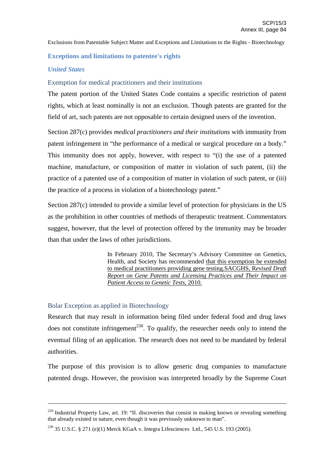## **Exceptions and limitations to patentee's rights**

## *United States*

## Exemption for medical practitioners and their institutions

The patent portion of the United States Code contains a specific restriction of patent rights, which at least nominally is not an exclusion. Though patents are granted for the field of art, such patents are not opposable to certain designed users of the invention.

Section 287(c) provides *medical practitioners and their institutions* with immunity from patent infringement in "the performance of a medical or surgical procedure on a body." This immunity does not apply, however, with respect to "(i) the use of a patented machine, manufacture, or composition of matter in violation of such patent, (ii) the practice of a patented use of a composition of matter in violation of such patent, or (iii) the practice of a process in violation of a biotechnology patent."

Section 287(c) intended to provide a similar level of protection for physicians in the US as the prohibition in other countries of methods of therapeutic treatment. Commentators suggest, however, that the level of protection offered by the immunity may be broader than that under the laws of other jurisdictions.

> In February 2010, The Secretary's Advisory Committee on Genetics, Health, and Society has recommended that this exemption be extended to medical practitioners providing gene testing.SACGHS, R*evised Draft Report on Gene Patents and Licensing Practices and Their Impact on Patient Access to Genetic Tests*, 2010.

# Bolar Exception as applied in Biotechnology

Research that may result in information being filed under federal food and drug laws does not constitute infringement<sup>230</sup>. To qualify, the researcher needs only to intend the eventual filing of an application. The research does not need to be mandated by federal authorities.

The purpose of this provision is to allow generic drug companies to manufacture patented drugs. However, the provision was interpreted broadly by the Supreme Court

<sup>230</sup> 35 U.S.C. § 271 (e)(1) Merck KGaA v. Integra Lifesciences Ltd., 545 U.S. 193 (2005).

 $229$  Industrial Property Law, art. 19: "II, discoveries that consist in making known or revealing something that already existed in nature, even though it was previously unknown to man".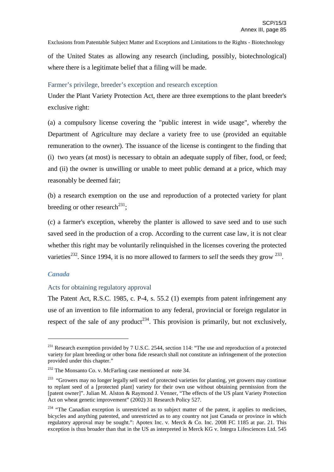of the United States as allowing any research (including, possibly, biotechnological) where there is a legitimate belief that a filing will be made.

## Farmer's privilege, breeder's exception and research exception

Under the Plant Variety Protection Act, there are three exemptions to the plant breeder's exclusive right:

(a) a compulsory license covering the "public interest in wide usage", whereby the Department of Agriculture may declare a variety free to use (provided an equitable remuneration to the owner). The issuance of the license is contingent to the finding that (i) two years (at most) is necessary to obtain an adequate supply of fiber, food, or feed; and (ii) the owner is unwilling or unable to meet public demand at a price, which may reasonably be deemed fair;

(b) a research exemption on the use and reproduction of a protected variety for plant breeding or other research<sup>231</sup>;

(c) a farmer's exception, whereby the planter is allowed to save seed and to use such saved seed in the production of a crop. According to the current case law, it is not clear whether this right may be voluntarily relinquished in the licenses covering the protected varieties<sup>232</sup>. Since 1994, it is no more allowed to farmers to *sell* the seeds they grow <sup>233</sup>.

## *Canada*

## Acts for obtaining regulatory approval

The Patent Act, R.S.C. 1985, c. P-4, s. 55.2 (1) exempts from patent infringement any use of an invention to file information to any federal, provincial or foreign regulator in respect of the sale of any product<sup>234</sup>. This provision is primarily, but not exclusively,

<sup>&</sup>lt;sup>231</sup> Research exemption provided by 7 U.S.C. 2544, section 114: "The use and reproduction of a protected variety for plant breeding or other bona fide research shall not constitute an infringement of the protection provided under this chapter."

<sup>232</sup> The Monsanto Co. v. McFarling case mentioned *at* note 34.

<sup>&</sup>lt;sup>233</sup> "Growers may no longer legally sell seed of protected varieties for planting, yet growers may continue to replant seed of a [protected plant] variety for their own use without obtaining permission from the [patent owner]". Julian M. Alston & Raymond J. Venner, "The effects of the US plant Variety Protection Act on wheat genetic improvement" (2002) 31 Research Policy 527.

<sup>&</sup>lt;sup>234</sup> "The Canadian exception is unrestricted as to subject matter of the patent, it applies to medicines, bicycles and anything patented, and unrestricted as to any country not just Canada or province in which regulatory approval may be sought.": Apotex Inc. v. Merck & Co. Inc. 2008 FC 1185 at par. 21. This exception is thus broader than that in the US as interpreted in Merck KG v. Integra Lifesciences Ltd. 545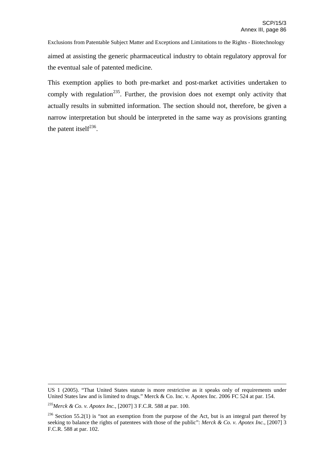Exclusions from Patentable Subject Matter and Exceptions and Limitations to the Rights - Biotechnology aimed at assisting the generic pharmaceutical industry to obtain regulatory approval for the eventual sale of patented medicine.

This exemption applies to both pre-market and post-market activities undertaken to comply with regulation<sup>235</sup>. Further, the provision does not exempt only activity that actually results in submitted information. The section should not, therefore, be given a narrow interpretation but should be interpreted in the same way as provisions granting the patent itself $^{236}$ .

US 1 (2005). "That United States statute is more restrictive as it speaks only of requirements under United States law and is limited to drugs." Merck & Co. Inc. v. Apotex Inc. 2006 FC 524 at par. 154.

<sup>235</sup> *Merck & Co. v. Apotex Inc.*, [2007] 3 F.C.R. 588 at par. 100.

<sup>&</sup>lt;sup>236</sup> Section 55.2(1) is "not an exemption from the purpose of the Act, but is an integral part thereof by seeking to balance the rights of patentees with those of the public": *Merck & Co. v. Apotex Inc.*, [2007] 3 F.C.R. 588 at par. 102.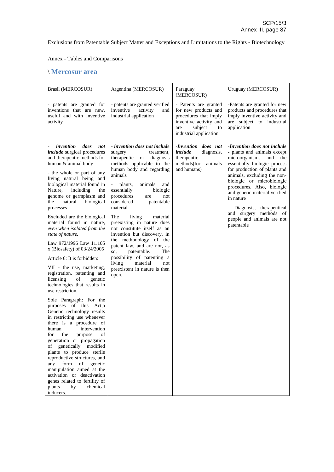Annex - Tables and Comparisons

# \ **Mercosur area**

| - patents are granted verified<br>- Patents are granted<br>- patents are granted for                                                                                                                                                                                                                                                                                                                                                                                                                                                                                                                                                                                                                                                                                                                                                                                                                                                                                                                                                                                                                                                                                                                                                                                                                                                                                                                                                                                                                                                                                                                                                                                                                                                                                                                                                                                               | -Patents are granted for new                                                                                                                                                                                                                                                                                                                                                                                                          |
|------------------------------------------------------------------------------------------------------------------------------------------------------------------------------------------------------------------------------------------------------------------------------------------------------------------------------------------------------------------------------------------------------------------------------------------------------------------------------------------------------------------------------------------------------------------------------------------------------------------------------------------------------------------------------------------------------------------------------------------------------------------------------------------------------------------------------------------------------------------------------------------------------------------------------------------------------------------------------------------------------------------------------------------------------------------------------------------------------------------------------------------------------------------------------------------------------------------------------------------------------------------------------------------------------------------------------------------------------------------------------------------------------------------------------------------------------------------------------------------------------------------------------------------------------------------------------------------------------------------------------------------------------------------------------------------------------------------------------------------------------------------------------------------------------------------------------------------------------------------------------------|---------------------------------------------------------------------------------------------------------------------------------------------------------------------------------------------------------------------------------------------------------------------------------------------------------------------------------------------------------------------------------------------------------------------------------------|
| inventions that are new,<br>inventive<br>for new products and<br>activity<br>and<br>useful and with inventive<br>procedures that imply<br>industrial application<br>inventive activity and<br>activity<br>subject<br>are<br>industrial application                                                                                                                                                                                                                                                                                                                                                                                                                                                                                                                                                                                                                                                                                                                                                                                                                                                                                                                                                                                                                                                                                                                                                                                                                                                                                                                                                                                                                                                                                                                                                                                                                                 | products and procedures that<br>imply inventive activity and<br>are subject to industrial<br>application<br>to                                                                                                                                                                                                                                                                                                                        |
| invention<br>- invention does not include<br>-Invention does not<br>does<br>not<br><i>include</i> surgical procedures<br>include<br>surgery<br>treatment.<br>and therapeutic methods for<br>therapeutic<br>therapeutic<br>diagnosis<br><b>or</b><br>human & animal body<br>methods applicable to the<br>methods(for<br>human body and regarding<br>and humans)<br>- the whole or part of any<br>animals<br>living natural being and<br>biological material found in<br>plants,<br>animals<br>and<br>essentially<br>Nature,<br>including<br>biologic<br>the<br>genome or germplasm and<br>procedures<br>not<br>are<br>natural<br>considered<br>biological<br>patentable<br>the<br>material<br>processes<br>Excluded are the biological<br>The<br>living<br>material<br>material found in nature,<br>preexisting in nature does<br>not constitute itself as an<br>even when isolated from the<br>invention but discovery, in<br>state of nature.<br>the methodology of the<br>Law 972/1996 Law 11.105<br>patent law, and are not, as<br>x (Biosafety) of 03/24/2005<br>The<br>patentable.<br>SO.<br>possibility of patenting a<br>Article 6: It is forbidden:<br>living<br>material<br>not<br>VII - the use, marketing,<br>preexistent in nature is then<br>registration, patenting and<br>open.<br>licensing<br>of<br>genetic<br>technologies that results in<br>use restriction.<br>Sole Paragraph: For the<br>purposes of this Act,a<br>Genetic technology results<br>in restricting use whenever<br>there is a procedure of<br>intervention<br>human<br>the<br>of<br>for<br>purpose<br>generation or propagation<br>genetically modified<br>οf<br>plants to produce sterile<br>reproductive structures, and<br>any<br>form<br>of<br>genetic<br>manipulation aimed at the<br>activation or deactivation<br>genes related to fertility of<br>by<br>chemical<br>plants<br>inducers. | -Invention does not include<br>- plants and animals except<br>diagnosis,<br>microorganisms<br>and<br>the<br>essentially biologic process<br>animals<br>for production of plants and<br>animals, excluding the non-<br>biologic or microbiologic<br>procedures. Also, biologic<br>and genetic material verified<br>in nature<br>- Diagnosis,<br>therapeutical<br>and surgery<br>methods of<br>people and animals are not<br>patentable |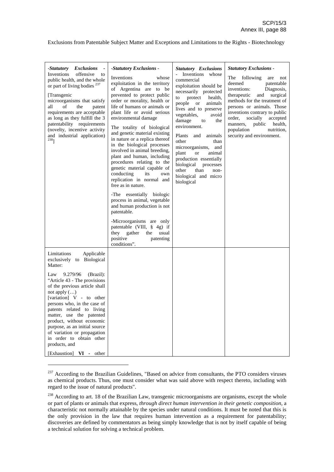| -Statutory<br><b>Exclusions</b><br>Inventions<br>offensive<br>to<br>public health, and the whole<br>or part of living bodies <sup>237</sup><br>[Transgenic<br>microorganisms that satisfy<br>all<br>of<br>the<br>patent<br>requirements are acceptable<br>as long as they fulfill the 3<br>patentability requirements<br>(novelty, incentive activity<br>and industrial application)<br>$238$ ]           | -Statutory Exclusions -<br>Inventions<br>whose<br>exploitation in the territory<br>of Argentina are to be<br>prevented to protect public<br>order or morality, health or<br>life of humans or animals or<br>plant life or avoid serious<br>environmental damage<br>The totality of biological<br>and genetic material existing<br>in nature or a replica thereof<br>in the biological processes<br>involved in animal breeding,<br>plant and human, including<br>procedures relating to the<br>genetic material capable of<br>its<br>conducting<br>own<br>replication in normal and<br>free as in nature.<br>-The essentially biologic<br>process in animal, vegetable<br>and human production is not<br>patentable.<br>-Microorganisms are only<br>patentable (VIII, § 4g) if<br>they gather<br>the<br>usual<br>positive<br>patenting | <b>Statutory Exclusions</b><br>Inventions whose<br>commercial<br>exploitation should be<br>necessarily protected<br>to protect<br>health,<br>people or<br>animals<br>lives and to preserve<br>vegetables,<br>avoid<br>damage<br>the<br>to<br>environment.<br>Plants<br>animals<br>and<br>other<br>than<br>microorganisms,<br>and<br>plant<br>animal<br><sub>or</sub><br>production essentially<br>biological<br>processes<br>other<br>than<br>non-<br>biological and micro<br>biological | <b>Statutory Exclusions -</b><br>The following<br>are<br>not<br>deemed<br>patentable<br>inventions:<br>Diagnosis,<br>therapeutic<br>surgical<br>and<br>methods for the treatment of<br>persons or animals. Those<br>inventions contrary to public<br>order,<br>socially<br>accepted<br>manners,<br>public<br>health,<br>population<br>nutrition.<br>security and environment. |
|-----------------------------------------------------------------------------------------------------------------------------------------------------------------------------------------------------------------------------------------------------------------------------------------------------------------------------------------------------------------------------------------------------------|----------------------------------------------------------------------------------------------------------------------------------------------------------------------------------------------------------------------------------------------------------------------------------------------------------------------------------------------------------------------------------------------------------------------------------------------------------------------------------------------------------------------------------------------------------------------------------------------------------------------------------------------------------------------------------------------------------------------------------------------------------------------------------------------------------------------------------------|------------------------------------------------------------------------------------------------------------------------------------------------------------------------------------------------------------------------------------------------------------------------------------------------------------------------------------------------------------------------------------------------------------------------------------------------------------------------------------------|-------------------------------------------------------------------------------------------------------------------------------------------------------------------------------------------------------------------------------------------------------------------------------------------------------------------------------------------------------------------------------|
| Limitations<br>Applicable<br>exclusively to Biological<br>Matter:                                                                                                                                                                                                                                                                                                                                         | conditions".                                                                                                                                                                                                                                                                                                                                                                                                                                                                                                                                                                                                                                                                                                                                                                                                                           |                                                                                                                                                                                                                                                                                                                                                                                                                                                                                          |                                                                                                                                                                                                                                                                                                                                                                               |
| 9.279/96<br>(Brazil):<br>Law<br>"Article 43 - The provisions"<br>of the previous article shall<br>not apply $()$<br>[variation] V - to other<br>persons who, in the case of<br>patents related to living<br>matter, use the patented<br>product, without economic<br>purpose, as an initial source<br>of variation or propagation<br>in order to obtain other<br>products, and<br>[Exhaustion] VI - other |                                                                                                                                                                                                                                                                                                                                                                                                                                                                                                                                                                                                                                                                                                                                                                                                                                        |                                                                                                                                                                                                                                                                                                                                                                                                                                                                                          |                                                                                                                                                                                                                                                                                                                                                                               |

<sup>&</sup>lt;sup>237</sup> According to the Brazilian Guidelines, "Based on advice from consultants, the PTO considers viruses as chemical products. Thus, one must consider what was said above with respect thereto, including with regard to the issue of natural products".

<sup>&</sup>lt;sup>238</sup> According to art. 18 of the Brazilian Law, transgenic microorganisms are organisms, except the whole or part of plants or animals that express, *through direct human intervention in their genetic composition*, a characteristic not normally attainable by the species under natural conditions. It must be noted that this is the only provision in the law that requires human intervention as a requirement for patentability; discoveries are defined by commentators as being simply knowledge that is not by itself capable of being a technical solution for solving a technical problem.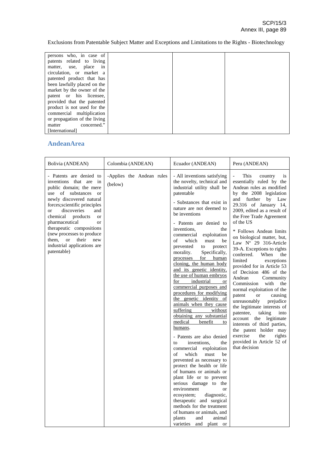| persons who, in case of      |  |  |
|------------------------------|--|--|
| patents related to living    |  |  |
| place<br>matter, use,<br>in  |  |  |
| circulation, or market a     |  |  |
| patented product that has    |  |  |
| been lawfully placed on the  |  |  |
| market by the owner of the   |  |  |
| patent or his licensee,      |  |  |
| provided that the patented   |  |  |
| product is not used for the  |  |  |
| commercial multiplication    |  |  |
| or propagation of the living |  |  |
| concerned."<br>matter        |  |  |
| [International]              |  |  |

# **AndeanArea**

| Bolivia (ANDEAN)                                                                                                                                                                                                                                                                                                                                                                                                                       | Colombia (ANDEAN)                    | Ecuador (ANDEAN)                                                                                                                                                                                                                                                                                                                                                                                                                                                                                                                                                                                                                                                                                                                                                                                                                                                                                                                                                                                                                                                                                                                                                                                | Peru (ANDEAN)                                                                                                                                                                                                                                                                                                                                                                                                                                                                                                                                                                                                                                                                                                                                                                                                                                |
|----------------------------------------------------------------------------------------------------------------------------------------------------------------------------------------------------------------------------------------------------------------------------------------------------------------------------------------------------------------------------------------------------------------------------------------|--------------------------------------|-------------------------------------------------------------------------------------------------------------------------------------------------------------------------------------------------------------------------------------------------------------------------------------------------------------------------------------------------------------------------------------------------------------------------------------------------------------------------------------------------------------------------------------------------------------------------------------------------------------------------------------------------------------------------------------------------------------------------------------------------------------------------------------------------------------------------------------------------------------------------------------------------------------------------------------------------------------------------------------------------------------------------------------------------------------------------------------------------------------------------------------------------------------------------------------------------|----------------------------------------------------------------------------------------------------------------------------------------------------------------------------------------------------------------------------------------------------------------------------------------------------------------------------------------------------------------------------------------------------------------------------------------------------------------------------------------------------------------------------------------------------------------------------------------------------------------------------------------------------------------------------------------------------------------------------------------------------------------------------------------------------------------------------------------------|
| - Patents are denied to<br>inventions that are in<br>public domain; the mere<br>use of substances<br>$\alpha$<br>newly discovered natural<br>forces; scientific principles<br>discoveries<br>and<br><sub>or</sub><br>products<br>chemical<br><b>or</b><br>pharmaceutical<br><b>or</b><br>therapeutic compositions<br>(new processes to produce<br>their<br><sub>or</sub><br>them,<br>new<br>industrial applications are<br>patentable) | -Applies the Andean rules<br>(below) | - All inventions satisfying<br>the novelty, technical and<br>industrial utility shall be<br>patentable<br>- Substances that exist in<br>nature are not deemed to<br>be inventions<br>- Patents are denied to<br>inventions,<br>the<br>commercial<br>exploitation<br>of<br>which<br>must<br>be<br>prevented<br>protect<br>to<br>morality.<br>Specifically,<br>for<br>processes<br>human<br>cloning, the human body<br>and its genetic identity,<br>the use of human embryos<br>industrial<br>for<br><sub>or</sub><br>commercial purposes and<br>procedures for modifying<br>the genetic identity of<br>animals when they cause<br>suffering<br>without<br>obtaining any substantial<br>medical<br>benefit<br>to<br>humans.<br>- Patents are also denied<br>inventions,<br>the<br>to<br>commercial<br>exploitation<br>which<br>of<br>must<br>be<br>prevented as necessary to<br>protect the health or life<br>of humans or animals or<br>plant life or to prevent<br>serious damage to the<br>environment<br><b>or</b><br>diagnostic,<br>ecosystem;<br>therapeutic and surgical<br>methods for the treatment<br>of humans or animals, and<br>plants<br>animal<br>and<br>varieties<br>and plant or | This<br>country<br>is<br>essentially ruled by the<br>Andean rules as modified<br>by the 2008 legislation<br>and further<br>by Law<br>29.316 of January 14,<br>2009, edited as a result of<br>the Free Trade Agreement<br>of the US<br>* Follows Andean limits<br>on biological matter, but,<br>Law Nº 29 316-Article<br>39-A. Exceptions to rights<br>conferred.<br>When<br>the<br>limited<br>exceptions<br>provided for in Article 53<br>of Decision 486 of the<br>Andean<br>Community<br>Commission<br>with<br>the<br>normal exploitation of the<br>patent<br>causing<br><b>or</b><br>unreasonably<br>prejudice<br>the legitimate interests of<br>patentee,<br>taking<br>into<br>account the legitimate<br>interests of third parties,<br>the patent holder may<br>exercise<br>the<br>rights<br>provided in Article 52 of<br>that decision |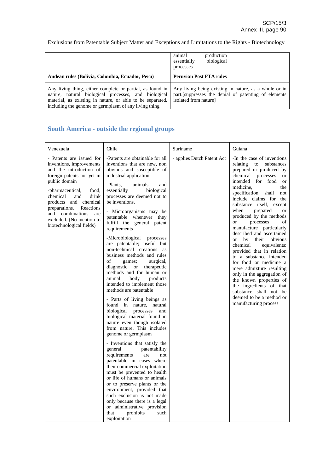|                                                                                                                                                                                                                                         | animal<br>production<br>biological<br>essentially<br>processes                                                                          |
|-----------------------------------------------------------------------------------------------------------------------------------------------------------------------------------------------------------------------------------------|-----------------------------------------------------------------------------------------------------------------------------------------|
| Andean rules (Bolivia, Colombia, Ecuador, Peru)                                                                                                                                                                                         | <b>Peruvian Post FTA rules</b>                                                                                                          |
| Any living thing, either complete or partial, as found in<br>nature, natural biological processes, and biological<br>material, as existing in nature, or able to be separated,<br>including the genome or germplasm of any living thing | Any living being existing in nature, as a whole or in<br>part. [suppresses the denial of patenting of elements<br>isolated from nature] |

# **South America - outside the regional groups**

| Venezuela                                                                                                                                                                                                                                                                                                                         | Chile                                                                                                                                                                                                                                                                                                                                                                                                                                                                                                                                                                                                                                                                                                                                                                                                                                                                                                                                                                                                                                                                                                                                                                                                                                                                                                           | Suriname                   | Guiana                                                                                                                                                                                                                                                                                                                                                                                                                                                                                                                                                                                                                                                                                                                                                                                       |
|-----------------------------------------------------------------------------------------------------------------------------------------------------------------------------------------------------------------------------------------------------------------------------------------------------------------------------------|-----------------------------------------------------------------------------------------------------------------------------------------------------------------------------------------------------------------------------------------------------------------------------------------------------------------------------------------------------------------------------------------------------------------------------------------------------------------------------------------------------------------------------------------------------------------------------------------------------------------------------------------------------------------------------------------------------------------------------------------------------------------------------------------------------------------------------------------------------------------------------------------------------------------------------------------------------------------------------------------------------------------------------------------------------------------------------------------------------------------------------------------------------------------------------------------------------------------------------------------------------------------------------------------------------------------|----------------------------|----------------------------------------------------------------------------------------------------------------------------------------------------------------------------------------------------------------------------------------------------------------------------------------------------------------------------------------------------------------------------------------------------------------------------------------------------------------------------------------------------------------------------------------------------------------------------------------------------------------------------------------------------------------------------------------------------------------------------------------------------------------------------------------------|
| - Patents are issued for<br>inventions, improvements<br>and the introduction of<br>foreign patents not yet in<br>public domain<br>food.<br>-pharmaceutical,<br>chemical<br>and<br>drink<br>products and chemical<br>preparations.<br>Reactions<br>and combinations<br>are<br>excluded. (No mention to<br>biotechnological fields) | -Patents are obtainable for all<br>inventions that are new, non<br>obvious and susceptible of<br>industrial application<br>-Plants.<br>animals<br>and<br>essentially<br>biological<br>processes are deemed not to<br>be inventions.<br>- Microorganisms may be<br>patentable whenever they<br>fulfill the general patent<br>requirements<br>-Microbiological<br>processes<br>are patentable; useful but<br>non-technical creations as<br>business methods and rules<br>of<br>games;<br>surgical,<br>diagnostic<br><b>or</b><br>therapeutic<br>methods and for human or<br>body<br>animal<br>products<br>intended to implement those<br>methods are patentable<br>- Parts of living beings as<br>found in nature, natural<br>biological<br>processes<br>and<br>biological material found in<br>nature even though isolated<br>from nature. This includes<br>genome or germplasm<br>- Inventions that satisfy the<br>general<br>patentability<br>requirements<br>are<br>not<br>patentable in cases where<br>their commercial exploitation<br>must be prevented to health<br>or life of humans or animals<br>or to preserve plants or the<br>environment, provided that<br>such exclusion is not made<br>only because there is a legal<br>or administrative provision<br>that<br>prohibits<br>such<br>exploitation | - applies Dutch Patent Act | -In the case of inventions<br>relating<br>to<br>substances<br>prepared or produced by<br>chemical<br>processes<br>or<br>intended<br>for food<br><sub>or</sub><br>medicine,<br>the<br>specification<br>shall<br>not<br>include claims for<br>the<br>substance itself, except<br>when<br>prepared<br><sub>or</sub><br>produced by the methods<br>processes<br>of<br><b>or</b><br>manufacture particularly<br>described and ascertained<br><sub>or</sub><br>by<br>their<br>obvious<br>chemical<br>equivalents:<br>provided that in relation<br>to a substance intended<br>for food or medicine a<br>mere admixture resulting<br>only in the aggregation of<br>the known properties of<br>the ingredients of that<br>substance shall not be<br>deemed to be a method or<br>manufacturing process |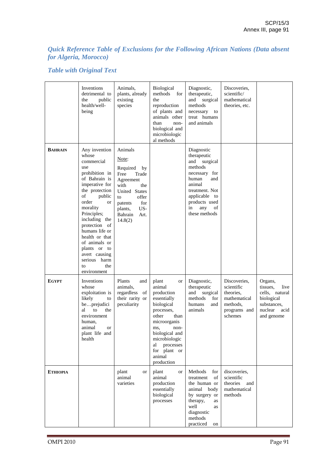# *Quick Reference Table of Exclusions for the Following African Nations (Data absent for Algeria, Morocco)*

# *Table with Original Text*

|                 | Inventions<br>detrimental to<br>public<br>the<br>health/well-<br>being                                                                                                                                                                                                                                                                                  | Animals,<br>plants, already<br>existing<br>species                                                                                                                                | Biological<br>methods<br>for<br>the<br>reproduction<br>of plants and<br>animals other<br>than<br>non-<br>biological and<br>microbiologic<br>al methods                                                                       | Diagnostic,<br>therapeutic,<br>and surgical<br>methods<br>necessary<br>to<br>treat humans<br>and animals                                                                                | Discoveries,<br>scientific/<br>mathematical<br>theories, etc.                                  |                                                                                                             |
|-----------------|---------------------------------------------------------------------------------------------------------------------------------------------------------------------------------------------------------------------------------------------------------------------------------------------------------------------------------------------------------|-----------------------------------------------------------------------------------------------------------------------------------------------------------------------------------|------------------------------------------------------------------------------------------------------------------------------------------------------------------------------------------------------------------------------|-----------------------------------------------------------------------------------------------------------------------------------------------------------------------------------------|------------------------------------------------------------------------------------------------|-------------------------------------------------------------------------------------------------------------|
| <b>BAHRAIN</b>  | Any invention<br>whose<br>commercial<br>use<br>prohibition in<br>of Bahrain is<br>imperative for<br>the protection<br>public<br>of<br>order<br><b>or</b><br>morality<br>Principles;<br>including the<br>protection of<br>humans life or<br>health or that<br>of animals or<br>plants or to<br>avert causing<br>serious harm<br>the<br>to<br>environment | Animals<br>Note:<br>Required<br>by<br>Trade<br>Free<br>Agreement<br>with<br>the<br>United States<br>offer<br>to<br>for<br>patents<br>US-<br>plants,<br>Bahrain<br>Art.<br>14.8(2) |                                                                                                                                                                                                                              | Diagnostic<br>therapeutic<br>and surgical<br>methods<br>necessary for<br>human<br>and<br>animal<br>treatment. Not<br>applicable to<br>products used<br>any<br>in<br>of<br>these methods |                                                                                                |                                                                                                             |
| <b>EGYPT</b>    | Inventions<br>whose<br>exploitation is<br>likely<br>to<br>beprejudici<br>to<br>al<br>the<br>environment<br>human,<br>animal<br>or<br>plant life and<br>health                                                                                                                                                                                           | Plants<br>and<br>animals,<br>regardless of<br>their rarity or<br>peculiarity                                                                                                      | plant<br>or<br>animal<br>production<br>essentially<br>biological<br>processes,<br>other<br>than<br>microorganis<br>ms,<br>non-<br>biological and<br>microbiologic<br>processes<br>al<br>for plant or<br>animal<br>production | Diagnostic,<br>therapeutic<br>and surgical<br>methods<br>for<br>humans<br>and<br>animals                                                                                                | Discoveries,<br>scientific<br>theories.<br>mathematical<br>methods,<br>programs and<br>schemes | Organs,<br>tissues.<br>live<br>cells, natural<br>biological<br>substances,<br>nuclear<br>acid<br>and genome |
| <b>ETHIOPIA</b> |                                                                                                                                                                                                                                                                                                                                                         | plant<br>or<br>animal<br>varieties                                                                                                                                                | plant<br>or<br>animal<br>production<br>essentially<br>biological<br>processes                                                                                                                                                | Methods<br>for<br>treatment<br>of<br>the human or<br>animal<br>body<br>by surgery or<br>therapy,<br>as<br>well<br>as<br>diagnostic<br>methods<br>practiced<br>on                        | discoveries,<br>scientific<br>theories<br>and<br>mathematical<br>methods                       |                                                                                                             |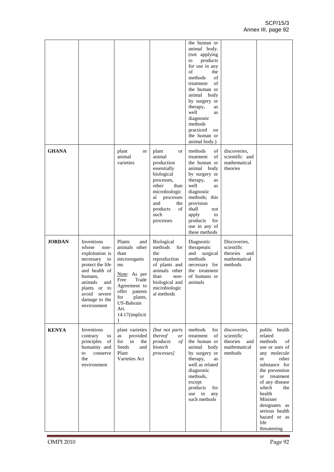|               |                                                                                                                                                                                                     |                                                                                                                                                                                          |                                                                                                                                                                                          | the human or<br>animal body.<br>(not applying<br>products<br>to<br>for use in any<br>of<br>the<br>methods<br>of<br>of<br>treatment<br>the human or<br>animal body<br>by surgery or<br>therapy,<br>as<br>well<br>as<br>diagnostic<br>methods<br>practiced<br>on<br>the human or<br>animal body.) |                                                                          |                                                                                                                                                                                                                                                                                                          |
|---------------|-----------------------------------------------------------------------------------------------------------------------------------------------------------------------------------------------------|------------------------------------------------------------------------------------------------------------------------------------------------------------------------------------------|------------------------------------------------------------------------------------------------------------------------------------------------------------------------------------------|-------------------------------------------------------------------------------------------------------------------------------------------------------------------------------------------------------------------------------------------------------------------------------------------------|--------------------------------------------------------------------------|----------------------------------------------------------------------------------------------------------------------------------------------------------------------------------------------------------------------------------------------------------------------------------------------------------|
| <b>GHANA</b>  |                                                                                                                                                                                                     | plant<br>or<br>animal<br>varieties                                                                                                                                                       | plant<br>or<br>animal<br>production<br>essentially<br>biological<br>processes,<br>other<br>than<br>microbiologic<br>processes<br>al<br>and<br>the<br>products<br>οf<br>such<br>processes | methods<br>of<br>of<br>treatment<br>the human or<br>animal body<br>by surgery or<br>therapy,<br>as<br>well<br>as<br>diagnostic<br>methods; this<br>provision<br>shall<br>not<br>apply<br>to<br>products<br>for<br>use in any of<br>these methods                                                | discoveries,<br>scientific and<br>mathematical<br>theories               |                                                                                                                                                                                                                                                                                                          |
| <b>JORDAN</b> | Inventions<br>whose<br>non-<br>exploitation is<br>necessary<br>to<br>protect the life<br>and health of<br>humans,<br>animals<br>and<br>plants or to<br>avoid severe<br>damage to the<br>environment | Plants<br>and<br>animals other<br>than<br>microorganis<br>ms<br>Note: As per<br>Free<br>Trade<br>Agreement to<br>offer patents<br>plants,<br>for<br>US-Bahrain<br>Art.<br>14.17(implicit | <b>Biological</b><br>methods<br>for<br>the<br>reproduction<br>of plants and<br>animals other<br>than<br>non-<br>biological and<br>microbiologic<br>al methods                            | Diagnostic<br>therapeutic<br>surgical<br>and<br>methods<br>necessary for<br>the treatment<br>of humans or<br>animals                                                                                                                                                                            | Discoveries,<br>scientific<br>theories<br>and<br>mathematical<br>methods |                                                                                                                                                                                                                                                                                                          |
| <b>KENYA</b>  | Inventions<br>contrary<br>to<br>principles of<br>humanity and<br>conserve<br>to<br>the<br>environment                                                                                               | plant varieties<br>provided<br>as<br>for in<br>the<br>Seeds<br>and<br>Plant<br>Varieties Act                                                                                             | [but not parts]<br>thereof<br><i>or</i><br>products<br>οf<br>biotech<br>processes]                                                                                                       | methods<br>for<br>treatment<br>of<br>the human or<br>animal body<br>by surgery or<br>therapy,<br>as<br>well as related<br>diagnostic<br>methods,<br>except<br>products<br>for<br>use in<br>any<br>such methods                                                                                  | discoveries,<br>scientific<br>theories<br>and<br>mathematical<br>methods | public health<br>related<br>methods<br>of<br>use or uses of<br>any molecule<br>other<br><sub>or</sub><br>substance for<br>the prevention<br>treatment<br><sub>or</sub><br>of any disease<br>which<br>the<br>health<br>Minister<br>designates as<br>serious health<br>hazard or as<br>life<br>threatening |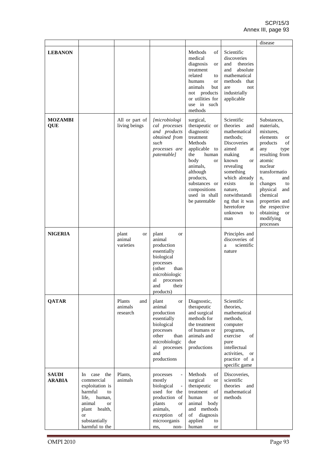|                               |                                                                                                                                                                              |                                      |                                                                                                                                                                                                                                                                                         |                                                                                                                                                                                                                                        |                                                                                                                                                                                                                                                                               | disease                                                                                                                                                                                                                                                                                         |
|-------------------------------|------------------------------------------------------------------------------------------------------------------------------------------------------------------------------|--------------------------------------|-----------------------------------------------------------------------------------------------------------------------------------------------------------------------------------------------------------------------------------------------------------------------------------------|----------------------------------------------------------------------------------------------------------------------------------------------------------------------------------------------------------------------------------------|-------------------------------------------------------------------------------------------------------------------------------------------------------------------------------------------------------------------------------------------------------------------------------|-------------------------------------------------------------------------------------------------------------------------------------------------------------------------------------------------------------------------------------------------------------------------------------------------|
| <b>LEBANON</b>                |                                                                                                                                                                              |                                      |                                                                                                                                                                                                                                                                                         | Methods<br>of<br>medical<br>diagnosis<br>or<br>treatment<br>related<br>to<br>humans<br><b>or</b><br>animals<br>but<br>not products<br>or utilities for<br>use in such<br>methods                                                       | Scientific<br>discoveries<br>theories<br>and<br>absolute<br>and<br>mathematical<br>methods<br>that<br>not<br>are<br>industrially<br>applicable                                                                                                                                |                                                                                                                                                                                                                                                                                                 |
| <b>MOZAMBI</b><br>QUE         |                                                                                                                                                                              | All or part of<br>living beings      | <i>[microbiologi</i><br>cal processes<br>and products<br>obtained from<br>such<br>processes are<br>patentable]                                                                                                                                                                          | surgical,<br>therapeutic or<br>diagnostic<br>treatment<br>Methods<br>applicable<br>to<br>the<br>human<br>body<br><sub>or</sub><br>animals,<br>although<br>products,<br>substances or<br>compositions<br>used in shall<br>be patentable | Scientific<br>theories<br>and<br>mathematical<br>methods:<br><b>Discoveries</b><br>aimed<br>at<br>making<br>known<br><b>or</b><br>revealing<br>something<br>which already<br>exists<br>in<br>nature,<br>notwithstandi<br>ng that it was<br>heretofore<br>unknown<br>to<br>man | Substances,<br>materials,<br>mixtures,<br>elements<br>or<br>of<br>products<br>any<br>type<br>resulting from<br>atomic<br>nuclear<br>transformatio<br>and<br>n,<br>changes<br>to<br>physical<br>and<br>chemical<br>properties and<br>the respective<br>obtaining<br>or<br>modifying<br>processes |
| <b>NIGERIA</b>                |                                                                                                                                                                              | plant<br>or<br>animal<br>varieties   | plant<br><sub>or</sub><br>animal<br>production<br>essentially<br>biological<br>processes<br>(other<br>than<br>microbiologic<br>processes<br>al<br>and<br>their<br>products)                                                                                                             |                                                                                                                                                                                                                                        | Principles and<br>discoveries of<br>scientific<br>a<br>nature                                                                                                                                                                                                                 |                                                                                                                                                                                                                                                                                                 |
| <b>QATAR</b>                  |                                                                                                                                                                              | Plants<br>and<br>animals<br>research | plant<br><b>or</b><br>animal<br>production<br>essentially<br>biological<br>processes<br>other<br>than<br>microbiologic<br>processes<br>al<br>and<br>productions                                                                                                                         | Diagnostic,<br>therapeutic<br>and surgical<br>methods for<br>the treatment<br>of humans or<br>animals and<br>due<br>productions                                                                                                        | Scientific<br>theories,<br>mathematical<br>methods.<br>computer<br>programs,<br>exercise<br>of<br>pure<br>intellectual<br>activities,<br><sub>or</sub><br>practice of a<br>specific game                                                                                      |                                                                                                                                                                                                                                                                                                 |
| <b>SAUDI</b><br><b>ARABIA</b> | In case the<br>commercial<br>exploitation is<br>harmful<br>to<br>life,<br>human,<br>animal<br><b>or</b><br>plant health,<br><sub>or</sub><br>substantially<br>harmful to the | Plants,<br>animals                   | processes<br>$\overline{\phantom{0}}$<br>mostly<br>biological<br>used for the<br>production of<br>plants<br><sub>or</sub><br>animals,<br>exception<br>$% \left( \left( \mathcal{A},\mathcal{A}\right) \right) =\left( \mathcal{A},\mathcal{A}\right)$ of<br>microorganis<br>ms,<br>non- | Methods<br>of<br>surgical<br><b>or</b><br>therapeutic<br>treatment<br>of<br>human<br><b>or</b><br>animal<br>body<br>and methods<br>of<br>diagnosis<br>applied<br>to<br>human<br>or                                                     | Discoveries,<br>scientific<br>theories<br>and<br>mathematical<br>methods                                                                                                                                                                                                      |                                                                                                                                                                                                                                                                                                 |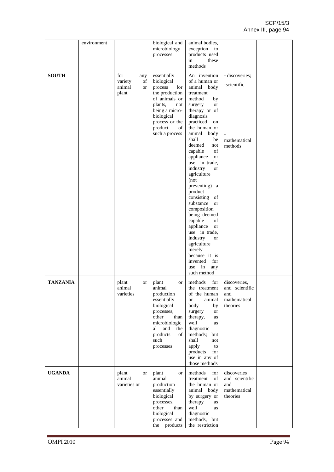|                 | environment |                                                      | biological and<br>microbiology<br>processes                                                                                                                                           | animal bodies,<br>exception to<br>products used<br>these<br>in<br>methods                                                                                                                                                                                                                                                                                                                                                                                                                                                                                                                             |                                                                                 |  |
|-----------------|-------------|------------------------------------------------------|---------------------------------------------------------------------------------------------------------------------------------------------------------------------------------------|-------------------------------------------------------------------------------------------------------------------------------------------------------------------------------------------------------------------------------------------------------------------------------------------------------------------------------------------------------------------------------------------------------------------------------------------------------------------------------------------------------------------------------------------------------------------------------------------------------|---------------------------------------------------------------------------------|--|
| <b>SOUTH</b>    |             | for<br>any<br>variety<br>οf<br>animal<br>or<br>plant | essentially<br>biological<br>process<br>for<br>the production<br>of animals or<br>plants,<br>not<br>being a micro-<br>biological<br>process or the<br>product<br>of<br>such a process | An invention<br>of a human or<br>animal body<br>treatment<br>method<br>by<br>surgery<br>or<br>therapy or of<br>diagnosis<br>practiced<br>on<br>the human or<br>animal body<br>shall<br>be<br>deemed<br>not<br>of<br>capable<br>appliance<br><b>or</b><br>use in trade,<br>industry<br><b>or</b><br>agriculture<br>(not)<br>preventing) a<br>product<br>consisting of<br>substance or<br>composition<br>being deemed<br>capable<br>of<br>appliance<br><b>or</b><br>use in trade,<br>industry<br><b>or</b><br>agriculture<br>merely<br>because it is<br>invented<br>for<br>use in<br>any<br>such method | - discoveries;<br>-scientific<br>mathematical<br>methods                        |  |
| <b>TANZANIA</b> |             | plant<br>or<br>animal<br>varieties                   | plant<br>or<br>animal<br>production<br>essentially<br>biological<br>processes,<br>than<br>other<br>microbiologic<br>and<br>al<br>the<br>products<br>of<br>such<br>processes           | methods<br>for<br>of the human<br>animal<br><b>or</b><br>body<br>by<br>surgery<br>or<br>therapy,<br>as<br>well<br>as<br>diagnostic<br>methods;<br>but<br>shall<br>not<br>apply<br>to<br>products<br>for<br>use in any of<br>those methods                                                                                                                                                                                                                                                                                                                                                             | discoveries.<br>the treatment and scientific<br>and<br>mathematical<br>theories |  |
| <b>UGANDA</b>   |             | plant<br>or<br>animal<br>varieties or                | plant<br>or<br>animal<br>production<br>essentially<br>biological<br>processes,<br>other<br>than<br>biological<br>processes and<br>the products                                        | methods<br>for<br>treatment<br>of<br>the human or<br>animal body<br>by surgery or<br>therapy<br>as<br>well<br>as<br>diagnostic<br>methods, but<br>the restriction                                                                                                                                                                                                                                                                                                                                                                                                                                     | discoveries<br>and scientific<br>and<br>mathematical<br>theories                |  |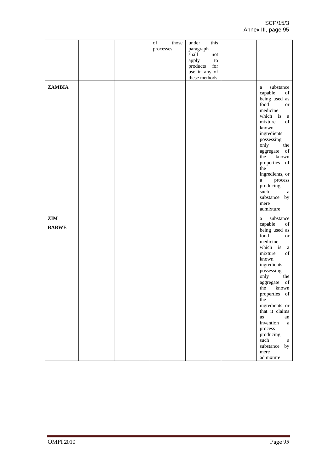SCP/15/3 Annex III, page 95

|                     |  | of<br>those<br>processes | this<br>under<br>paragraph<br>shall<br>not<br>apply<br>${\rm to}$<br>products for<br>use in any of<br>these methods |                                                                                                                                                                                                                                                                                                                                                                                                                                                 |
|---------------------|--|--------------------------|---------------------------------------------------------------------------------------------------------------------|-------------------------------------------------------------------------------------------------------------------------------------------------------------------------------------------------------------------------------------------------------------------------------------------------------------------------------------------------------------------------------------------------------------------------------------------------|
| <b>ZAMBIA</b>       |  |                          |                                                                                                                     | substance<br>a<br>capable<br>$% \left( \left( \mathcal{A},\mathcal{A}\right) \right) =\left( \mathcal{A},\mathcal{A}\right)$ of<br>being used as<br>food<br><b>or</b><br>medicine<br>which is a<br>mixture<br>of<br>known<br>ingredients<br>possessing<br>only<br>the<br>aggregate of<br>the<br>known<br>properties of<br>the<br>ingredients, or<br>process<br>$a \qquad \qquad$<br>producing<br>such<br>a<br>substance by<br>mere<br>admixture |
| ZIM<br><b>BABWE</b> |  |                          |                                                                                                                     | substance<br>a<br>capable<br>of<br>being used as<br>food<br><b>or</b><br>medicine<br>which is<br>a<br>mixture<br>of<br>known<br>ingredients<br>possessing<br>only<br>the<br>aggregate of<br>the known<br>properties of<br>the<br>ingredients or<br>that it claims<br>as<br>an<br>invention<br>a<br>process<br>producing<br>such<br>a<br>substance by<br>mere<br>admixture                                                                       |
| <b>OMPI 2010</b>    |  |                          |                                                                                                                     | Page 95                                                                                                                                                                                                                                                                                                                                                                                                                                         |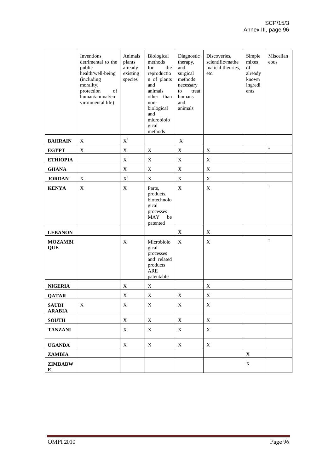|                               | Inventions<br>detrimental to the<br>public<br>health/well-being<br>(including<br>morality,<br>protection<br>of<br>human/animal/en<br>vironmental life) | Animals<br>plants<br>already<br>existing<br>species | Biological<br>methods<br>for<br>the<br>reproductio<br>n of plants<br>and<br>animals<br>other than<br>non-<br>biological<br>and<br>microbiolo<br>gical<br>methods | Diagnostic<br>therapy,<br>and<br>surgical<br>methods<br>necessary<br>treat<br>to<br>humans<br>and<br>animals | Discoveries,<br>scientific/mathe<br>matical theories,<br>etc. | Simple<br>mixes<br>of<br>already<br>known<br>ingredi<br>ents | Miscellan<br>eous |
|-------------------------------|--------------------------------------------------------------------------------------------------------------------------------------------------------|-----------------------------------------------------|------------------------------------------------------------------------------------------------------------------------------------------------------------------|--------------------------------------------------------------------------------------------------------------|---------------------------------------------------------------|--------------------------------------------------------------|-------------------|
| <b>BAHRAIN</b>                | $\mathbf X$                                                                                                                                            | $\mathbf{X}^1$                                      |                                                                                                                                                                  | $\mathbf X$                                                                                                  |                                                               |                                                              |                   |
| <b>EGYPT</b>                  | $\mathbf X$                                                                                                                                            | $\mathbf X$                                         | $\mathbf X$                                                                                                                                                      | $\mathbf X$                                                                                                  | $\mathbf X$                                                   |                                                              | $\ast$            |
| <b>ETHIOPIA</b>               |                                                                                                                                                        | $\mathbf X$                                         | $\mathbf X$                                                                                                                                                      | $\mathbf X$                                                                                                  | $\mathbf X$                                                   |                                                              |                   |
| <b>GHANA</b>                  |                                                                                                                                                        | $\mathbf X$                                         | X                                                                                                                                                                | $\mathbf X$                                                                                                  | $\mathbf X$                                                   |                                                              |                   |
| <b>JORDAN</b>                 | X                                                                                                                                                      | $\mathbf{X}^1$                                      | $\mathbf X$                                                                                                                                                      | $\mathbf X$                                                                                                  | $\mathbf X$                                                   |                                                              |                   |
| <b>KENYA</b>                  | $\mathbf X$                                                                                                                                            | $\mathbf X$                                         | Parts,<br>products,<br>biotechnolo<br>gical<br>processes<br><b>MAY</b><br>be<br>patented                                                                         | $\mathbf X$                                                                                                  | $\mathbf X$                                                   |                                                              | $\ddagger$        |
| <b>LEBANON</b>                |                                                                                                                                                        |                                                     |                                                                                                                                                                  | X                                                                                                            | $\mathbf X$                                                   |                                                              |                   |
| <b>MOZAMBI</b><br><b>QUE</b>  |                                                                                                                                                        | X                                                   | Microbiolo<br>gical<br>processes<br>and related<br>products<br><b>ARE</b><br>patentable                                                                          | X                                                                                                            | $\mathbf X$                                                   |                                                              | $\ddagger$        |
| <b>NIGERIA</b>                |                                                                                                                                                        | X                                                   | $\mathbf X$                                                                                                                                                      |                                                                                                              | X                                                             |                                                              |                   |
| <b>QATAR</b>                  |                                                                                                                                                        | $\mathbf X$                                         | $\mathbf X$                                                                                                                                                      | $\mathbf X$                                                                                                  | $\mathbf X$                                                   |                                                              |                   |
| <b>SAUDI</b><br><b>ARABIA</b> | X                                                                                                                                                      | X                                                   | X                                                                                                                                                                | X                                                                                                            | X                                                             |                                                              |                   |
| <b>SOUTH</b>                  |                                                                                                                                                        | X                                                   | $\mathbf X$                                                                                                                                                      | X                                                                                                            | $\mathbf X$                                                   |                                                              |                   |
| <b>TANZANI</b>                |                                                                                                                                                        | X                                                   | X                                                                                                                                                                | X                                                                                                            | $\mathbf X$                                                   |                                                              |                   |
| <b>UGANDA</b>                 |                                                                                                                                                        | X                                                   | X                                                                                                                                                                | $\mathbf X$                                                                                                  | $\mathbf X$                                                   |                                                              |                   |
| <b>ZAMBIA</b>                 |                                                                                                                                                        |                                                     |                                                                                                                                                                  |                                                                                                              |                                                               | X                                                            |                   |
| <b>ZIMBABW</b><br>E           |                                                                                                                                                        |                                                     |                                                                                                                                                                  |                                                                                                              |                                                               | X                                                            |                   |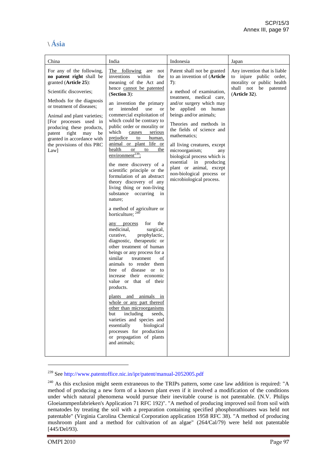# \ **Ásia**

| China                                                                                                                                                                                                                                                                                                                                                      | India                                                                                                                                                                                                                                                                                                                                                                                                                                                                                                                                                                                                                                                                                                                                                                                                                                                                                                                                                                                                                                                                                                                                                                                                                                                                                            | Indonesia                                                                                                                                                                                                                                                                                                                                                                                                                                                                                  | Japan                                                                                                                                       |
|------------------------------------------------------------------------------------------------------------------------------------------------------------------------------------------------------------------------------------------------------------------------------------------------------------------------------------------------------------|--------------------------------------------------------------------------------------------------------------------------------------------------------------------------------------------------------------------------------------------------------------------------------------------------------------------------------------------------------------------------------------------------------------------------------------------------------------------------------------------------------------------------------------------------------------------------------------------------------------------------------------------------------------------------------------------------------------------------------------------------------------------------------------------------------------------------------------------------------------------------------------------------------------------------------------------------------------------------------------------------------------------------------------------------------------------------------------------------------------------------------------------------------------------------------------------------------------------------------------------------------------------------------------------------|--------------------------------------------------------------------------------------------------------------------------------------------------------------------------------------------------------------------------------------------------------------------------------------------------------------------------------------------------------------------------------------------------------------------------------------------------------------------------------------------|---------------------------------------------------------------------------------------------------------------------------------------------|
| For any of the following,<br>no patent right shall be<br>granted (Article 25):<br>Scientific discoveries;<br>Methods for the diagnosis<br>or treatment of diseases;<br>Animal and plant varieties;<br>[For processes used in<br>producing these products,<br>patent right may<br>be<br>granted in accordance with<br>the provisions of this PRC<br>$Law$ ] | The following are<br>not<br>inventions<br>within<br>the<br>meaning of the Act and<br>hence cannot be patented<br>$(Section 3)$ :<br>an invention the primary<br><sub>or</sub><br>intended<br>use<br><sub>or</sub><br>commercial exploitation of<br>which could be contrary to<br>public order or morality or<br>which<br>causes<br>serious<br>prejudice<br>to<br>human,<br>animal or plant life or<br>health<br>or or<br>to<br>the<br>environment <sup>239</sup> ;<br>the mere discovery of a<br>scientific principle or the<br>formulation of an abstract<br>theory discovery of any<br>living thing or non-living<br>substance occurring in<br>nature;<br>a method of agriculture or<br>horticulture; 240<br>the<br>any process<br>for<br>medicinal,<br>surgical,<br>curative,<br>prophylactic,<br>diagnostic, therapeutic or<br>other treatment of human<br>beings or any process for a<br>similar<br>treatment<br>οf<br>animals to render them<br>free of disease or to<br>increase their economic<br>value or that of their<br>products.<br>plants and animals in<br>whole or any part thereof<br>other than microorganisms<br>including<br>but<br>seeds,<br>varieties and species and<br>essentially<br>biological<br>processes for production<br>or propagation of plants<br>and animals; | Patent shall not be granted<br>to an invention of (Article<br>$7)$ :<br>a method of examination.<br>treatment, medical care,<br>and/or surgery which may<br>applied on human<br>be<br>beings and/or animals;<br>Theories and methods in<br>the fields of science and<br>mathematics:<br>all living creatures, except<br>microorganism;<br>any<br>biological process which is<br>essential in producing<br>plant or animal, except<br>non-biological process or<br>microbiological process. | Any invention that is liable<br>to injure public order,<br>morality or public health<br>shall not be patented<br>(A <sub>rt</sub> icle 32). |

<sup>239</sup> See http://www.patentoffice.nic.in/ipr/patent/manual-2052005.pdf

<sup>&</sup>lt;sup>240</sup> As this exclusion might seem extraneous to the TRIPs pattern, some case law addition is required: "A method of producing a new form of a known plant even if it involved a modification of the conditions under which natural phenomena would pursue their inevitable course is not patentable. (N.V. Philips Gloeiammpenfabrieken's Application 71 RFC 192)". "A method of producing improved soil from soil with nematodes by treating the soil with a preparation containing specified phosphorathioates was held not patentable" (Virginia Carolina Chemical Corporation application 1958 RFC 38). "A method of producing mushroom plant and a method for cultivation of an algae" (264/Cal/79) were held not patentable  $[445/Del/93]$ .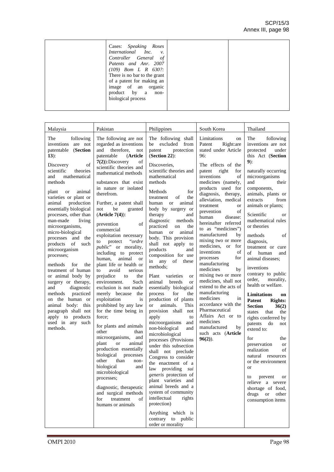| Cases: Speaking Roses<br>International Inc. v.<br>Controller General of<br>Patents and Anr. 2007<br>$(109)$ Bom L R 630?:<br>There is no bar to the grant<br>of a patent for making an<br>image of an<br>organic<br>product by a<br>non-<br>biological process |  |
|----------------------------------------------------------------------------------------------------------------------------------------------------------------------------------------------------------------------------------------------------------------|--|
|                                                                                                                                                                                                                                                                |  |

| Malaysia                                                                                                                                                                                                                                                                                                                                                                                                                                                                                                                                                                                                                                                                                     | Pakistan                                                                                                                                                                                                                                                                                                                                                                                                                                                                                                                                                                                                                                                                                                                                                                                                                                                                                                                                                                                                                                                                                  | Philippines                                                                                                                                                                                                                                                                                                                                                                                                                                                                                                                                                                                                                                                                                                                                                                                                                                                                                                                                                                                                                                                                                                                                                       | South Korea                                                                                                                                                                                                                                                                                                                                                                                                                                                                                                                                                                                                                                                                                                                                              | Thailand                                                                                                                                                                                                                                                                                                                                                                                                                                                                                                                                                                                                                                                                                                                                                                                                                                                                                    |
|----------------------------------------------------------------------------------------------------------------------------------------------------------------------------------------------------------------------------------------------------------------------------------------------------------------------------------------------------------------------------------------------------------------------------------------------------------------------------------------------------------------------------------------------------------------------------------------------------------------------------------------------------------------------------------------------|-------------------------------------------------------------------------------------------------------------------------------------------------------------------------------------------------------------------------------------------------------------------------------------------------------------------------------------------------------------------------------------------------------------------------------------------------------------------------------------------------------------------------------------------------------------------------------------------------------------------------------------------------------------------------------------------------------------------------------------------------------------------------------------------------------------------------------------------------------------------------------------------------------------------------------------------------------------------------------------------------------------------------------------------------------------------------------------------|-------------------------------------------------------------------------------------------------------------------------------------------------------------------------------------------------------------------------------------------------------------------------------------------------------------------------------------------------------------------------------------------------------------------------------------------------------------------------------------------------------------------------------------------------------------------------------------------------------------------------------------------------------------------------------------------------------------------------------------------------------------------------------------------------------------------------------------------------------------------------------------------------------------------------------------------------------------------------------------------------------------------------------------------------------------------------------------------------------------------------------------------------------------------|----------------------------------------------------------------------------------------------------------------------------------------------------------------------------------------------------------------------------------------------------------------------------------------------------------------------------------------------------------------------------------------------------------------------------------------------------------------------------------------------------------------------------------------------------------------------------------------------------------------------------------------------------------------------------------------------------------------------------------------------------------|---------------------------------------------------------------------------------------------------------------------------------------------------------------------------------------------------------------------------------------------------------------------------------------------------------------------------------------------------------------------------------------------------------------------------------------------------------------------------------------------------------------------------------------------------------------------------------------------------------------------------------------------------------------------------------------------------------------------------------------------------------------------------------------------------------------------------------------------------------------------------------------------|
| following<br>The<br>inventions are not<br>patentable (Section<br>$13)$ :<br>of<br>Discovery<br>scientific<br>theories<br>mathematical<br>and<br>methods<br>animal<br>plant<br><b>or</b><br>varieties or plant or<br>production<br>animal<br>essentially biological<br>processes, other than<br>man-made<br>living<br>microorganisms,<br>micro-biological<br>processes and the<br>products of such<br>microorganism<br>processes;<br>for<br>methods<br>the<br>treatment of human<br>or animal body by<br>surgery or therapy,<br>diagnostic<br>and<br>practiced<br>methods<br>on the human or<br>animal body: this<br>paragraph shall not<br>apply to products<br>used in any such<br>methods. | The following are not<br>regarded as inventions<br>and<br>therefore.<br>not<br>patentable<br>(Article)<br>$7(2)$ : Discovery<br>of<br>scientific theories and<br>mathematical methods<br>substances that exist<br>in nature or isolated<br>therefrom.<br>Further, a patent shall<br>be<br>not<br>granted<br>$(Article 7(4))$ :<br>of<br>prevention<br>commercial<br>exploitation necessary<br>ordre"<br>protect<br>to<br>public" or morality,<br>including to protect<br>human,<br>animal<br><b>or</b><br>plant life or health or<br>avoid<br>to<br>serious<br>prejudice<br>the<br>to<br>environment.<br>Such<br>exclusion is not made<br>merely because<br>the<br>exploitation<br>is<br>prohibited by any law<br>for the time being in<br>force:<br>for plants and animals<br>other<br>than<br>microorganisms, and<br>animal<br>plant<br><b>or</b><br>production essentially<br>biological<br>processes<br>other<br>than<br>non-<br>biological<br>and<br>microbiological<br>processes;<br>diagnostic, therapeutic<br>and surgical methods<br>for<br>treatment<br>of<br>humans or animals | The following shall<br>be excluded from<br>patent<br>protection<br>$(Section 22)$ :<br>Discoveries,<br>scientific theories and<br>mathematical<br>methods<br><b>Methods</b><br>for<br>οf<br>the<br>treatment<br>animal<br>human<br><sub>or</sub><br>body by surgery or<br>therapy<br>and<br>diagnostic<br>methods<br>practiced<br>the<br>on<br>human<br>animal<br><sub>or</sub><br>body. This provision<br>shall not apply to<br>products<br>and<br>composition for use<br>in any of these<br>methods;<br>varieties<br>Plant<br><b>or</b><br>breeds<br>animal<br><sub>or</sub><br>essentially biological<br>for<br>the<br>process<br>production of plants<br>animals.<br>This<br><sub>or</sub><br>provision shall not<br>apply<br>to<br>microorganisms<br>and<br>non-biological<br>and<br>microbiological<br>processes (Provisions<br>under this subsection<br>shall not preclude<br>Congress to consider<br>the enactment of a<br>law<br>providing<br>sui<br>generis protection of<br>plant varieties and<br>animal breeds and a<br>system of community<br>intellectual<br>rights<br>protection)<br>Anything which is<br>contrary to public<br>order or morality | Limitations<br>on<br>Patent<br>Right: are<br>stated under Article<br>96:<br>The effects of the<br>patent right<br>for<br>inventions<br>of<br>medicines (namely,<br>products used for<br>diagnosis, therapy,<br>alleviation, medical<br>treatment<br><sub>or</sub><br>of<br>prevention<br>human<br>disease:<br>hereinafter referred<br>to as "medicines")<br>manufactured<br>by<br>mixing two or more<br>medicines, or<br>for<br>inventions<br>of<br>for<br>processes<br>manufacturing<br>medicines<br>by<br>mixing two or more<br>medicines, shall not<br>extend to the acts of<br>manufacturing<br>medicines<br>in<br>accordance with the<br>Pharmaceutical<br>Affairs Act or to<br>medicines<br>manufactured<br>by<br>such acts (Article<br>$96(2)$ ). | The<br>following<br>inventions are not<br>protected<br>under<br>this Act (Section<br>$9)$ :<br>naturally occurring<br>microorganisms<br>and<br>their<br>components,<br>animals, plants or<br>extracts<br>from<br>animals or plants;<br>Scientific<br><b>or</b><br>mathematical rules<br>or theories<br>methods<br>of<br>diagnosis,<br>treatment or cure<br>of<br>human<br>and<br>animal diseases;<br>inventions<br>contrary to public<br>order, morality,<br>health or welfare.<br>Limitations<br>on<br>Patent<br><b>Rights:</b><br><b>Section</b><br>36(2)<br>states<br>that<br>the<br>rights conferred by<br>patents<br>do<br>not<br>extend to:<br>for<br>the<br>preservation<br><sub>or</sub><br>of<br>realization<br>natural resources<br>or the environment<br><sub>or</sub><br>prevent<br>to<br>or<br>relieve a severe<br>shortage of food,<br>drugs or<br>other<br>consumption items |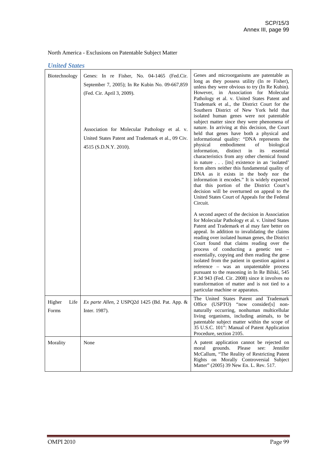# *United States*

| Biotechnology           | Genes: In re Fisher, No. 04-1465 (Fed.Cir.<br>September 7, 2005); In Re Kubin No. 09-667,859<br>(Fed. Cir. April 3, 2009).<br>Association for Molecular Pathology et al. v.<br>United States Patent and Trademark et al., 09 Civ.<br>4515 (S.D.N.Y. 2010). | Genes and microorganisms are patentable as<br>long as they possess utility (In re Fisher),<br>unless they were obvious to try (In Re Kubin).<br>However, in Association for Molecular<br>Pathology et al. v. United States Patent and<br>Trademark et al., the District Court for the<br>Southern District of New York held that<br>isolated human genes were not patentable<br>subject matter since they were phenomena of<br>nature. In arriving at this decision, the Court<br>held that genes have both a physical and<br>informational quality: "DNA represents the<br>embodiment<br>physical<br>of<br>biological<br>information,<br>distinct<br>essential<br>in<br>its<br>characteristics from any other chemical found<br>in nature [its] existence in an 'isolated'<br>form alters neither this fundamental quality of<br>DNA as it exists in the body nor the<br>information it encodes." It is widely expected<br>that this portion of the District Court's<br>decision will be overturned on appeal to the<br>United States Court of Appeals for the Federal<br>Circuit. |
|-------------------------|------------------------------------------------------------------------------------------------------------------------------------------------------------------------------------------------------------------------------------------------------------|-------------------------------------------------------------------------------------------------------------------------------------------------------------------------------------------------------------------------------------------------------------------------------------------------------------------------------------------------------------------------------------------------------------------------------------------------------------------------------------------------------------------------------------------------------------------------------------------------------------------------------------------------------------------------------------------------------------------------------------------------------------------------------------------------------------------------------------------------------------------------------------------------------------------------------------------------------------------------------------------------------------------------------------------------------------------------------------|
|                         |                                                                                                                                                                                                                                                            | A second aspect of the decision in Association<br>for Molecular Pathology et al. v. United States<br>Patent and Trademark et al may fare better on<br>appeal. In addition to invalidating the claims<br>reading over isolated human genes, the District<br>Court found that claims reading over the<br>process of conducting a genetic test -<br>essentially, copying and then reading the gene<br>isolated from the patient in question against a<br>reference - was an unpatentable process<br>pursuant to the reasoning in In Re Bilski, 545<br>F.3d 943 (Fed. Cir. 2008) since it involves no<br>transformation of matter and is not tied to a<br>particular machine or apparatus.                                                                                                                                                                                                                                                                                                                                                                                              |
| Higher<br>Life<br>Forms | Ex parte Allen, 2 USPQ2d 1425 (Bd. Pat. App. &<br>Inter. 1987).                                                                                                                                                                                            | The United States Patent and Trademark<br>Office (USPTO) "now consider[s] non-<br>naturally occurring, nonhuman multicellular<br>living organisms, including animals, to be<br>patentable subject matter within the scope of<br>35 U.S.C. 101": Manual of Patent Application<br>Procedure, section 2105.                                                                                                                                                                                                                                                                                                                                                                                                                                                                                                                                                                                                                                                                                                                                                                            |
| Morality                | None                                                                                                                                                                                                                                                       | A patent application cannot be rejected on<br>grounds.<br>Please<br>Jennifer<br>moral<br>see:<br>McCallum, "The Reality of Restricting Patent<br>Rights on Morally Controversial Subject<br>Matter" (2005) 39 New En. L. Rev. 517.                                                                                                                                                                                                                                                                                                                                                                                                                                                                                                                                                                                                                                                                                                                                                                                                                                                  |